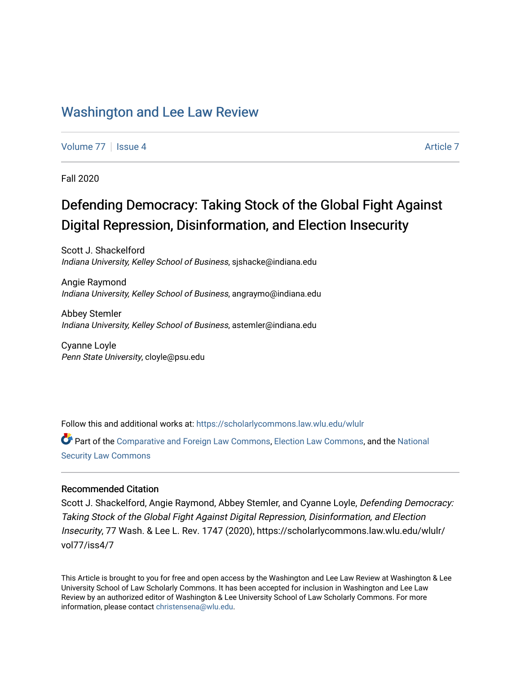## [Washington and Lee Law Review](https://scholarlycommons.law.wlu.edu/wlulr)

[Volume 77](https://scholarlycommons.law.wlu.edu/wlulr/vol77) | [Issue 4](https://scholarlycommons.law.wlu.edu/wlulr/vol77/iss4) [Article 7](https://scholarlycommons.law.wlu.edu/wlulr/vol77/iss4/7) | Article 7 | Article 7 | Article 7 | Article 7 | Article 7 | Article 7 | Article 7

Fall 2020

# Defending Democracy: Taking Stock of the Global Fight Against Digital Repression, Disinformation, and Election Insecurity

Scott J. Shackelford Indiana University, Kelley School of Business, sjshacke@indiana.edu

Angie Raymond Indiana University, Kelley School of Business, angraymo@indiana.edu

Abbey Stemler Indiana University, Kelley School of Business, astemler@indiana.edu

Cyanne Loyle Penn State University, cloyle@psu.edu

Follow this and additional works at: [https://scholarlycommons.law.wlu.edu/wlulr](https://scholarlycommons.law.wlu.edu/wlulr?utm_source=scholarlycommons.law.wlu.edu%2Fwlulr%2Fvol77%2Fiss4%2F7&utm_medium=PDF&utm_campaign=PDFCoverPages) 

Part of the [Comparative and Foreign Law Commons,](http://network.bepress.com/hgg/discipline/836?utm_source=scholarlycommons.law.wlu.edu%2Fwlulr%2Fvol77%2Fiss4%2F7&utm_medium=PDF&utm_campaign=PDFCoverPages) [Election Law Commons](http://network.bepress.com/hgg/discipline/1121?utm_source=scholarlycommons.law.wlu.edu%2Fwlulr%2Fvol77%2Fiss4%2F7&utm_medium=PDF&utm_campaign=PDFCoverPages), and the National [Security Law Commons](http://network.bepress.com/hgg/discipline/1114?utm_source=scholarlycommons.law.wlu.edu%2Fwlulr%2Fvol77%2Fiss4%2F7&utm_medium=PDF&utm_campaign=PDFCoverPages)

#### Recommended Citation

Scott J. Shackelford, Angie Raymond, Abbey Stemler, and Cyanne Loyle, Defending Democracy: Taking Stock of the Global Fight Against Digital Repression, Disinformation, and Election Insecurity, 77 Wash. & Lee L. Rev. 1747 (2020), https://scholarlycommons.law.wlu.edu/wlulr/ vol77/iss4/7

This Article is brought to you for free and open access by the Washington and Lee Law Review at Washington & Lee University School of Law Scholarly Commons. It has been accepted for inclusion in Washington and Lee Law Review by an authorized editor of Washington & Lee University School of Law Scholarly Commons. For more information, please contact [christensena@wlu.edu](mailto:christensena@wlu.edu).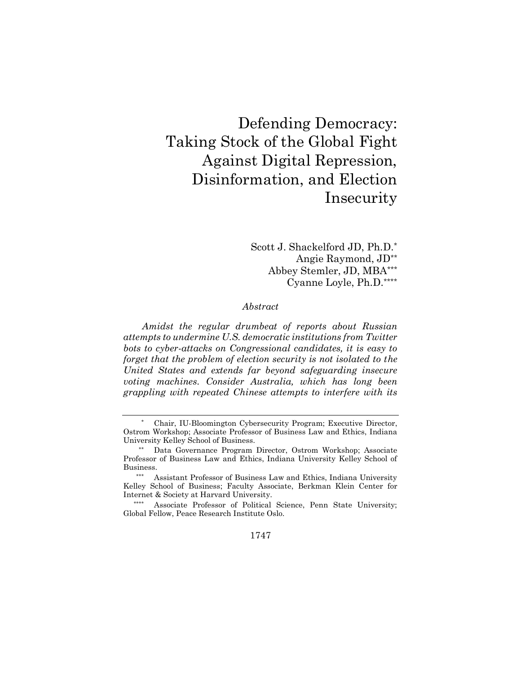# Defending Democracy: Taking Stock of the Global Fight Against Digital Repression, Disinformation, and Election Insecurity

Scott J. Shackelford JD, Ph.D.\* Angie Raymond, JD\*\* Abbey Stemler, JD, MBA\*\*\* Cyanne Loyle, Ph.D.\*\*\*\*

#### *Abstract*

*Amidst the regular drumbeat of reports about Russian attempts to undermine U.S. democratic institutions from Twitter bots to cyber-attacks on Congressional candidates, it is easy to forget that the problem of election security is not isolated to the United States and extends far beyond safeguarding insecure voting machines. Consider Australia, which has long been grappling with repeated Chinese attempts to interfere with its* 

1747

Chair, IU-Bloomington Cybersecurity Program; Executive Director, Ostrom Workshop; Associate Professor of Business Law and Ethics, Indiana University Kelley School of Business.

Data Governance Program Director, Ostrom Workshop; Associate Professor of Business Law and Ethics, Indiana University Kelley School of Business.

Assistant Professor of Business Law and Ethics, Indiana University Kelley School of Business; Faculty Associate, Berkman Klein Center for Internet & Society at Harvard University.

<sup>\*\*\*\*</sup> Associate Professor of Political Science, Penn State University; Global Fellow, Peace Research Institute Oslo.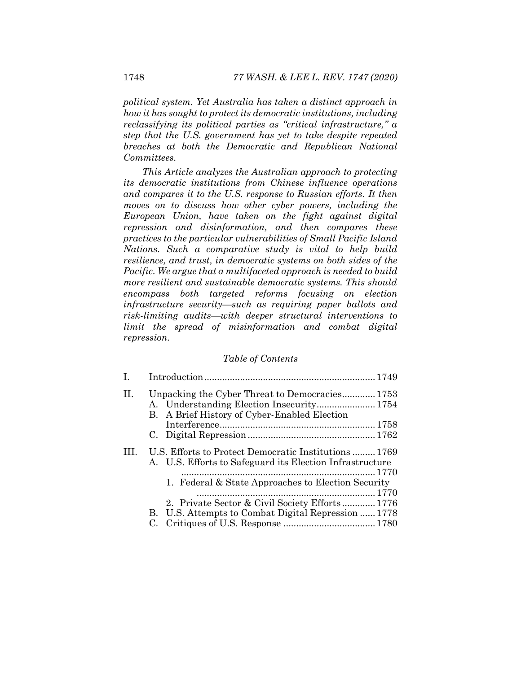*political system. Yet Australia has taken a distinct approach in how it has sought to protect its democratic institutions, including reclassifying its political parties as "critical infrastructure," a step that the U.S. government has yet to take despite repeated breaches at both the Democratic and Republican National Committees.* 

*This Article analyzes the Australian approach to protecting its democratic institutions from Chinese influence operations and compares it to the U.S. response to Russian efforts. It then moves on to discuss how other cyber powers, including the European Union, have taken on the fight against digital repression and disinformation, and then compares these practices to the particular vulnerabilities of Small Pacific Island Nations. Such a comparative study is vital to help build resilience, and trust, in democratic systems on both sides of the Pacific. We argue that a multifaceted approach is needed to build more resilient and sustainable democratic systems. This should encompass both targeted reforms focusing on election infrastructure security—such as requiring paper ballots and risk-limiting audits—with deeper structural interventions to limit the spread of misinformation and combat digital repression.* 

#### *Table of Contents*

| $\mathbf{I}$ . |                                                                                                                 |
|----------------|-----------------------------------------------------------------------------------------------------------------|
| II.            | Unpacking the Cyber Threat to Democracies 1753<br>B. A Brief History of Cyber-Enabled Election                  |
|                |                                                                                                                 |
|                |                                                                                                                 |
| Ш              | U.S. Efforts to Protect Democratic Institutions1769<br>A. U.S. Efforts to Safeguard its Election Infrastructure |
|                | 1. Federal & State Approaches to Election Security                                                              |
|                | 2. Private Sector & Civil Society Efforts 1776                                                                  |
|                | B. U.S. Attempts to Combat Digital Repression  1778                                                             |
|                |                                                                                                                 |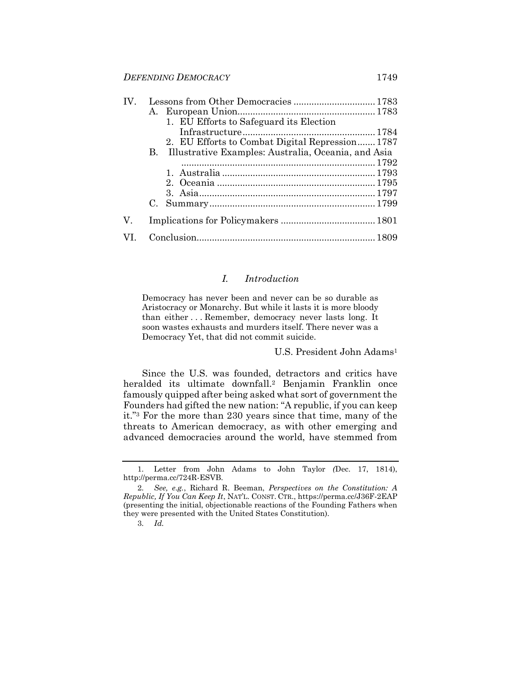| $IV_{-}$ | Lessons from Other Democracies  1783                      |
|----------|-----------------------------------------------------------|
|          |                                                           |
|          | 1. EU Efforts to Safeguard its Election                   |
|          |                                                           |
|          | 2. EU Efforts to Combat Digital Repression 1787           |
|          | Illustrative Examples: Australia, Oceania, and Asia<br>В. |
|          |                                                           |
|          |                                                           |
|          |                                                           |
|          |                                                           |
|          |                                                           |
| V.       |                                                           |
|          |                                                           |

#### *I. Introduction*

Democracy has never been and never can be so durable as Aristocracy or Monarchy. But while it lasts it is more bloody than either . . . Remember, democracy never lasts long. It soon wastes exhausts and murders itself. There never was a Democracy Yet, that did not commit suicide.

<span id="page-3-0"></span>U.S. President John Adams<sup>1</sup>

Since the U.S. was founded, detractors and critics have heralded its ultimate downfall.<sup>2</sup> Benjamin Franklin once famously quipped after being asked what sort of government the Founders had gifted the new nation: "A republic, if you can keep it."<sup>3</sup> For the more than 230 years since that time, many of the threats to American democracy, as with other emerging and advanced democracies around the world, have stemmed from

<sup>1.</sup> Letter from John Adams to John Taylor *(*Dec. 17, 1814), http://perma.cc/724R-ESVB.

<sup>2.</sup> *See, e.g.*, Richard R. Beeman, *Perspectives on the Constitution: A Republic, If You Can Keep It*, NAT'L. CONST. CTR., https://perma.cc/J36F-2EAP (presenting the initial, objectionable reactions of the Founding Fathers when they were presented with the United States Constitution).

<sup>3.</sup> *Id.*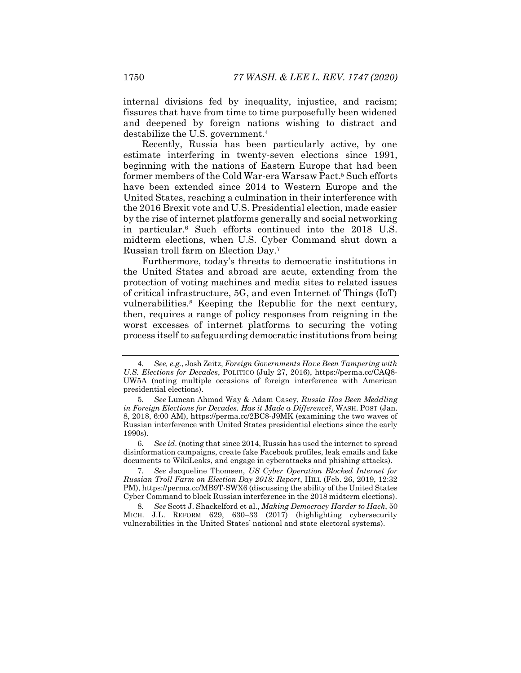internal divisions fed by inequality, injustice, and racism; fissures that have from time to time purposefully been widened and deepened by foreign nations wishing to distract and destabilize the U.S. government.<sup>4</sup>

Recently, Russia has been particularly active, by one estimate interfering in twenty-seven elections since 1991, beginning with the nations of Eastern Europe that had been former members of the Cold War-era Warsaw Pact.<sup>5</sup> Such efforts have been extended since 2014 to Western Europe and the United States, reaching a culmination in their interference with the 2016 Brexit vote and U.S. Presidential election, made easier by the rise of internet platforms generally and social networking in particular.<sup>6</sup> Such efforts continued into the 2018 U.S. midterm elections, when U.S. Cyber Command shut down a Russian troll farm on Election Day.<sup>7</sup>

<span id="page-4-0"></span>Furthermore, today's threats to democratic institutions in the United States and abroad are acute, extending from the protection of voting machines and media sites to related issues of critical infrastructure, 5G, and even Internet of Things (IoT) vulnerabilities.<sup>8</sup> Keeping the Republic for the next century, then, requires a range of policy responses from reigning in the worst excesses of internet platforms to securing the voting process itself to safeguarding democratic institutions from being

7. *See* Jacqueline Thomsen, *US Cyber Operation Blocked Internet for Russian Troll Farm on Election Day 2018: Report*, HILL (Feb. 26, 2019, 12:32 PM), https://perma.cc/MB9T-SWX6 (discussing the ability of the United States Cyber Command to block Russian interference in the 2018 midterm elections).

8. *See* Scott J. Shackelford et al., *Making Democracy Harder to Hack*, 50 MICH. J.L. REFORM 629, 630–33 (2017) (highlighting cybersecurity vulnerabilities in the United States' national and state electoral systems).

<sup>4.</sup> *See, e.g.*, Josh Zeitz, *Foreign Governments Have Been Tampering with U.S. Elections for Decades*, POLITICO (July 27, 2016), https://perma.cc/CAQ8- UW5A (noting multiple occasions of foreign interference with American presidential elections).

<sup>5.</sup> *See* Luncan Ahmad Way & Adam Casey, *Russia Has Been Meddling in Foreign Elections for Decades. Has it Made a Difference?*, WASH. POST (Jan. 8, 2018, 6:00 AM), https://perma.cc/2BC8-J9MK (examining the two waves of Russian interference with United States presidential elections since the early 1990s).

<sup>6.</sup> *See id*. (noting that since 2014, Russia has used the internet to spread disinformation campaigns, create fake Facebook profiles, leak emails and fake documents to WikiLeaks, and engage in cyberattacks and phishing attacks).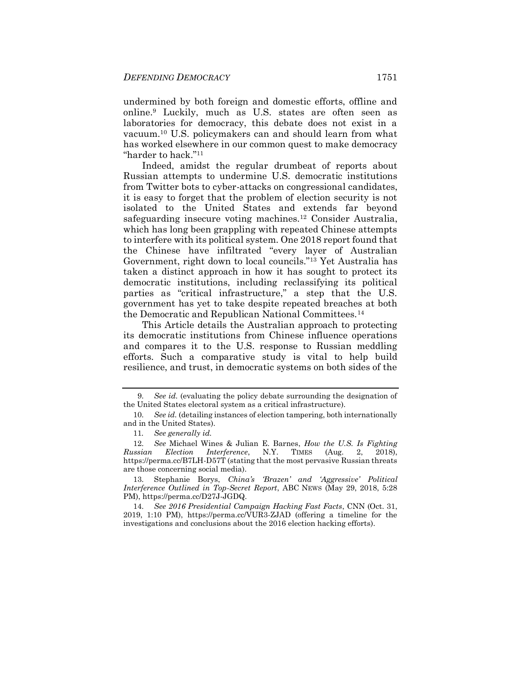undermined by both foreign and domestic efforts, offline and online.<sup>9</sup> Luckily, much as U.S. states are often seen as laboratories for democracy, this debate does not exist in a vacuum.<sup>10</sup> U.S. policymakers can and should learn from what has worked elsewhere in our common quest to make democracy "harder to hack."<sup>11</sup>

Indeed, amidst the regular drumbeat of reports about Russian attempts to undermine U.S. democratic institutions from Twitter bots to cyber-attacks on congressional candidates, it is easy to forget that the problem of election security is not isolated to the United States and extends far beyond safeguarding insecure voting machines.<sup>12</sup> Consider Australia, which has long been grappling with repeated Chinese attempts to interfere with its political system. One 2018 report found that the Chinese have infiltrated "every layer of Australian Government, right down to local councils."<sup>13</sup> Yet Australia has taken a distinct approach in how it has sought to protect its democratic institutions, including reclassifying its political parties as "critical infrastructure," a step that the U.S. government has yet to take despite repeated breaches at both the Democratic and Republican National Committees.<sup>14</sup>

This Article details the Australian approach to protecting its democratic institutions from Chinese influence operations and compares it to the U.S. response to Russian meddling efforts. Such a comparative study is vital to help build resilience, and trust, in democratic systems on both sides of the

13. Stephanie Borys, *China's 'Brazen' and 'Aggressive' Political Interference Outlined in Top-Secret Report*, ABC NEWS (May 29, 2018, 5:28 PM), https://perma.cc/D27J-JGDQ.

14. *See 2016 Presidential Campaign Hacking Fast Facts*, CNN (Oct. 31, 2019, 1:10 PM), https://perma.cc/VUR3-ZJAD (offering a timeline for the investigations and conclusions about the 2016 election hacking efforts).

<sup>9.</sup> *See id.* (evaluating the policy debate surrounding the designation of the United States electoral system as a critical infrastructure).

<sup>10.</sup> *See id.* (detailing instances of election tampering, both internationally and in the United States).

<sup>11</sup>*. See generally id.* 

<sup>12.</sup> *See* Michael Wines & Julian E. Barnes, *How the U.S. Is Fighting Russian Election Interference*, N.Y. TIMES (Aug. 2, 2018), https://perma.cc/B7LH-D57T (stating that the most pervasive Russian threats are those concerning social media).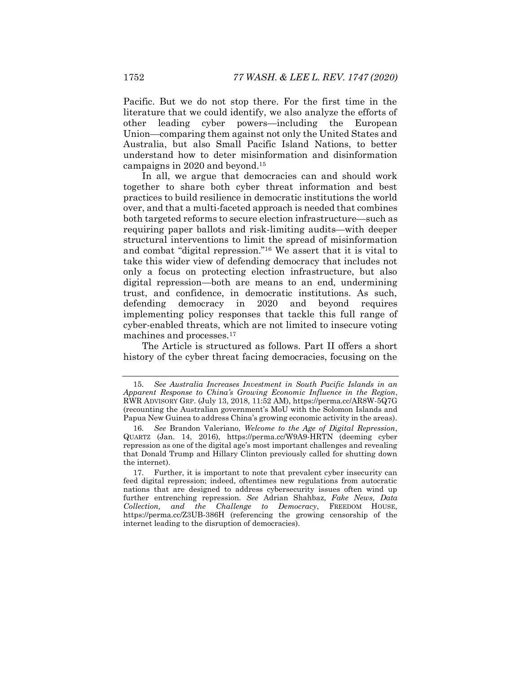Pacific. But we do not stop there. For the first time in the literature that we could identify, we also analyze the efforts of other leading cyber powers—including the European Union—comparing them against not only the United States and Australia, but also Small Pacific Island Nations, to better understand how to deter misinformation and disinformation campaigns in 2020 and beyond.<sup>15</sup>

In all, we argue that democracies can and should work together to share both cyber threat information and best practices to build resilience in democratic institutions the world over, and that a multi-faceted approach is needed that combines both targeted reforms to secure election infrastructure—such as requiring paper ballots and risk-limiting audits—with deeper structural interventions to limit the spread of misinformation and combat "digital repression."<sup>16</sup> We assert that it is vital to take this wider view of defending democracy that includes not only a focus on protecting election infrastructure, but also digital repression—both are means to an end, undermining trust, and confidence, in democratic institutions. As such, defending democracy in 2020 and beyond requires implementing policy responses that tackle this full range of cyber-enabled threats, which are not limited to insecure voting machines and processes.<sup>17</sup>

<span id="page-6-0"></span>The Article is structured as follows. Part II offers a short history of the cyber threat facing democracies, focusing on the

<sup>15.</sup> *See Australia Increases Investment in South Pacific Islands in an Apparent Response to China's Growing Economic Influence in the Region*, RWR ADVISORY GRP. (July 13, 2018, 11:52 AM), https://perma.cc/AR8W-5Q7G (recounting the Australian government's MoU with the Solomon Islands and Papua New Guinea to address China's growing economic activity in the areas).

<sup>16.</sup> *See* Brandon Valeriano, *Welcome to the Age of Digital Repression*, QUARTZ (Jan. 14, 2016), https://perma.cc/W9A9-HRTN (deeming cyber repression as one of the digital age's most important challenges and revealing that Donald Trump and Hillary Clinton previously called for shutting down the internet).

<sup>17.</sup> Further, it is important to note that prevalent cyber insecurity can feed digital repression; indeed, oftentimes new regulations from autocratic nations that are designed to address cybersecurity issues often wind up further entrenching repression. *See* Adrian Shahbaz, *Fake News, Data Collection, and the Challenge to Democracy*, FREEDOM HOUSE, https://perma.cc/Z3UB-386H (referencing the growing censorship of the internet leading to the disruption of democracies).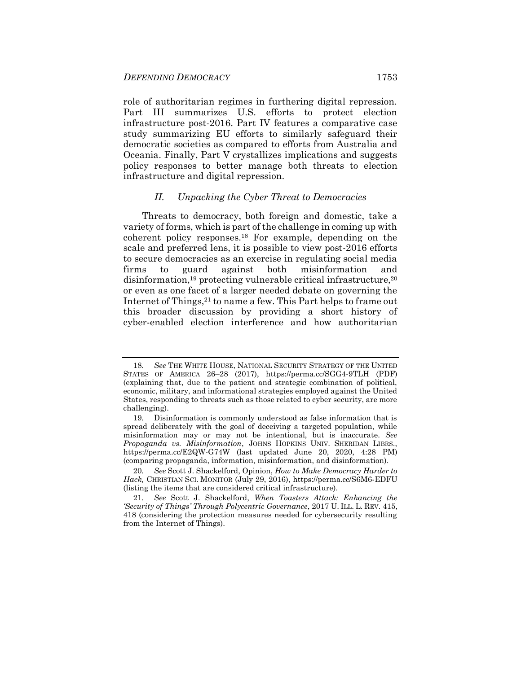role of authoritarian regimes in furthering digital repression. Part III summarizes U.S. efforts to protect election infrastructure post-2016. Part IV features a comparative case study summarizing EU efforts to similarly safeguard their democratic societies as compared to efforts from Australia and Oceania. Finally, Part V crystallizes implications and suggests policy responses to better manage both threats to election infrastructure and digital repression.

#### <span id="page-7-0"></span>*II. Unpacking the Cyber Threat to Democracies*

Threats to democracy, both foreign and domestic, take a variety of forms, which is part of the challenge in coming up with coherent policy responses.<sup>18</sup> For example, depending on the scale and preferred lens, it is possible to view post-2016 efforts to secure democracies as an exercise in regulating social media firms to guard against both misinformation and disinformation,<sup>19</sup> protecting vulnerable critical infrastructure,<sup>20</sup> or even as one facet of a larger needed debate on governing the Internet of Things, <sup>21</sup> to name a few. This Part helps to frame out this broader discussion by providing a short history of cyber-enabled election interference and how authoritarian

<sup>18.</sup> *See* THE WHITE HOUSE, NATIONAL SECURITY STRATEGY OF THE UNITED STATES OF AMERICA 26–28 (2017), https://perma.cc/SGG4-9TLH (PDF) (explaining that, due to the patient and strategic combination of political, economic, military, and informational strategies employed against the United States, responding to threats such as those related to cyber security, are more challenging).

<sup>19.</sup> Disinformation is commonly understood as false information that is spread deliberately with the goal of deceiving a targeted population, while misinformation may or may not be intentional, but is inaccurate. *See Propaganda vs. Misinformation*, JOHNS HOPKINS UNIV. SHERIDAN LIBRS., https://perma.cc/E2QW-G74W (last updated June 20, 2020, 4:28 PM) (comparing propaganda, information, misinformation, and disinformation).

<sup>20.</sup> *See* Scott J. Shackelford, Opinion, *How to Make Democracy Harder to Hack,* CHRISTIAN SCI. MONITOR (July 29, 2016), https://perma.cc/S6M6-EDFU (listing the items that are considered critical infrastructure).

<sup>21.</sup> *See* Scott J. Shackelford, *When Toasters Attack: Enhancing the 'Security of Things' Through Polycentric Governance*, 2017 U. ILL. L. REV. 415, 418 (considering the protection measures needed for cybersecurity resulting from the Internet of Things).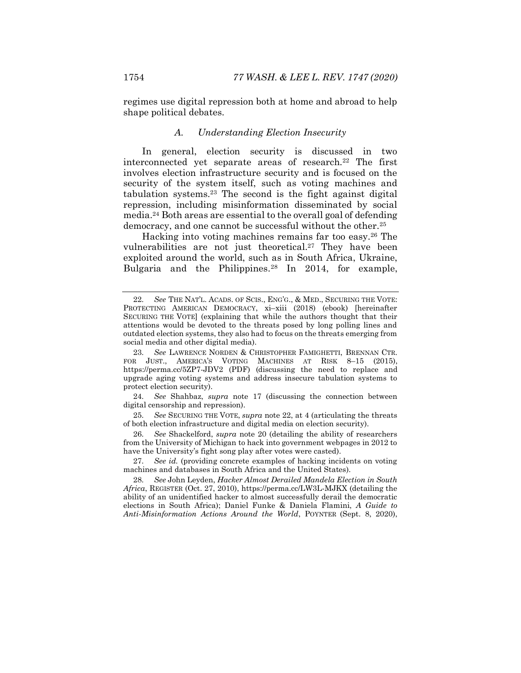regimes use digital repression both at home and abroad to help shape political debates.

#### <span id="page-8-0"></span>*A. Understanding Election Insecurity*

In general, election security is discussed in two interconnected yet separate areas of research.<sup>22</sup> The first involves election infrastructure security and is focused on the security of the system itself, such as voting machines and tabulation systems.<sup>23</sup> The second is the fight against digital repression, including misinformation disseminated by social media.<sup>24</sup> Both areas are essential to the overall goal of defending democracy, and one cannot be successful without the other.<sup>25</sup>

<span id="page-8-1"></span>Hacking into voting machines remains far too easy.<sup>26</sup> The vulnerabilities are not just theoretical.<sup>27</sup> They have been exploited around the world, such as in South Africa, Ukraine, Bulgaria and the Philippines.<sup>28</sup> In 2014, for example,

27. *See id.* (providing concrete examples of hacking incidents on voting machines and databases in South Africa and the United States).

28. *See* John Leyden, *Hacker Almost Derailed Mandela Election in South Africa*, REGISTER (Oct. 27, 2010), https://perma.cc/LW3L-MJKX (detailing the ability of an unidentified hacker to almost successfully derail the democratic elections in South Africa); Daniel Funke & Daniela Flamini, *A Guide to Anti-Misinformation Actions Around the World*, POYNTER (Sept. 8, 2020),

<sup>22.</sup> *See* THE NAT'L. ACADS. OF SCIS., ENG'G., & MED., SECURING THE VOTE: PROTECTING AMERICAN DEMOCRACY, xi–xiii (2018) (ebook) [hereinafter SECURING THE VOTE] (explaining that while the authors thought that their attentions would be devoted to the threats posed by long polling lines and outdated election systems, they also had to focus on the threats emerging from social media and other digital media).

<sup>23.</sup> *See* LAWRENCE NORDEN & CHRISTOPHER FAMIGHETTI, BRENNAN CTR. FOR JUST., AMERICA'S VOTING MACHINES AT RISK 8-15 (2015), https://perma.cc/5ZP7-JDV2 (PDF) (discussing the need to replace and upgrade aging voting systems and address insecure tabulation systems to protect election security).

<sup>24.</sup> *See* Shahbaz, *supra* note [17](#page-6-0) (discussing the connection between digital censorship and repression).

<sup>25.</sup> *See* SECURING THE VOTE, *supra* not[e 22,](#page-8-0) at 4 (articulating the threats of both election infrastructure and digital media on election security).

<sup>26.</sup> *See* Shackelford, *supra* note [20](#page-7-0) (detailing the ability of researchers from the University of Michigan to hack into government webpages in 2012 to have the University's fight song play after votes were casted).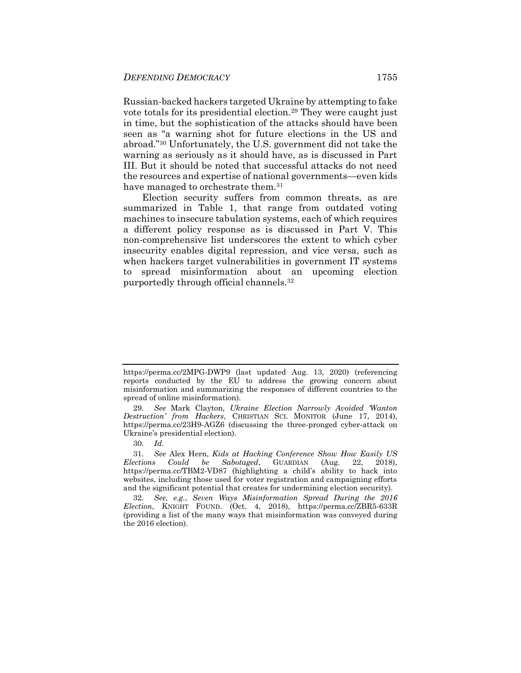Russian-backed hackers targeted Ukraine by attempting to fake vote totals for its presidential election.<sup>29</sup> They were caught just in time, but the sophistication of the attacks should have been seen as "a warning shot for future elections in the US and abroad."<sup>30</sup> Unfortunately, the U.S. government did not take the warning as seriously as it should have, as is discussed in Part III. But it should be noted that successful attacks do not need the resources and expertise of national governments—even kids have managed to orchestrate them.<sup>31</sup>

Election security suffers from common threats, as are summarized in Table 1, that range from outdated voting machines to insecure tabulation systems, each of which requires a different policy response as is discussed in Part V. This non-comprehensive list underscores the extent to which cyber insecurity enables digital repression, and vice versa, such as when hackers target vulnerabilities in government IT systems to spread misinformation about an upcoming election purportedly through official channels.<sup>32</sup>

https://perma.cc/2MPG-DWP9 (last updated Aug. 13, 2020) (referencing reports conducted by the EU to address the growing concern about misinformation and summarizing the responses of different countries to the spread of online misinformation).

<sup>29.</sup> *See* Mark Clayton, *Ukraine Election Narrowly Avoided 'Wanton Destruction' from Hackers*, CHRISTIAN SCI. MONITOR (June 17, 2014), https://perma.cc/23H9-AGZ6 (discussing the three-pronged cyber-attack on Ukraine's presidential election).

<sup>30.</sup> *Id*.

<sup>31.</sup> *See* Alex Hern, *Kids at Hacking Conference Show How Easily US Elections Could be Sabotaged*, GUARDIAN (Aug. 22, 2018), https://perma.cc/TBM2-VD87 (highlighting a child's ability to hack into websites, including those used for voter registration and campaigning efforts and the significant potential that creates for undermining election security).

<sup>32.</sup> *See, e.g.*, *Seven Ways Misinformation Spread During the 2016 Election*, KNIGHT FOUND. (Oct. 4, 2018), https://perma.cc/ZBR5-633R (providing a list of the many ways that misinformation was conveyed during the 2016 election).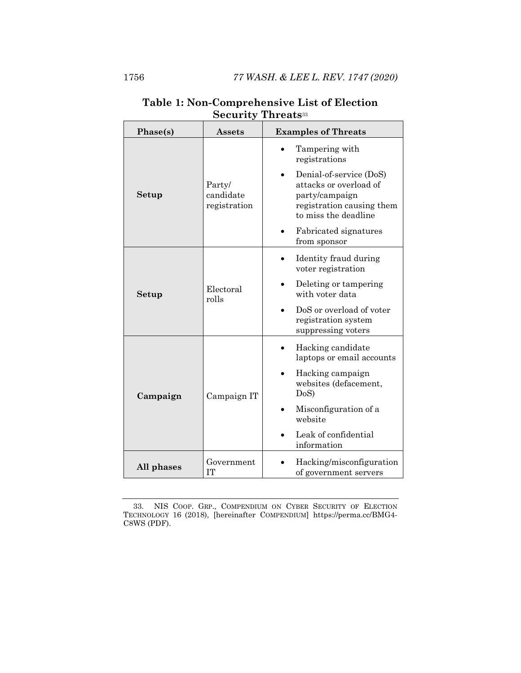| Phase(s)   | $\operatorname{Assets}$             | <b>Examples of Threats</b>                                                                                               |
|------------|-------------------------------------|--------------------------------------------------------------------------------------------------------------------------|
|            | Party/<br>candidate<br>registration | Tampering with<br>registrations                                                                                          |
| Setup      |                                     | Denial-of-service (DoS)<br>attacks or overload of<br>party/campaign<br>registration causing them<br>to miss the deadline |
|            |                                     | Fabricated signatures<br>from sponsor                                                                                    |
|            | Electoral<br>rolls                  | Identity fraud during<br>voter registration                                                                              |
| Setup      |                                     | Deleting or tampering<br>with voter data                                                                                 |
|            |                                     | DoS or overload of voter<br>registration system<br>suppressing voters                                                    |
|            | Campaign IT                         | Hacking candidate<br>laptops or email accounts                                                                           |
| Campaign   |                                     | Hacking campaign<br>websites (defacement,<br>DoS                                                                         |
|            |                                     | Misconfiguration of a<br>website                                                                                         |
|            |                                     | Leak of confidential<br>information                                                                                      |
| All phases | Government<br><b>IT</b>             | Hacking/misconfiguration<br>of government servers                                                                        |

### <span id="page-10-0"></span>**Table 1: Non-Comprehensive List of Election Security Threats**<sup>33</sup>

33. NIS COOP. GRP., COMPENDIUM ON CYBER SECURITY OF ELECTION TECHNOLOGY 16 (2018), [hereinafter COMPENDIUM] https://perma.cc/BMG4- C8WS (PDF).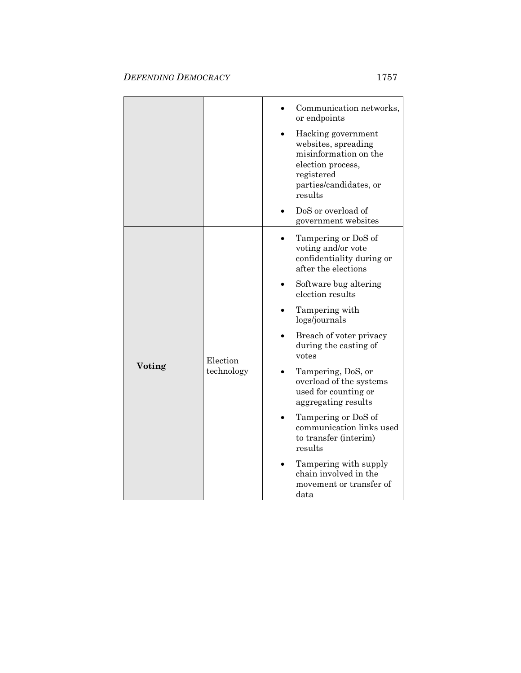|        |                        | Communication networks,<br>or endpoints                                                                                                    |
|--------|------------------------|--------------------------------------------------------------------------------------------------------------------------------------------|
|        |                        | Hacking government<br>websites, spreading<br>misinformation on the<br>election process,<br>registered<br>parties/candidates, or<br>results |
|        |                        | DoS or overload of<br>government websites                                                                                                  |
|        | Election<br>technology | Tampering or DoS of<br>voting and/or vote<br>confidentiality during or<br>after the elections                                              |
|        |                        | Software bug altering<br>election results                                                                                                  |
|        |                        | Tampering with<br>logs/journals                                                                                                            |
|        |                        | Breach of voter privacy<br>during the casting of<br>votes                                                                                  |
| Voting |                        | Tampering, DoS, or<br>overload of the systems<br>used for counting or<br>aggregating results                                               |
|        |                        | Tampering or DoS of<br>communication links used<br>to transfer (interim)<br>results                                                        |
|        |                        | Tampering with supply<br>chain involved in the<br>movement or transfer of<br>data                                                          |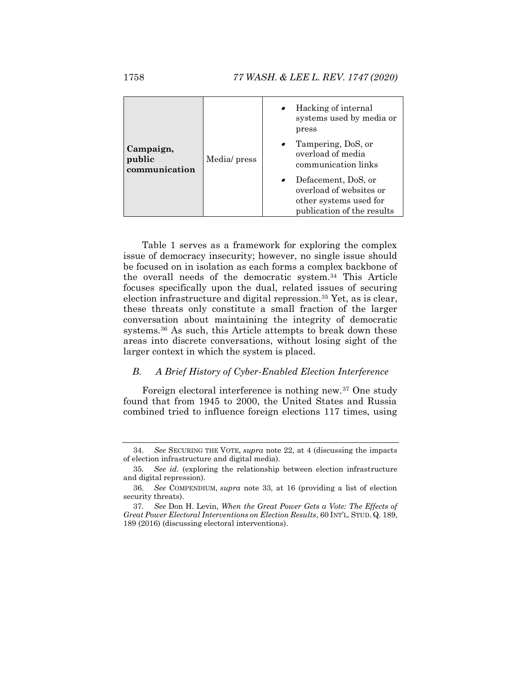|                                      | Media/ press | Hacking of internal<br>systems used by media or<br>press                                               |
|--------------------------------------|--------------|--------------------------------------------------------------------------------------------------------|
| Campaign,<br>public<br>communication |              | Tampering, DoS, or<br>overload of media<br>communication links                                         |
|                                      |              | Defacement, DoS, or<br>overload of websites or<br>other systems used for<br>publication of the results |

Table 1 serves as a framework for exploring the complex issue of democracy insecurity; however, no single issue should be focused on in isolation as each forms a complex backbone of the overall needs of the democratic system.<sup>34</sup> This Article focuses specifically upon the dual, related issues of securing election infrastructure and digital repression.<sup>35</sup> Yet, as is clear, these threats only constitute a small fraction of the larger conversation about maintaining the integrity of democratic systems.<sup>36</sup> As such, this Article attempts to break down these areas into discrete conversations, without losing sight of the larger context in which the system is placed.

#### *B. A Brief History of Cyber-Enabled Election Interference*

Foreign electoral interference is nothing new.<sup>37</sup> One study found that from 1945 to 2000, the United States and Russia combined tried to influence foreign elections 117 times, using

<sup>34.</sup> *See* SECURING THE VOTE, *supra* note [22,](#page-8-0) at 4 (discussing the impacts of election infrastructure and digital media).

<sup>35.</sup> *See id.* (exploring the relationship between election infrastructure and digital repression).

<sup>36.</sup> *See* COMPENDIUM, *supra* note [33,](#page-10-0) at 16 (providing a list of election security threats).

<sup>37.</sup> *See* Don H. Levin, *When the Great Power Gets a Vote: The Effects of Great Power Electoral Interventions on Election Results*, 60 INT'L. STUD. Q. 189, 189 (2016) (discussing electoral interventions).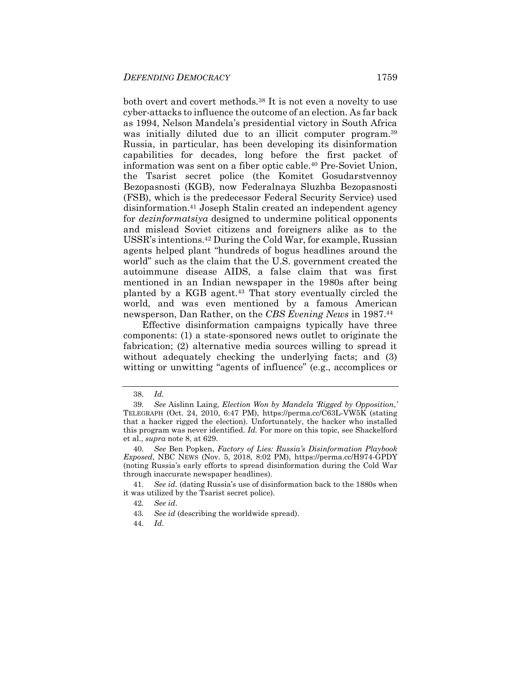<span id="page-13-0"></span>both overt and covert methods.<sup>38</sup> It is not even a novelty to use cyber-attacks to influence the outcome of an election. As far back as 1994, Nelson Mandela's presidential victory in South Africa was initially diluted due to an illicit computer program.<sup>39</sup> Russia, in particular, has been developing its disinformation capabilities for decades, long before the first packet of information was sent on a fiber optic cable.<sup>40</sup> Pre-Soviet Union, the Tsarist secret police (the Komitet Gosudarstvennoy Bezopasnosti (KGB), now Federalnaya Sluzhba Bezopasnosti (FSB), which is the predecessor Federal Security Service) used disinformation.<sup>41</sup> Joseph Stalin created an independent agency for *dezinformatsiya* designed to undermine political opponents and mislead Soviet citizens and foreigners alike as to the USSR's intentions.<sup>42</sup> During the Cold War, for example, Russian agents helped plant "hundreds of bogus headlines around the world" such as the claim that the U.S. government created the autoimmune disease AIDS, a false claim that was first mentioned in an Indian newspaper in the 1980s after being planted by a KGB agent.<sup>43</sup> That story eventually circled the world, and was even mentioned by a famous American newsperson, Dan Rather, on the *CBS Evening News* in 1987.<sup>44</sup>

Effective disinformation campaigns typically have three components: (1) a state-sponsored news outlet to originate the fabrication; (2) alternative media sources willing to spread it without adequately checking the underlying facts; and (3) witting or unwitting "agents of influence" (e.g., accomplices or

44. *Id*.

<sup>38.</sup> *Id.*

<sup>39.</sup> *See* Aislinn Laing, *Election Won by Mandela 'Rigged by Opposition*,*'* TELEGRAPH (Oct. 24, 2010, 6:47 PM), https://perma.cc/C63L-VW5K (stating that a hacker rigged the election). Unfortunately, the hacker who installed this program was never identified. *Id.* For more on this topic, see Shackelford et al., *supra* not[e 8,](#page-4-0) at 629.

<sup>40.</sup> *See* Ben Popken, *Factory of Lies: Russia's Disinformation Playbook Exposed*, NBC NEWS (Nov. 5, 2018, 8:02 PM), https://perma.cc/H974-GPDY (noting Russia's early efforts to spread disinformation during the Cold War through inaccurate newspaper headlines).

<sup>41.</sup> *See id.* (dating Russia's use of disinformation back to the 1880s when it was utilized by the Tsarist secret police).

<sup>42</sup>*. See id*.

<sup>43</sup>*. See id* (describing the worldwide spread).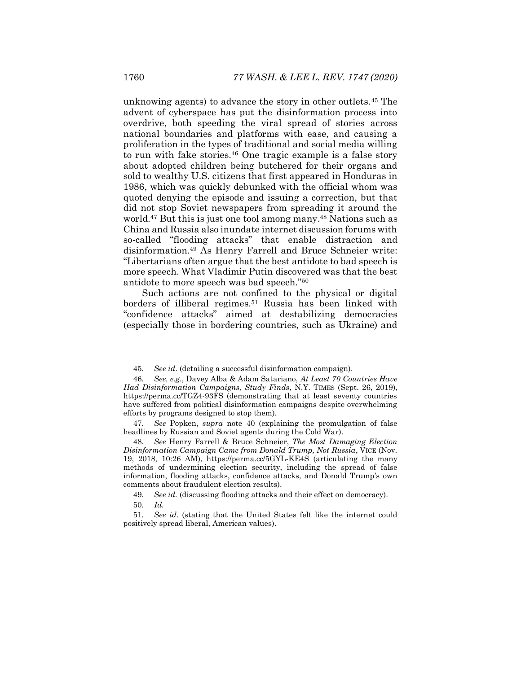unknowing agents) to advance the story in other outlets.<sup>45</sup> The advent of cyberspace has put the disinformation process into overdrive, both speeding the viral spread of stories across national boundaries and platforms with ease, and causing a proliferation in the types of traditional and social media willing to run with fake stories.<sup>46</sup> One tragic example is a false story about adopted children being butchered for their organs and sold to wealthy U.S. citizens that first appeared in Honduras in 1986, which was quickly debunked with the official whom was quoted denying the episode and issuing a correction, but that did not stop Soviet newspapers from spreading it around the world.<sup>47</sup> But this is just one tool among many.<sup>48</sup> Nations such as China and Russia also inundate internet discussion forums with so-called "flooding attacks" that enable distraction and disinformation.<sup>49</sup> As Henry Farrell and Bruce Schneier write: "Libertarians often argue that the best antidote to bad speech is more speech. What Vladimir Putin discovered was that the best antidote to more speech was bad speech."<sup>50</sup>

<span id="page-14-0"></span>Such actions are not confined to the physical or digital borders of illiberal regimes.<sup>51</sup> Russia has been linked with "confidence attacks" aimed at destabilizing democracies (especially those in bordering countries, such as Ukraine) and

49. *See id.* (discussing flooding attacks and their effect on democracy).

<sup>45.</sup> *See id*. (detailing a successful disinformation campaign).

<sup>46.</sup> *See, e.g.*, Davey Alba & Adam Satariano, *At Least 70 Countries Have Had Disinformation Campaigns, Study Finds*, N.Y. TIMES (Sept. 26, 2019), https://perma.cc/TGZ4-93FS (demonstrating that at least seventy countries have suffered from political disinformation campaigns despite overwhelming efforts by programs designed to stop them).

<sup>47.</sup> *See* Popken, *supra* note [40](#page-13-0) (explaining the promulgation of false headlines by Russian and Soviet agents during the Cold War).

<sup>48.</sup> *See* Henry Farrell & Bruce Schneier, *The Most Damaging Election Disinformation Campaign Came from Donald Trump, Not Russia*, VICE (Nov. 19, 2018, 10:26 AM), https://perma.cc/5GYL-KE4S (articulating the many methods of undermining election security, including the spread of false information, flooding attacks, confidence attacks, and Donald Trump's own comments about fraudulent election results).

<sup>50.</sup> *Id.* 

<sup>51.</sup> *See id*. (stating that the United States felt like the internet could positively spread liberal, American values).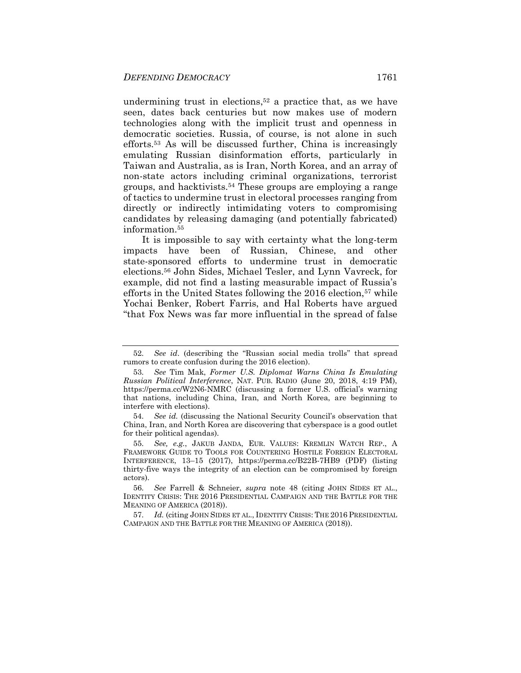undermining trust in elections, <sup>52</sup> a practice that, as we have seen, dates back centuries but now makes use of modern technologies along with the implicit trust and openness in democratic societies. Russia, of course, is not alone in such efforts.<sup>53</sup> As will be discussed further, China is increasingly emulating Russian disinformation efforts, particularly in Taiwan and Australia, as is Iran, North Korea, and an array of non-state actors including criminal organizations, terrorist groups, and hacktivists.<sup>54</sup> These groups are employing a range of tactics to undermine trust in electoral processes ranging from directly or indirectly intimidating voters to compromising candidates by releasing damaging (and potentially fabricated) information.<sup>55</sup>

It is impossible to say with certainty what the long-term impacts have been of Russian, Chinese, and other state-sponsored efforts to undermine trust in democratic elections.<sup>56</sup> John Sides, Michael Tesler, and Lynn Vavreck, for example, did not find a lasting measurable impact of Russia's efforts in the United States following the 2016 election,<sup>57</sup> while Yochai Benker, Robert Farris, and Hal Roberts have argued "that Fox News was far more influential in the spread of false

<sup>52.</sup> *See id*. (describing the "Russian social media trolls" that spread rumors to create confusion during the 2016 election).

<sup>53.</sup> *See* Tim Mak, *Former U.S. Diplomat Warns China Is Emulating Russian Political Interference*, NAT. PUB. RADIO (June 20, 2018, 4:19 PM), https://perma.cc/W2N6-NMRC (discussing a former U.S. official's warning that nations, including China, Iran, and North Korea, are beginning to interfere with elections).

<sup>54.</sup> *See id.* (discussing the National Security Council's observation that China, Iran, and North Korea are discovering that cyberspace is a good outlet for their political agendas).

<sup>55.</sup> *See, e.g.*, JAKUB JANDA, EUR. VALUES: KREMLIN WATCH REP., A FRAMEWORK GUIDE TO TOOLS FOR COUNTERING HOSTILE FOREIGN ELECTORAL INTERFERENCE, 13–15 (2017), https://perma.cc/B22B-7HB9 (PDF) (listing thirty-five ways the integrity of an election can be compromised by foreign actors).

<sup>56.</sup> *See* Farrell & Schneier, *supra* note [48](#page-14-0) (citing JOHN SIDES ET AL., IDENTITY CRISIS: THE 2016 PRESIDENTIAL CAMPAIGN AND THE BATTLE FOR THE MEANING OF AMERICA (2018)).

<sup>57.</sup> *Id.* (citing JOHN SIDES ET AL., IDENTITY CRISIS: THE 2016 PRESIDENTIAL CAMPAIGN AND THE BATTLE FOR THE MEANING OF AMERICA (2018)).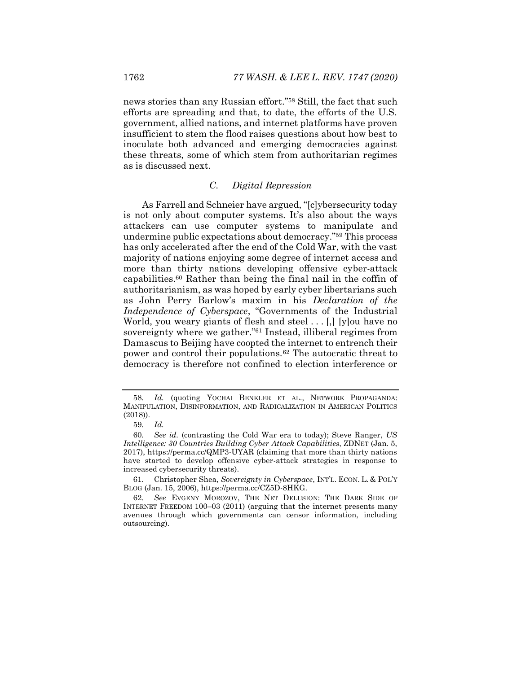news stories than any Russian effort."<sup>58</sup> Still, the fact that such efforts are spreading and that, to date, the efforts of the U.S. government, allied nations, and internet platforms have proven insufficient to stem the flood raises questions about how best to inoculate both advanced and emerging democracies against these threats, some of which stem from authoritarian regimes as is discussed next.

#### *C. Digital Repression*

As Farrell and Schneier have argued, "[c]ybersecurity today is not only about computer systems. It's also about the ways attackers can use computer systems to manipulate and undermine public expectations about democracy."<sup>59</sup> This process has only accelerated after the end of the Cold War, with the vast majority of nations enjoying some degree of internet access and more than thirty nations developing offensive cyber-attack capabilities.<sup>60</sup> Rather than being the final nail in the coffin of authoritarianism, as was hoped by early cyber libertarians such as John Perry Barlow's maxim in his *Declaration of the Independence of Cyberspace*, "Governments of the Industrial World, you weary giants of flesh and steel . . . [,] [y]ou have no sovereignty where we gather."<sup>61</sup> Instead, illiberal regimes from Damascus to Beijing have coopted the internet to entrench their power and control their populations.<sup>62</sup> The autocratic threat to democracy is therefore not confined to election interference or

<sup>58.</sup> *Id.* (quoting YOCHAI BENKLER ET AL., NETWORK PROPAGANDA: MANIPULATION, DISINFORMATION, AND RADICALIZATION IN AMERICAN POLITICS (2018)).

<sup>59.</sup> *Id.*

<sup>60.</sup> *See id.* (contrasting the Cold War era to today); Steve Ranger, *US Intelligence: 30 Countries Building Cyber Attack Capabilities*, ZDNET (Jan. 5, 2017), https://perma.cc/QMP3-UYAR (claiming that more than thirty nations have started to develop offensive cyber-attack strategies in response to increased cybersecurity threats).

<sup>61.</sup> Christopher Shea, *Sovereignty in Cyberspace*, INT'L. ECON. L. & POL'Y BLOG (Jan. 15, 2006), https://perma.cc/CZ5D-8HKG.

<sup>62.</sup> *See* EVGENY MOROZOV, THE NET DELUSION: THE DARK SIDE OF INTERNET FREEDOM 100–03 (2011) (arguing that the internet presents many avenues through which governments can censor information, including outsourcing).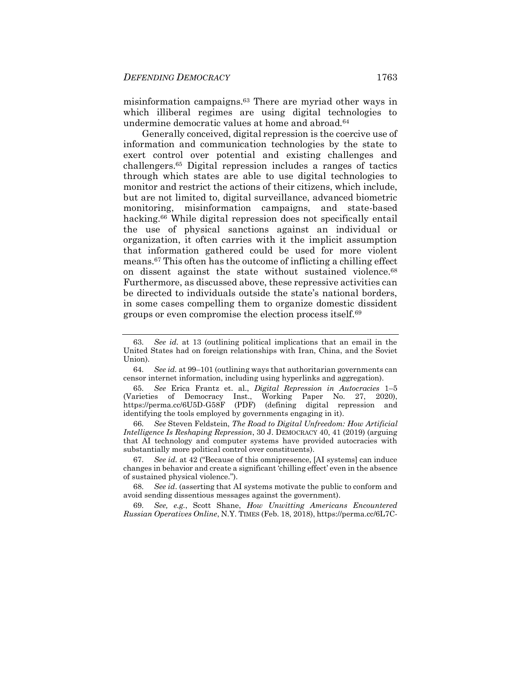misinformation campaigns.<sup>63</sup> There are myriad other ways in which illiberal regimes are using digital technologies to undermine democratic values at home and abroad.<sup>64</sup>

<span id="page-17-0"></span>Generally conceived, digital repression is the coercive use of information and communication technologies by the state to exert control over potential and existing challenges and challengers.<sup>65</sup> Digital repression includes a ranges of tactics through which states are able to use digital technologies to monitor and restrict the actions of their citizens, which include, but are not limited to, digital surveillance, advanced biometric monitoring, misinformation campaigns, and state-based hacking.<sup>66</sup> While digital repression does not specifically entail the use of physical sanctions against an individual or organization, it often carries with it the implicit assumption that information gathered could be used for more violent means.<sup>67</sup> This often has the outcome of inflicting a chilling effect on dissent against the state without sustained violence.<sup>68</sup> Furthermore, as discussed above, these repressive activities can be directed to individuals outside the state's national borders, in some cases compelling them to organize domestic dissident groups or even compromise the election process itself.<sup>69</sup>

66. *See* Steven Feldstein, *The Road to Digital Unfreedom: How Artificial Intelligence Is Reshaping Repression*, 30 J. DEMOCRACY 40, 41 (2019) (arguing that AI technology and computer systems have provided autocracies with substantially more political control over constituents).

67. *See id.* at 42 ("Because of this omnipresence, [AI systems] can induce changes in behavior and create a significant 'chilling effect' even in the absence of sustained physical violence.").

68. *See id*. (asserting that AI systems motivate the public to conform and avoid sending dissentious messages against the government).

69. *See, e.g.*, Scott Shane, *How Unwitting Americans Encountered Russian Operatives Online*, N.Y. TIMES (Feb. 18, 2018), https://perma.cc/6L7C-

<sup>63.</sup> *See id.* at 13 (outlining political implications that an email in the United States had on foreign relationships with Iran, China, and the Soviet Union).

<sup>64.</sup> *See id.* at 99–101 (outlining ways that authoritarian governments can censor internet information, including using hyperlinks and aggregation).

<sup>65.</sup> *See* Erica Frantz et. al., *Digital Repression in Autocracies* 1–5 (Varieties of Democracy Inst., Working Paper No. 27, 2020), https://perma.cc/6U5D-G58F (PDF) (defining digital repression and identifying the tools employed by governments engaging in it).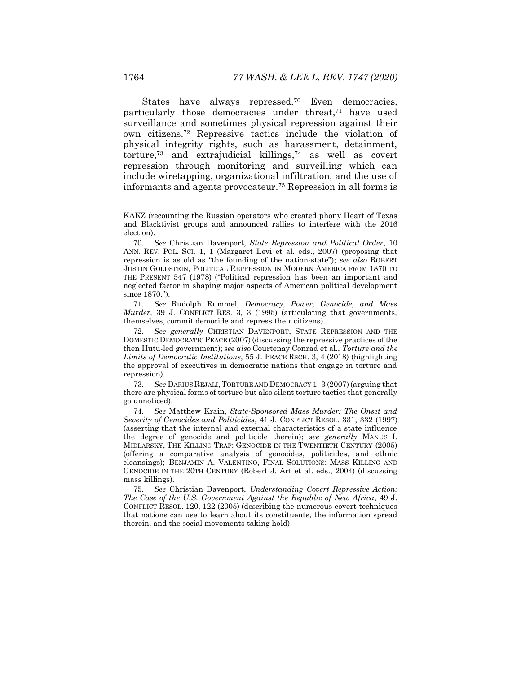<span id="page-18-1"></span><span id="page-18-0"></span>States have always repressed.<sup>70</sup> Even democracies, particularly those democracies under threat,<sup>71</sup> have used surveillance and sometimes physical repression against their own citizens.<sup>72</sup> Repressive tactics include the violation of physical integrity rights, such as harassment, detainment, torture,<sup>73</sup> and extrajudicial killings,<sup>74</sup> as well as covert repression through monitoring and surveilling which can include wiretapping, organizational infiltration, and the use of informants and agents provocateur.<sup>75</sup> Repression in all forms is

71*. See* Rudolph Rummel, *Democracy, Power, Genocide, and Mass Murder*, 39 J. CONFLICT RES. 3, 3 (1995) (articulating that governments, themselves, commit democide and repress their citizens).

72. *See generally* CHRISTIAN DAVENPORT, STATE REPRESSION AND THE DOMESTIC DEMOCRATIC PEACE (2007) (discussing the repressive practices of the then Hutu-led government); *see also* Courtenay Conrad et al., *Torture and the Limits of Democratic Institutions*, 55 J. PEACE RSCH. 3, 4 (2018) (highlighting the approval of executives in democratic nations that engage in torture and repression).

73. *See* DARIUS REJALI,TORTURE AND DEMOCRACY 1–3 (2007) (arguing that there are physical forms of torture but also silent torture tactics that generally go unnoticed).

74. *See* Matthew Krain, *State-Sponsored Mass Murder: The Onset and Severity of Genocides and Politicides*, 41 J. CONFLICT RESOL. 331, 332 (1997) (asserting that the internal and external characteristics of a state influence the degree of genocide and politicide therein); *see generally* MANUS I. MIDLARSKY, THE KILLING TRAP: GENOCIDE IN THE TWENTIETH CENTURY (2005) (offering a comparative analysis of genocides, politicides, and ethnic cleansings); BENJAMIN A. VALENTINO, FINAL SOLUTIONS: MASS KILLING AND GENOCIDE IN THE 20TH CENTURY (Robert J. Art et al. eds., 2004) (discussing mass killings)*.*

75. *See* Christian Davenport, *Understanding Covert Repressive Action: The Case of the U.S. Government Against the Republic of New Africa*, 49 J. CONFLICT RESOL. 120, 122 (2005) (describing the numerous covert techniques that nations can use to learn about its constituents, the information spread therein, and the social movements taking hold).

KAKZ (recounting the Russian operators who created phony Heart of Texas and Blacktivist groups and announced rallies to interfere with the 2016 election).

<sup>70.</sup> *See* Christian Davenport, *State Repression and Political Order*, 10 ANN. REV. POL. SCI. 1, 1 (Margaret Levi et al. eds., 2007) (proposing that repression is as old as "the founding of the nation-state"); *see also* ROBERT JUSTIN GOLDSTEIN, POLITICAL REPRESSION IN MODERN AMERICA FROM 1870 TO THE PRESENT 547 (1978) ("Political repression has been an important and neglected factor in shaping major aspects of American political development since 1870.").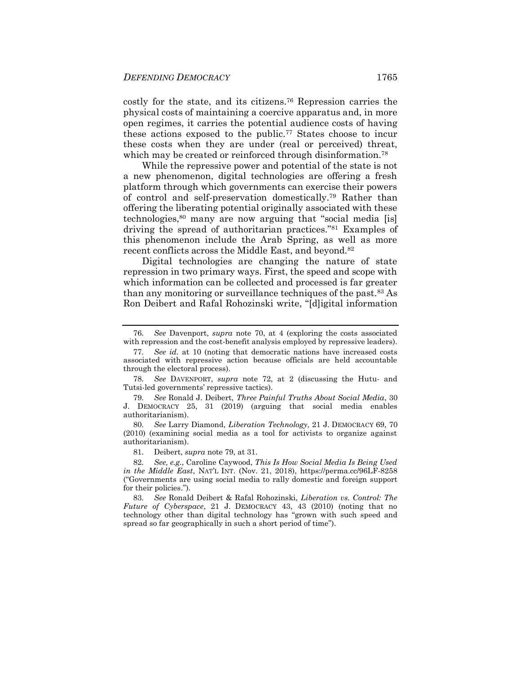<span id="page-19-1"></span>costly for the state, and its citizens.<sup>76</sup> Repression carries the physical costs of maintaining a coercive apparatus and, in more open regimes, it carries the potential audience costs of having these actions exposed to the public.<sup>77</sup> States choose to incur these costs when they are under (real or perceived) threat, which may be created or reinforced through disinformation.<sup>78</sup>

<span id="page-19-2"></span><span id="page-19-0"></span>While the repressive power and potential of the state is not a new phenomenon, digital technologies are offering a fresh platform through which governments can exercise their powers of control and self-preservation domestically.<sup>79</sup> Rather than offering the liberating potential originally associated with these technologies,<sup>80</sup> many are now arguing that "social media [is] driving the spread of authoritarian practices."<sup>81</sup> Examples of this phenomenon include the Arab Spring, as well as more recent conflicts across the Middle East, and beyond.<sup>82</sup>

Digital technologies are changing the nature of state repression in two primary ways. First, the speed and scope with which information can be collected and processed is far greater than any monitoring or surveillance techniques of the past.<sup>83</sup> As Ron Deibert and Rafal Rohozinski write, "[d]igital information

<sup>76.</sup> *See* Davenport, *supra* note [70,](#page-18-0) at 4 (exploring the costs associated with repression and the cost-benefit analysis employed by repressive leaders).

<sup>77.</sup> *See id.* at 10 (noting that democratic nations have increased costs associated with repressive action because officials are held accountable through the electoral process).

<sup>78.</sup> *See* DAVENPORT, *supra* note [72,](#page-18-1) at 2 (discussing the Hutu- and Tutsi-led governments' repressive tactics).

<sup>79.</sup> *See* Ronald J. Deibert, *Three Painful Truths About Social Media*, 30 J. DEMOCRACY 25, 31 (2019) (arguing that social media enables authoritarianism).

<sup>80.</sup> *See* Larry Diamond, *Liberation Technology*, 21 J. DEMOCRACY 69, 70 (2010) (examining social media as a tool for activists to organize against authoritarianism).

<sup>81.</sup> Deibert, *supra* note [79,](#page-19-0) at 31.

<sup>82.</sup> *See, e.g.*, Caroline Caywood, *This Is How Social Media Is Being Used in the Middle East*, NAT'L INT. (Nov. 21, 2018), https://perma.cc/96LF-8258 ("Governments are using social media to rally domestic and foreign support for their policies.").

<sup>83.</sup> *See* Ronald Deibert & Rafal Rohozinski, *Liberation vs. Control: The Future of Cyberspace*, 21 J. DEMOCRACY 43, 43 (2010) (noting that no technology other than digital technology has "grown with such speed and spread so far geographically in such a short period of time").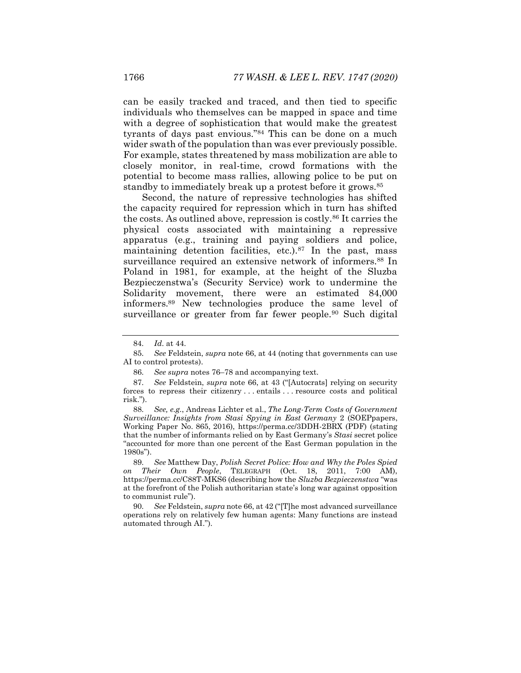can be easily tracked and traced, and then tied to specific individuals who themselves can be mapped in space and time with a degree of sophistication that would make the greatest tyrants of days past envious."<sup>84</sup> This can be done on a much wider swath of the population than was ever previously possible. For example, states threatened by mass mobilization are able to closely monitor, in real-time, crowd formations with the potential to become mass rallies, allowing police to be put on standby to immediately break up a protest before it grows.<sup>85</sup>

Second, the nature of repressive technologies has shifted the capacity required for repression which in turn has shifted the costs. As outlined above, repression is costly.<sup>86</sup> It carries the physical costs associated with maintaining a repressive apparatus (e.g., training and paying soldiers and police, maintaining detention facilities, etc.). $87$  In the past, mass surveillance required an extensive network of informers.<sup>88</sup> In Poland in 1981, for example, at the height of the Sluzba Bezpieczenstwa's (Security Service) work to undermine the Solidarity movement, there were an estimated 84,000 informers.<sup>89</sup> New technologies produce the same level of surveillance or greater from far fewer people.<sup>90</sup> Such digital

88. *See, e.g.*, Andreas Lichter et al., *The Long-Term Costs of Government Surveillance: Insights from Stasi Spying in East Germany* 2 (SOEPpapers, Working Paper No. 865, 2016), https://perma.cc/3DDH-2BRX (PDF) (stating that the number of informants relied on by East Germany's *Stasi* secret police "accounted for more than one percent of the East German population in the 1980s").

89. *See* Matthew Day, *Polish Secret Police: How and Why the Poles Spied on Their Own People*, TELEGRAPH (Oct. 18, 2011, 7:00 AM), https://perma.cc/C88T-MKS6 (describing how the *Sluzba Bezpieczenstwa* "was at the forefront of the Polish authoritarian state's long war against opposition to communist rule").

90. *See* Feldstein, *supra* not[e 66,](#page-17-0) at 42 ("[T]he most advanced surveillance operations rely on relatively few human agents: Many functions are instead automated through AI.").

<sup>84.</sup> *Id*. at 44.

<sup>85.</sup> *See* Feldstein, *supra* not[e 66,](#page-17-0) at 44 (noting that governments can use AI to control protests).

<sup>86.</sup> *See supra* note[s 76](#page-19-1)–[78](#page-19-2) and accompanying text.

<sup>87.</sup> *See* Feldstein, *supra* note [66,](#page-17-0) at 43 ("[Autocrats] relying on security forces to repress their citizenry . . . entails . . . resource costs and political risk.").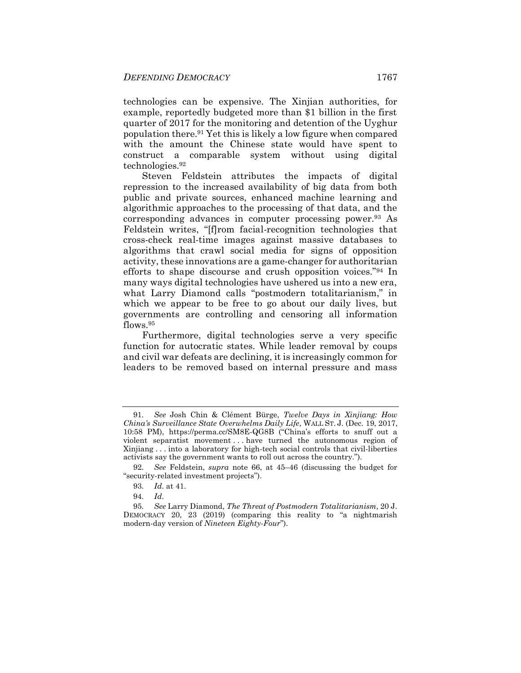technologies can be expensive. The Xinjian authorities, for example, reportedly budgeted more than \$1 billion in the first quarter of 2017 for the monitoring and detention of the Uyghur population there.<sup>91</sup> Yet this is likely a low figure when compared with the amount the Chinese state would have spent to construct a comparable system without using digital technologies.<sup>92</sup>

Steven Feldstein attributes the impacts of digital repression to the increased availability of big data from both public and private sources, enhanced machine learning and algorithmic approaches to the processing of that data, and the corresponding advances in computer processing power.<sup>93</sup> As Feldstein writes, "[f]rom facial-recognition technologies that cross-check real-time images against massive databases to algorithms that crawl social media for signs of opposition activity, these innovations are a game-changer for authoritarian efforts to shape discourse and crush opposition voices."<sup>94</sup> In many ways digital technologies have ushered us into a new era, what Larry Diamond calls "postmodern totalitarianism," in which we appear to be free to go about our daily lives, but governments are controlling and censoring all information flows.<sup>95</sup>

Furthermore, digital technologies serve a very specific function for autocratic states. While leader removal by coups and civil war defeats are declining, it is increasingly common for leaders to be removed based on internal pressure and mass

<sup>91.</sup> *See* Josh Chin & Clément Bürge, *Twelve Days in Xinjiang: How China's Surveillance State Overwhelms Daily Life*, WALL ST. J. (Dec. 19, 2017, 10:58 PM), https://perma.cc/SM8E-QG8B ("China's efforts to snuff out a violent separatist movement . . . have turned the autonomous region of Xinjiang . . . into a laboratory for high-tech social controls that civil-liberties activists say the government wants to roll out across the country.").

<sup>92.</sup> *See* Feldstein, *supra* note [66,](#page-17-0) at 45–46 (discussing the budget for "security-related investment projects").

<sup>93.</sup> *Id*. at 41.

<sup>94.</sup> *Id*.

<sup>95.</sup> *See* Larry Diamond, *The Threat of Postmodern Totalitarianism*, 20 J. DEMOCRACY 20, 23 (2019) (comparing this reality to "a nightmarish modern-day version of *Nineteen Eighty-Four*").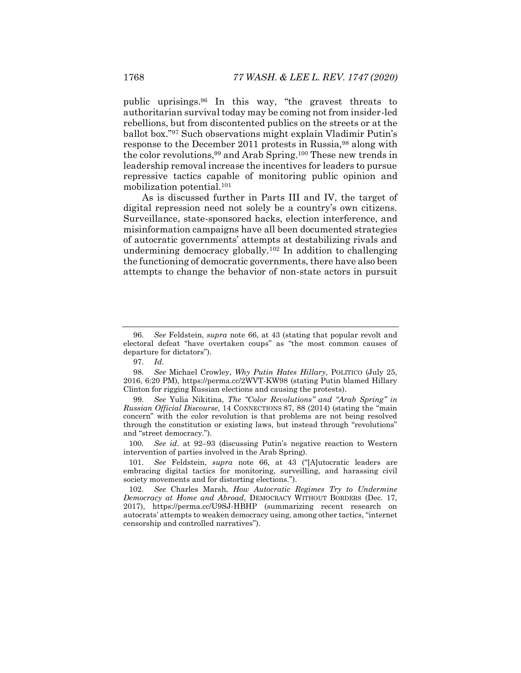public uprisings.<sup>96</sup> In this way, "the gravest threats to authoritarian survival today may be coming not from insider-led rebellions, but from discontented publics on the streets or at the ballot box."<sup>97</sup> Such observations might explain Vladimir Putin's response to the December 2011 protests in Russia,<sup>98</sup> along with the color revolutions,<sup>99</sup> and Arab Spring.<sup>100</sup> These new trends in leadership removal increase the incentives for leaders to pursue repressive tactics capable of monitoring public opinion and mobilization potential.<sup>101</sup>

As is discussed further in Parts III and IV, the target of digital repression need not solely be a country's own citizens. Surveillance, state-sponsored hacks, election interference, and misinformation campaigns have all been documented strategies of autocratic governments' attempts at destabilizing rivals and undermining democracy globally.<sup>102</sup> In addition to challenging the functioning of democratic governments, there have also been attempts to change the behavior of non-state actors in pursuit

<sup>96.</sup> *See* Feldstein, *supra* note [66,](#page-17-0) at 43 (stating that popular revolt and electoral defeat "have overtaken coups" as "the most common causes of departure for dictators").

<sup>97.</sup> *Id*.

<sup>98.</sup> *See* Michael Crowley, *Why Putin Hates Hillary*, POLITICO (July 25, 2016, 6:20 PM), https://perma.cc/2WVT-KW98 (stating Putin blamed Hillary Clinton for rigging Russian elections and causing the protests).

<sup>99.</sup> *See* Yulia Nikitina, *The "Color Revolutions" and "Arab Spring" in Russian Official Discourse*, 14 CONNECTIONS 87, 88 (2014) (stating the "main concern" with the color revolution is that problems are not being resolved through the constitution or existing laws, but instead through "revolutions" and "street democracy.").

<sup>100.</sup> *See id*. at 92–93 (discussing Putin's negative reaction to Western intervention of parties involved in the Arab Spring).

<sup>101.</sup> *See* Feldstein, *supra* note [66,](#page-17-0) at 43 ("[A]utocratic leaders are embracing digital tactics for monitoring, surveilling, and harassing civil society movements and for distorting elections.").

<sup>102.</sup> *See* Charles Marsh, *How Autocratic Regimes Try to Undermine Democracy at Home and Abroad*, DEMOCRACY WITHOUT BORDERS (Dec. 17, 2017), https://perma.cc/U9SJ-HBHP (summarizing recent research on autocrats' attempts to weaken democracy using, among other tactics, "internet censorship and controlled narratives").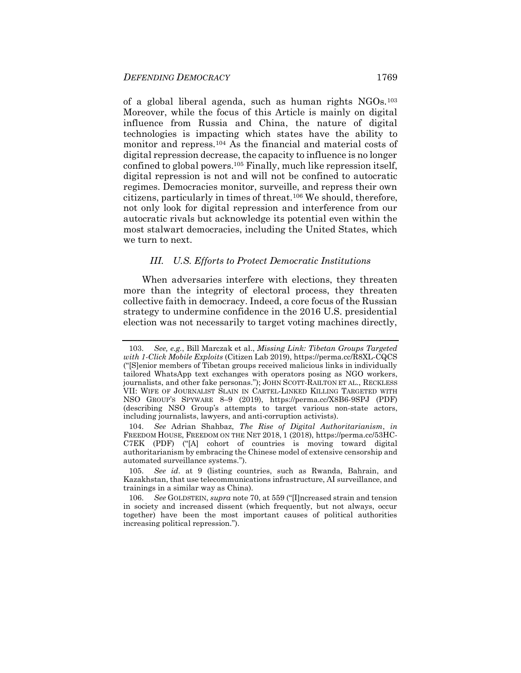of a global liberal agenda, such as human rights NGOs.<sup>103</sup> Moreover, while the focus of this Article is mainly on digital influence from Russia and China, the nature of digital technologies is impacting which states have the ability to monitor and repress.<sup>104</sup> As the financial and material costs of digital repression decrease, the capacity to influence is no longer confined to global powers.<sup>105</sup> Finally, much like repression itself, digital repression is not and will not be confined to autocratic regimes. Democracies monitor, surveille, and repress their own citizens, particularly in times of threat.<sup>106</sup> We should, therefore, not only look for digital repression and interference from our autocratic rivals but acknowledge its potential even within the most stalwart democracies, including the United States, which we turn to next.

#### *III. U.S. Efforts to Protect Democratic Institutions*

When adversaries interfere with elections, they threaten more than the integrity of electoral process, they threaten collective faith in democracy. Indeed, a core focus of the Russian strategy to undermine confidence in the 2016 U.S. presidential election was not necessarily to target voting machines directly,

<sup>103.</sup> *See, e.g.*, Bill Marczak et al., *Missing Link: Tibetan Groups Targeted with 1-Click Mobile Exploits* (Citizen Lab 2019), https://perma.cc/R8XL-CQCS ("[S]enior members of Tibetan groups received malicious links in individually tailored WhatsApp text exchanges with operators posing as NGO workers, journalists, and other fake personas."); JOHN SCOTT-RAILTON ET AL., RECKLESS VII: WIFE OF JOURNALIST SLAIN IN CARTEL-LINKED KILLING TARGETED WITH NSO GROUP'S SPYWARE 8–9 (2019), https://perma.cc/X8B6-9SPJ (PDF) (describing NSO Group's attempts to target various non-state actors, including journalists, lawyers, and anti-corruption activists).

<sup>104.</sup> *See* Adrian Shahbaz, *The Rise of Digital Authoritarianism*, *in* FREEDOM HOUSE, FREEDOM ON THE NET 2018, 1 (2018), https://perma.cc/53HC-C7EK (PDF) ("[A] cohort of countries is moving toward digital authoritarianism by embracing the Chinese model of extensive censorship and automated surveillance systems.").

<sup>105.</sup> *See id*. at 9 (listing countries, such as Rwanda, Bahrain, and Kazakhstan, that use telecommunications infrastructure, AI surveillance, and trainings in a similar way as China).

<sup>106.</sup> *See* GOLDSTEIN, *supra* not[e 70,](#page-18-0) at 559 ("[I]ncreased strain and tension in society and increased dissent (which frequently, but not always, occur together) have been the most important causes of political authorities increasing political repression.").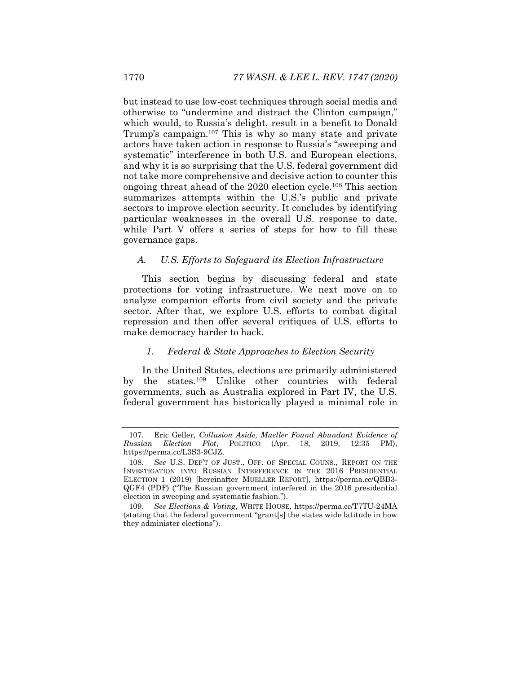<span id="page-24-0"></span>but instead to use low-cost techniques through social media and otherwise to "undermine and distract the Clinton campaign," which would, to Russia's delight, result in a benefit to Donald Trump's campaign.<sup>107</sup> This is why so many state and private actors have taken action in response to Russia's "sweeping and systematic" interference in both U.S. and European elections, and why it is so surprising that the U.S. federal government did not take more comprehensive and decisive action to counter this ongoing threat ahead of the 2020 election cycle.<sup>108</sup> This section summarizes attempts within the U.S.'s public and private sectors to improve election security. It concludes by identifying particular weaknesses in the overall U.S. response to date, while Part V offers a series of steps for how to fill these governance gaps.

#### <span id="page-24-1"></span>*A. U.S. Efforts to Safeguard its Election Infrastructure*

This section begins by discussing federal and state protections for voting infrastructure. We next move on to analyze companion efforts from civil society and the private sector. After that, we explore U.S. efforts to combat digital repression and then offer several critiques of U.S. efforts to make democracy harder to hack.

#### *1. Federal & State Approaches to Election Security*

In the United States, elections are primarily administered by the states.<sup>109</sup> Unlike other countries with federal governments, such as Australia explored in Part IV, the U.S. federal government has historically played a minimal role in

<sup>107.</sup> Eric Geller, *Collusion Aside, Mueller Found Abundant Evidence of Russian Election Plot*, POLITICO (Apr. 18, 2019, 12:35 PM), https://perma.cc/L3S3-9CJZ.

<sup>108.</sup> *See* U.S. DEP'T OF JUST., OFF. OF SPECIAL COUNS., REPORT ON THE INVESTIGATION INTO RUSSIAN INTERFERENCE IN THE 2016 PRESIDENTIAL ELECTION 1 (2019) [hereinafter MUELLER REPORT], https://perma.cc/QBB3- QGF4 (PDF) ("The Russian government interfered in the 2016 presidential election in sweeping and systematic fashion.").

<sup>109.</sup> *See Elections & Voting*, WHITE HOUSE, https://perma.cc/T7TU-24MA (stating that the federal government "grant[s] the states wide latitude in how they administer elections").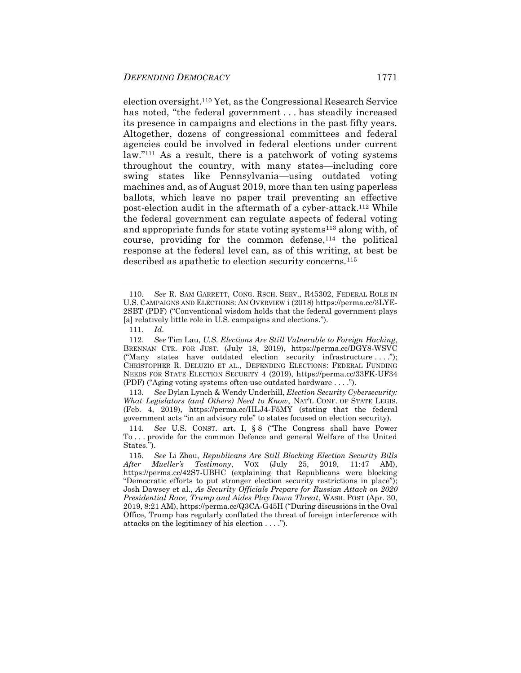<span id="page-25-0"></span>election oversight.<sup>110</sup> Yet, as the Congressional Research Service has noted, "the federal government . . . has steadily increased its presence in campaigns and elections in the past fifty years. Altogether, dozens of congressional committees and federal agencies could be involved in federal elections under current law."<sup>111</sup> As a result, there is a patchwork of voting systems throughout the country, with many states—including core swing states like Pennsylvania—using outdated voting machines and, as of August 2019, more than ten using paperless ballots, which leave no paper trail preventing an effective post-election audit in the aftermath of a cyber-attack.<sup>112</sup> While the federal government can regulate aspects of federal voting and appropriate funds for state voting systems<sup>113</sup> along with, of course, providing for the common defense,  $114$  the political response at the federal level can, as of this writing, at best be described as apathetic to election security concerns.<sup>115</sup>

113. *See* Dylan Lynch & Wendy Underhill, *Election Security Cybersecurity: What Legislators (and Others) Need to Know*, NAT'L CONF. OF STATE LEGIS. (Feb. 4, 2019), https://perma.cc/HLJ4-F5MY (stating that the federal government acts "in an advisory role" to states focused on election security).

<span id="page-25-2"></span><span id="page-25-1"></span><sup>110.</sup> *See* R. SAM GARRETT, CONG. RSCH. SERV., R45302, FEDERAL ROLE IN U.S. CAMPAIGNS AND ELECTIONS: AN OVERVIEW i (2018) https://perma.cc/3LYE-2SBT (PDF) ("Conventional wisdom holds that the federal government plays [a] relatively little role in U.S. campaigns and elections.").

<sup>111.</sup> *Id*.

<sup>112.</sup> *See* Tim Lau, *U.S. Elections Are Still Vulnerable to Foreign Hacking*, BRENNAN CTR. FOR JUST. (July 18, 2019), https://perma.cc/DGY8-WSVC ("Many states have outdated election security infrastructure . . . ."); CHRISTOPHER R. DELUZIO ET AL., DEFENDING ELECTIONS: FEDERAL FUNDING NEEDS FOR STATE ELECTION SECURITY 4 (2019), https://perma.cc/33FK-UF34 (PDF) ("Aging voting systems often use outdated hardware . . . .").

<sup>114.</sup> *See* U.S. CONST. art. I, § 8 ("The Congress shall have Power To . . . provide for the common Defence and general Welfare of the United States.").

<sup>115.</sup> *See* Li Zhou, *Republicans Are Still Blocking Election Security Bills After Mueller's Testimony*, VOX (July 25, 2019, 11:47 AM), https://perma.cc/42S7-UBHC (explaining that Republicans were blocking "Democratic efforts to put stronger election security restrictions in place"); Josh Dawsey et al., *As Security Officials Prepare for Russian Attack on 2020 Presidential Race, Trump and Aides Play Down Threat*, WASH. POST (Apr. 30, 2019, 8:21 AM), https://perma.cc/Q3CA-G45H ("During discussions in the Oval Office, Trump has regularly conflated the threat of foreign interference with attacks on the legitimacy of his election . . . .").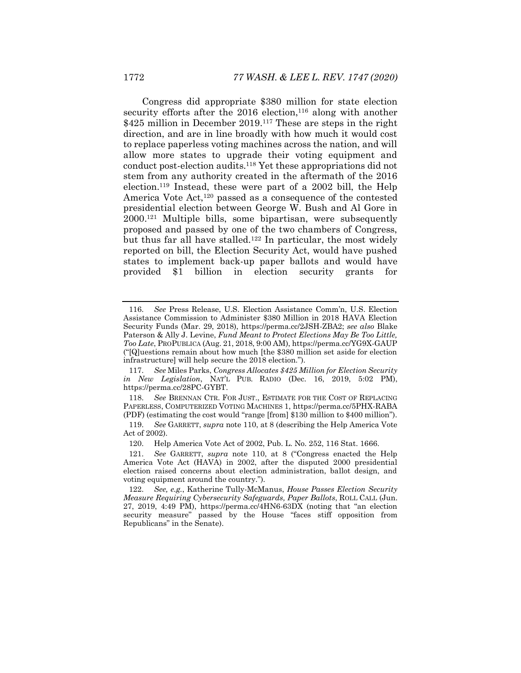Congress did appropriate \$380 million for state election security efforts after the  $2016$  election,<sup>116</sup> along with another \$425 million in December 2019.<sup>117</sup> These are steps in the right direction, and are in line broadly with how much it would cost to replace paperless voting machines across the nation, and will allow more states to upgrade their voting equipment and conduct post-election audits.<sup>118</sup> Yet these appropriations did not stem from any authority created in the aftermath of the 2016 election.<sup>119</sup> Instead, these were part of a 2002 bill, the Help America Vote Act,<sup>120</sup> passed as a consequence of the contested presidential election between George W. Bush and Al Gore in 2000.<sup>121</sup> Multiple bills, some bipartisan, were subsequently proposed and passed by one of the two chambers of Congress, but thus far all have stalled.<sup>122</sup> In particular, the most widely reported on bill, the Election Security Act, would have pushed states to implement back-up paper ballots and would have provided \$1 billion in election security grants for

<sup>116.</sup> *See* Press Release, U.S. Election Assistance Comm'n, U.S. Election Assistance Commission to Administer \$380 Million in 2018 HAVA Election Security Funds (Mar. 29, 2018), https://perma.cc/2JSH-ZBA2; *see also* Blake Paterson & Ally J. Levine, *Fund Meant to Protect Elections May Be Too Little, Too Late*, PROPUBLICA (Aug. 21, 2018, 9:00 AM), https://perma.cc/YG9X-GAUP ("[Q]uestions remain about how much [the \$380 million set aside for election infrastructure] will help secure the 2018 election.").

<sup>117.</sup> *See* Miles Parks, *Congress Allocates \$425 Million for Election Security in New Legislation*, NAT'L PUB. RADIO (Dec. 16, 2019, 5:02 PM), https://perma.cc/28PC-GYBT.

<sup>118.</sup> *See* BRENNAN CTR. FOR JUST., ESTIMATE FOR THE COST OF REPLACING PAPERLESS, COMPUTERIZED VOTING MACHINES 1, https://perma.cc/5PHX-RABA (PDF) (estimating the cost would "range [from] \$130 million to \$400 million").

<sup>119.</sup> *See* GARRETT, *supra* not[e 110,](#page-25-0) at 8 (describing the Help America Vote Act of 2002).

<sup>120.</sup> Help America Vote Act of 2002, Pub. L. No. 252, 116 Stat. 1666.

<sup>121.</sup> *See* GARRETT, *supra* note [110,](#page-25-0) at 8 ("Congress enacted the Help America Vote Act (HAVA) in 2002, after the disputed 2000 presidential election raised concerns about election administration, ballot design, and voting equipment around the country.").

<sup>122.</sup> *See, e.g.*, Katherine Tully-McManus, *House Passes Election Security Measure Requiring Cybersecurity Safeguards, Paper Ballots*, ROLL CALL (Jun. 27, 2019, 4:49 PM), https://perma.cc/4HN6-63DX (noting that "an election security measure" passed by the House "faces stiff opposition from Republicans" in the Senate).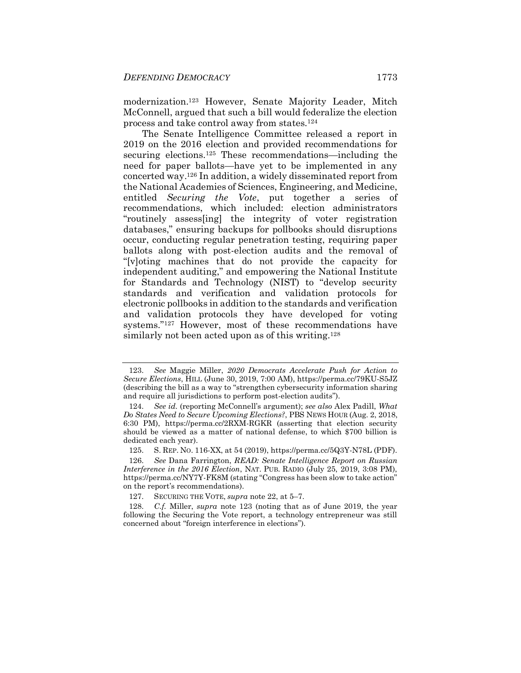<span id="page-27-0"></span>modernization.<sup>123</sup> However, Senate Majority Leader, Mitch McConnell, argued that such a bill would federalize the election process and take control away from states.<sup>124</sup>

The Senate Intelligence Committee released a report in 2019 on the 2016 election and provided recommendations for securing elections.<sup>125</sup> These recommendations—including the need for paper ballots—have yet to be implemented in any concerted way.<sup>126</sup> In addition, a widely disseminated report from the National Academies of Sciences, Engineering, and Medicine, entitled *Securing the Vote*, put together a series of recommendations, which included: election administrators "routinely assess[ing] the integrity of voter registration databases," ensuring backups for pollbooks should disruptions occur, conducting regular penetration testing, requiring paper ballots along with post-election audits and the removal of "[v]oting machines that do not provide the capacity for independent auditing," and empowering the National Institute for Standards and Technology (NIST) to "develop security standards and verification and validation protocols for electronic pollbooks in addition to the standards and verification and validation protocols they have developed for voting systems."<sup>127</sup> However, most of these recommendations have similarly not been acted upon as of this writing.<sup>128</sup>

<sup>123.</sup> *See* Maggie Miller, *2020 Democrats Accelerate Push for Action to Secure Elections*, HILL (June 30, 2019, 7:00 AM), https://perma.cc/79KU-S5JZ (describing the bill as a way to "strengthen cybersecurity information sharing and require all jurisdictions to perform post-election audits").

<sup>124.</sup> *See id.* (reporting McConnell's argument); *see also* Alex Padill, *What Do States Need to Secure Upcoming Elections?*, PBS NEWS HOUR (Aug. 2, 2018, 6:30 PM), https://perma.cc/2RXM-RGKR (asserting that election security should be viewed as a matter of national defense, to which \$700 billion is dedicated each year).

<sup>125.</sup> S. REP. NO. 116-XX, at 54 (2019), https://perma.cc/5Q3Y-N78L (PDF).

<sup>126.</sup> *See* Dana Farrington, *READ: Senate Intelligence Report on Russian Interference in the 2016 Election*, NAT. PUB. RADIO (July 25, 2019, 3:08 PM), https://perma.cc/NY7Y-FK8M (stating "Congress has been slow to take action" on the report's recommendations).

<sup>127.</sup> SECURING THE VOTE, *supra* note [22,](#page-8-0) at 5–7.

<sup>128.</sup> *C.f.* Miller, *supra* note [123](#page-27-0) (noting that as of June 2019, the year following the Securing the Vote report, a technology entrepreneur was still concerned about "foreign interference in elections").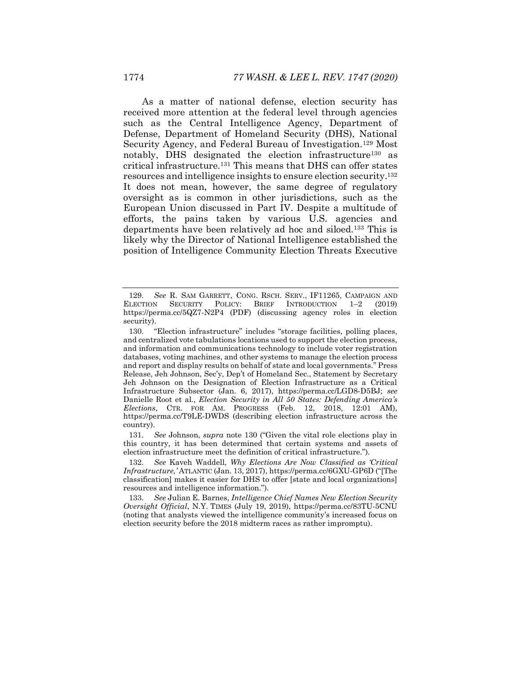<span id="page-28-0"></span>As a matter of national defense, election security has received more attention at the federal level through agencies such as the Central Intelligence Agency, Department of Defense, Department of Homeland Security (DHS), National Security Agency, and Federal Bureau of Investigation.<sup>129</sup> Most notably, DHS designated the election infrastructure<sup>130</sup> as critical infrastructure.<sup>131</sup> This means that DHS can offer states resources and intelligence insights to ensure election security.<sup>132</sup> It does not mean, however, the same degree of regulatory oversight as is common in other jurisdictions, such as the European Union discussed in Part IV. Despite a multitude of efforts, the pains taken by various U.S. agencies and departments have been relatively ad hoc and siloed.<sup>133</sup> This is likely why the Director of National Intelligence established the position of Intelligence Community Election Threats Executive

131. *See* Johnson, *supra* note [130](#page-28-0) ("Given the vital role elections play in this country, it has been determined that certain systems and assets of election infrastructure meet the definition of critical infrastructure.").

<sup>129.</sup> *See* R. SAM GARRETT, CONG. RSCH. SERV., IF11265, CAMPAIGN AND SECURITY POLICY: BRIEF INTRODUCTION 1-2 (2019) https://perma.cc/5QZ7-N2P4 (PDF) (discussing agency roles in election security).

<sup>130.</sup> "Election infrastructure" includes "storage facilities, polling places, and centralized vote tabulations locations used to support the election process, and information and communications technology to include voter registration databases, voting machines, and other systems to manage the election process and report and display results on behalf of state and local governments." Press Release, Jeh Johnson, Sec'y, Dep't of Homeland Sec., Statement by Secretary Jeh Johnson on the Designation of Election Infrastructure as a Critical Infrastructure Subsector (Jan. 6, 2017), https://perma.cc/LGD8-D5BJ; *see*  Danielle Root et al., *Election Security in All 50 States: Defending America's Elections*, CTR. FOR AM. PROGRESS (Feb. 12, 2018, 12:01 AM), https://perma.cc/T9LE-DWDS (describing election infrastructure across the country).

<sup>132.</sup> *See* Kaveh Waddell, *Why Elections Are Now Classified as 'Critical Infrastructure,'* ATLANTIC (Jan. 13, 2017), https://perma.cc/6GXU-GP6D ("[The classification] makes it easier for DHS to offer [state and local organizations] resources and intelligence information.").

<sup>133.</sup> *See* Julian E. Barnes, *Intelligence Chief Names New Election Security Oversight Official*, N.Y. TIMES (July 19, 2019), https://perma.cc/83TU-5CNU (noting that analysts viewed the intelligence community's increased focus on election security before the 2018 midterm races as rather impromptu).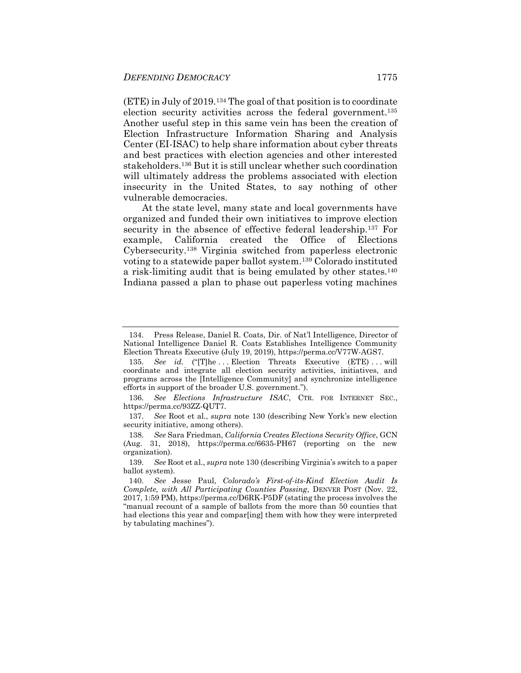(ETE) in July of 2019.<sup>134</sup> The goal of that position is to coordinate election security activities across the federal government.<sup>135</sup> Another useful step in this same vein has been the creation of Election Infrastructure Information Sharing and Analysis Center (EI-ISAC) to help share information about cyber threats and best practices with election agencies and other interested stakeholders.<sup>136</sup> But it is still unclear whether such coordination will ultimately address the problems associated with election insecurity in the United States, to say nothing of other vulnerable democracies.

At the state level, many state and local governments have organized and funded their own initiatives to improve election security in the absence of effective federal leadership.<sup>137</sup> For example, California created the Office of Elections Cybersecurity.<sup>138</sup> Virginia switched from paperless electronic voting to a statewide paper ballot system.<sup>139</sup> Colorado instituted a risk-limiting audit that is being emulated by other states.<sup>140</sup> Indiana passed a plan to phase out paperless voting machines

<sup>134.</sup> Press Release, Daniel R. Coats, Dir. of Nat'l Intelligence, Director of National Intelligence Daniel R. Coats Establishes Intelligence Community Election Threats Executive (July 19, 2019), https://perma.cc/V77W-AGS7.

<sup>135.</sup> *See id.* ("[T]he ... Election Threats Executive (ETE)... will coordinate and integrate all election security activities, initiatives, and programs across the [Intelligence Community] and synchronize intelligence efforts in support of the broader U.S. government.").

<sup>136.</sup> *See Elections Infrastructure ISAC*, CTR. FOR INTERNET SEC., https://perma.cc/93ZZ-QUT7.

<sup>137.</sup> *See* Root et al., *supra* note [130](#page-28-0) (describing New York's new election security initiative, among others).

<sup>138.</sup> *See* Sara Friedman, *California Creates Elections Security Office*, GCN (Aug. 31, 2018), https://perma.cc/6635-PH67 (reporting on the new organization).

<sup>139.</sup> *See* Root et al., *supra* not[e 130](#page-28-0) (describing Virginia's switch to a paper ballot system).

<sup>140.</sup> *See* Jesse Paul, *Colorado's First-of-its-Kind Election Audit Is Complete, with All Participating Counties Passing*, DENVER POST (Nov. 22, 2017, 1:59 PM), https://perma.cc/D6RK-P5DF (stating the process involves the "manual recount of a sample of ballots from the more than 50 counties that had elections this year and compar[ing] them with how they were interpreted by tabulating machines").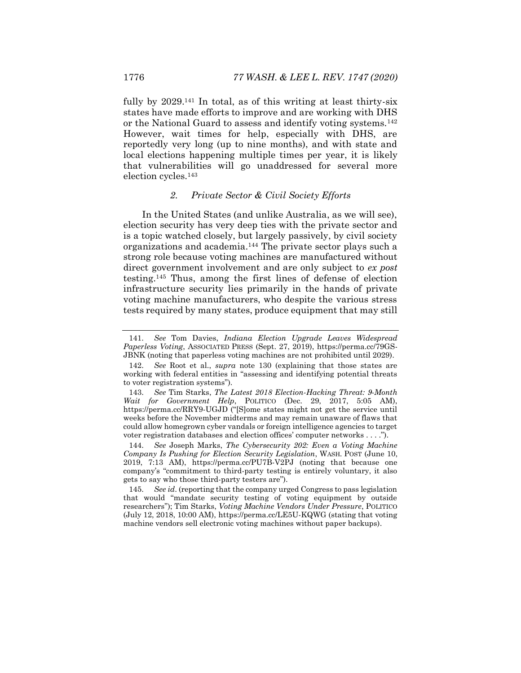fully by 2029.<sup>141</sup> In total, as of this writing at least thirty-six states have made efforts to improve and are working with DHS or the National Guard to assess and identify voting systems.<sup>142</sup> However, wait times for help, especially with DHS, are reportedly very long (up to nine months), and with state and local elections happening multiple times per year, it is likely that vulnerabilities will go unaddressed for several more election cycles.<sup>143</sup>

#### <span id="page-30-0"></span>*2. Private Sector & Civil Society Efforts*

In the United States (and unlike Australia, as we will see), election security has very deep ties with the private sector and is a topic watched closely, but largely passively, by civil society organizations and academia.<sup>144</sup> The private sector plays such a strong role because voting machines are manufactured without direct government involvement and are only subject to *ex post* testing.<sup>145</sup> Thus, among the first lines of defense of election infrastructure security lies primarily in the hands of private voting machine manufacturers, who despite the various stress tests required by many states, produce equipment that may still

<sup>141.</sup> *See* Tom Davies, *Indiana Election Upgrade Leaves Widespread Paperless Voting*, ASSOCIATED PRESS (Sept. 27, 2019), https://perma.cc/79GS-JBNK (noting that paperless voting machines are not prohibited until 2029).

<sup>142.</sup> *See* Root et al., *supra* note [130](#page-28-0) (explaining that those states are working with federal entities in "assessing and identifying potential threats to voter registration systems").

<sup>143.</sup> *See* Tim Starks, *The Latest 2018 Election-Hacking Threat: 9-Month Wait for Government Help*, POLITICO (Dec. 29, 2017, 5:05 AM), https://perma.cc/RRY9-UGJD ("[S]ome states might not get the service until weeks before the November midterms and may remain unaware of flaws that could allow homegrown cyber vandals or foreign intelligence agencies to target voter registration databases and election offices' computer networks . . . .").

<sup>144.</sup> *See* Joseph Marks, *The Cybersecurity 202: Even a Voting Machine Company Is Pushing for Election Security Legislation*, WASH. POST (June 10, 2019, 7:13 AM), https://perma.cc/PU7B-V2PJ (noting that because one company's "commitment to third-party testing is entirely voluntary, it also gets to say who those third-party testers are").

<sup>145.</sup> *See id*. (reporting that the company urged Congress to pass legislation that would "mandate security testing of voting equipment by outside researchers"); Tim Starks, *Voting Machine Vendors Under Pressure*, POLITICO (July 12, 2018, 10:00 AM), https://perma.cc/LE5U-KQWG (stating that voting machine vendors sell electronic voting machines without paper backups).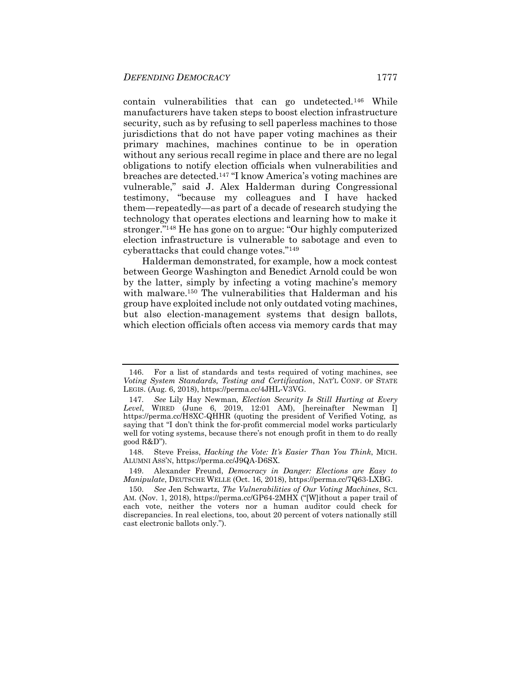contain vulnerabilities that can go undetected.<sup>146</sup> While manufacturers have taken steps to boost election infrastructure security, such as by refusing to sell paperless machines to those jurisdictions that do not have paper voting machines as their primary machines, machines continue to be in operation without any serious recall regime in place and there are no legal obligations to notify election officials when vulnerabilities and breaches are detected.<sup>147</sup> "I know America's voting machines are vulnerable," said J. Alex Halderman during Congressional testimony, "because my colleagues and I have hacked them—repeatedly—as part of a decade of research studying the technology that operates elections and learning how to make it stronger."<sup>148</sup> He has gone on to argue: "Our highly computerized election infrastructure is vulnerable to sabotage and even to cyberattacks that could change votes."<sup>149</sup>

<span id="page-31-1"></span><span id="page-31-0"></span>Halderman demonstrated, for example, how a mock contest between George Washington and Benedict Arnold could be won by the latter, simply by infecting a voting machine's memory with malware.<sup>150</sup> The vulnerabilities that Halderman and his group have exploited include not only outdated voting machines, but also election-management systems that design ballots, which election officials often access via memory cards that may

148. Steve Freiss, *Hacking the Vote: It's Easier Than You Think*, MICH. ALUMNI ASS'N, https://perma.cc/J9QA-D6SX.

149. Alexander Freund, *Democracy in Danger: Elections are Easy to Manipulate*, DEUTSCHE WELLE (Oct. 16, 2018), https://perma.cc/7Q63-LXBG.

<sup>146.</sup> For a list of standards and tests required of voting machines, see *Voting System Standards, Testing and Certification*, NAT'L CONF. OF STATE LEGIS. (Aug. 6, 2018), https://perma.cc/4JHL-V3VG.

<sup>147.</sup> *See* Lily Hay Newman, *Election Security Is Still Hurting at Every Level*, WIRED (June 6, 2019, 12:01 AM), [hereinafter Newman I] https://perma.cc/H8XC-QHHR (quoting the president of Verified Voting, as saying that "I don't think the for-profit commercial model works particularly well for voting systems, because there's not enough profit in them to do really good R&D").

<sup>150.</sup> *See* Jen Schwartz, *The Vulnerabilities of Our Voting Machines*, SCI. AM. (Nov. 1, 2018), https://perma.cc/GP64-2MHX ("[W]ithout a paper trail of each vote, neither the voters nor a human auditor could check for discrepancies. In real elections, too, about 20 percent of voters nationally still cast electronic ballots only.").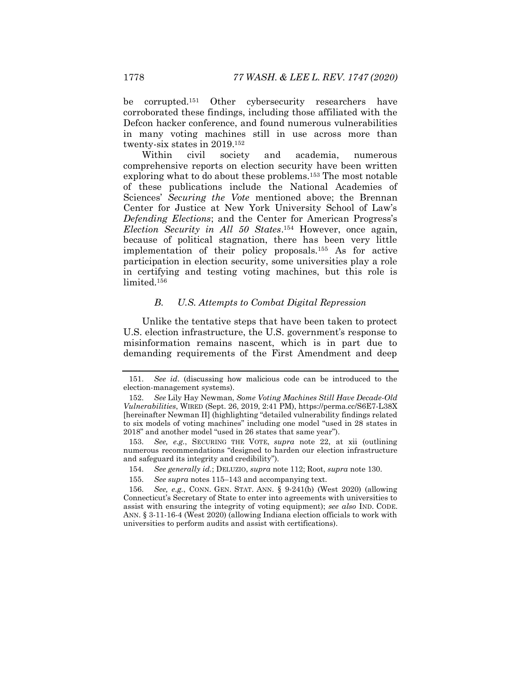be corrupted.<sup>151</sup> Other cybersecurity researchers have corroborated these findings, including those affiliated with the Defcon hacker conference, and found numerous vulnerabilities in many voting machines still in use across more than twenty-six states in 2019.<sup>152</sup>

<span id="page-32-0"></span>Within civil society and academia, numerous comprehensive reports on election security have been written exploring what to do about these problems.<sup>153</sup> The most notable of these publications include the National Academies of Sciences' *Securing the Vote* mentioned above; the Brennan Center for Justice at New York University School of Law's *Defending Elections*; and the Center for American Progress's *Election Security in All 50 States*. <sup>154</sup> However, once again, because of political stagnation, there has been very little implementation of their policy proposals.<sup>155</sup> As for active participation in election security, some universities play a role in certifying and testing voting machines, but this role is limited.<sup>156</sup>

#### *B. U.S. Attempts to Combat Digital Repression*

Unlike the tentative steps that have been taken to protect U.S. election infrastructure, the U.S. government's response to misinformation remains nascent, which is in part due to demanding requirements of the First Amendment and deep

<sup>151.</sup> *See id*. (discussing how malicious code can be introduced to the election-management systems).

<sup>152.</sup> *See* Lily Hay Newman, *Some Voting Machines Still Have Decade-Old Vulnerabilities*, WIRED (Sept. 26, 2019, 2:41 PM), https://perma.cc/S6E7-L38X [hereinafter Newman II] (highlighting "detailed vulnerability findings related to six models of voting machines" including one model "used in 28 states in 2018" and another model "used in 26 states that same year").

<sup>153.</sup> *See, e.g.*, SECURING THE VOTE, *supra* note [22,](#page-8-0) at xii (outlining numerous recommendations "designed to harden our election infrastructure and safeguard its integrity and credibility").

<sup>154.</sup> *See generally id.*; DELUZIO, *supra* note [112;](#page-25-1) Root, *supra* not[e 130.](#page-28-0)

<sup>155.</sup> *See supra* note[s 115](#page-25-2)–[143](#page-30-0) and accompanying text.

<sup>156.</sup> *See, e.g.*, CONN. GEN. STAT. ANN. § 9-241(b) (West 2020) (allowing Connecticut's Secretary of State to enter into agreements with universities to assist with ensuring the integrity of voting equipment); *see also* IND. CODE. ANN. § 3-11-16-4 (West 2020) (allowing Indiana election officials to work with universities to perform audits and assist with certifications).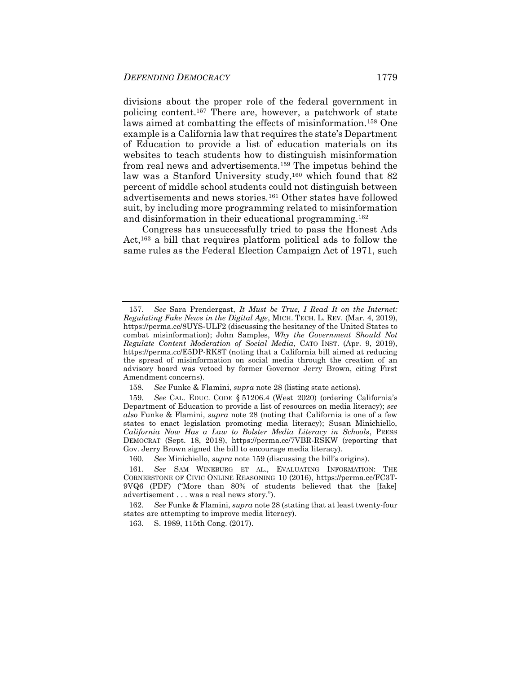<span id="page-33-0"></span>divisions about the proper role of the federal government in policing content.<sup>157</sup> There are, however, a patchwork of state laws aimed at combatting the effects of misinformation.<sup>158</sup> One example is a California law that requires the state's Department of Education to provide a list of education materials on its websites to teach students how to distinguish misinformation from real news and advertisements.<sup>159</sup> The impetus behind the law was a Stanford University study,<sup>160</sup> which found that 82 percent of middle school students could not distinguish between advertisements and news stories.<sup>161</sup> Other states have followed suit, by including more programming related to misinformation and disinformation in their educational programming.<sup>162</sup>

Congress has unsuccessfully tried to pass the Honest Ads Act,<sup>163</sup> a bill that requires platform political ads to follow the same rules as the Federal Election Campaign Act of 1971, such

<sup>157.</sup> *See* Sara Prendergast, *It Must be True, I Read It on the Internet: Regulating Fake News in the Digital Age*, MICH. TECH. L. REV. (Mar. 4, 2019), https://perma.cc/8UYS-ULF2 (discussing the hesitancy of the United States to combat misinformation); John Samples, *Why the Government Should Not Regulate Content Moderation of Social Media*, CATO INST. (Apr. 9, 2019), https://perma.cc/E5DP-RK8T (noting that a California bill aimed at reducing the spread of misinformation on social media through the creation of an advisory board was vetoed by former Governor Jerry Brown, citing First Amendment concerns).

<sup>158.</sup> *See* Funke & Flamini, *supra* not[e 28](#page-8-1) (listing state actions).

<sup>159.</sup> *See* CAL. EDUC. CODE § 51206.4 (West 2020) (ordering California's Department of Education to provide a list of resources on media literacy); *see also* Funke & Flamini, *supra* note [28](#page-8-1) (noting that California is one of a few states to enact legislation promoting media literacy); Susan Minichiello, *California Now Has a Law to Bolster Media Literacy in Schools*, PRESS DEMOCRAT (Sept. 18, 2018), https://perma.cc/7VBR-RSKW (reporting that Gov. Jerry Brown signed the bill to encourage media literacy).

<sup>160.</sup> *See* Minichiello, *supra* note [159](#page-33-0) (discussing the bill's origins).

<sup>161.</sup> *See* SAM WINEBURG ET AL., EVALUATING INFORMATION: THE CORNERSTONE OF CIVIC ONLINE REASONING 10 (2016), https://perma.cc/FC3T-9VQ6 (PDF) ("More than 80% of students believed that the [fake] advertisement . . . was a real news story.").

<sup>162.</sup> *See* Funke & Flamini, *supra* not[e 28](#page-8-1) (stating that at least twenty-four states are attempting to improve media literacy).

<sup>163.</sup> S. 1989, 115th Cong. (2017).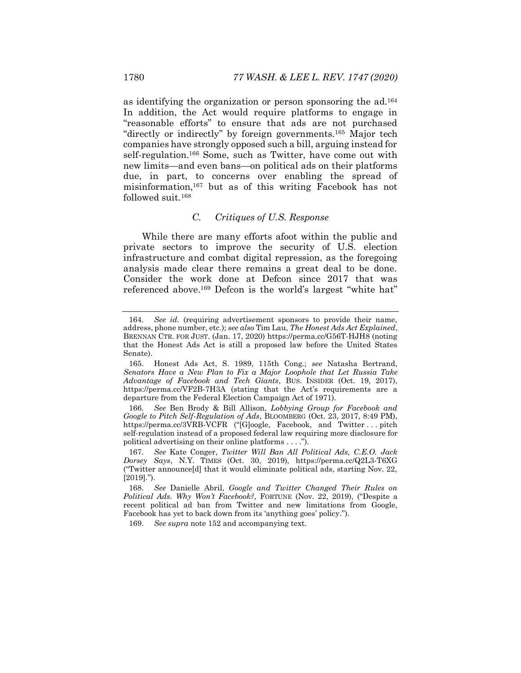as identifying the organization or person sponsoring the ad.<sup>164</sup> In addition, the Act would require platforms to engage in "reasonable efforts" to ensure that ads are not purchased "directly or indirectly" by foreign governments.<sup>165</sup> Major tech companies have strongly opposed such a bill, arguing instead for self-regulation.<sup>166</sup> Some, such as Twitter, have come out with new limits—and even bans—on political ads on their platforms due, in part, to concerns over enabling the spread of misinformation,<sup>167</sup> but as of this writing Facebook has not followed suit.<sup>168</sup>

#### *C. Critiques of U.S. Response*

While there are many efforts afoot within the public and private sectors to improve the security of U.S. election infrastructure and combat digital repression, as the foregoing analysis made clear there remains a great deal to be done. Consider the work done at Defcon since 2017 that was referenced above.<sup>169</sup> Defcon is the world's largest "white hat"

169. *See supra* not[e 152](#page-32-0) and accompanying text.

<sup>164.</sup> *See id.* (requiring advertisement sponsors to provide their name, address, phone number, etc.); *see also* Tim Lau, *The Honest Ads Act Explained*, BRENNAN CTR. FOR JUST. (Jan. 17, 2020) https://perma.cc/G56T-HJH8 (noting that the Honest Ads Act is still a proposed law before the United States Senate).

<sup>165.</sup> Honest Ads Act, S. 1989, 115th Cong.; *see* Natasha Bertrand, *Senators Have a New Plan to Fix a Major Loophole that Let Russia Take Advantage of Facebook and Tech Giants*, BUS. INSIDER (Oct. 19, 2017), https://perma.cc/VF2B-7H3A (stating that the Act's requirements are a departure from the Federal Election Campaign Act of 1971).

<sup>166.</sup> *See* Ben Brody & Bill Allison, *Lobbying Group for Facebook and Google to Pitch Self-Regulation of Ads*, BLOOMBERG (Oct. 23, 2017, 8:49 PM), https://perma.cc/3VRB-VCFR ("[G]oogle, Facebook, and Twitter . . . pitch self-regulation instead of a proposed federal law requiring more disclosure for political advertising on their online platforms . . . .").

<sup>167.</sup> *See* Kate Conger, *Twitter Will Ban All Political Ads, C.E.O. Jack Dorsey Says*, N.Y. TIMES (Oct. 30, 2019), https://perma.cc/Q2L3-T6XG ("Twitter announce[d] that it would eliminate political ads, starting Nov. 22,  $[2019]$ .").

<sup>168.</sup> *See* Danielle Abril, *Google and Twitter Changed Their Rules on Political Ads. Why Won't Facebook?*, FORTUNE (Nov. 22, 2019), ("Despite a recent political ad ban from Twitter and new limitations from Google, Facebook has yet to back down from its 'anything goes' policy.").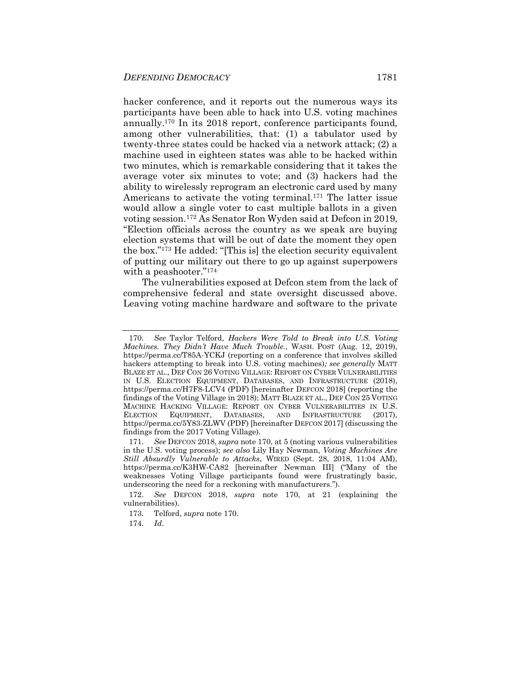<span id="page-35-0"></span>hacker conference, and it reports out the numerous ways its participants have been able to hack into U.S. voting machines annually.<sup>170</sup> In its 2018 report, conference participants found, among other vulnerabilities, that: (1) a tabulator used by twenty-three states could be hacked via a network attack; (2) a machine used in eighteen states was able to be hacked within two minutes, which is remarkable considering that it takes the average voter six minutes to vote; and (3) hackers had the ability to wirelessly reprogram an electronic card used by many Americans to activate the voting terminal.<sup>171</sup> The latter issue would allow a single voter to cast multiple ballots in a given voting session.<sup>172</sup> As Senator Ron Wyden said at Defcon in 2019, "Election officials across the country as we speak are buying election systems that will be out of date the moment they open the box."<sup>173</sup> He added: "[This is] the election security equivalent of putting our military out there to go up against superpowers with a peashooter."<sup>174</sup>

<span id="page-35-1"></span>The vulnerabilities exposed at Defcon stem from the lack of comprehensive federal and state oversight discussed above. Leaving voting machine hardware and software to the private

<sup>170.</sup> *See* Taylor Telford, *Hackers Were Told to Break into U.S. Voting Machines. They Didn't Have Much Trouble.*, WASH. POST (Aug. 12, 2019), https://perma.cc/T85A-YCKJ (reporting on a conference that involves skilled hackers attempting to break into U.S. voting machines)*; see generally* MATT BLAZE ET AL., DEF CON 26 VOTING VILLAGE: REPORT ON CYBER VULNERABILITIES IN U.S. ELECTION EQUIPMENT, DATABASES, AND INFRASTRUCTURE (2018), https://perma.cc/H7F8-LCV4 (PDF) [hereinafter DEFCON 2018] (reporting the findings of the Voting Village in 2018); MATT BLAZE ET AL., DEF CON 25 VOTING MACHINE HACKING VILLAGE: REPORT ON CYBER VULNERABILITIES IN U.S. ELECTION EQUIPMENT, DATABASES, AND INFRASTRUCTURE (2017), https://perma.cc/5Y83-ZLWV (PDF) [hereinafter DEFCON 2017] (discussing the findings from the 2017 Voting Village).

<sup>171.</sup> *See* DEFCON 2018, *supra* note [170,](#page-35-0) at 5 (noting various vulnerabilities in the U.S. voting process); *see also* Lily Hay Newman, *Voting Machines Are Still Absurdly Vulnerable to Attacks*, WIRED (Sept. 28, 2018, 11:04 AM), https://perma.cc/K3HW-CA82 [hereinafter Newman III] ("Many of the weaknesses Voting Village participants found were frustratingly basic, underscoring the need for a reckoning with manufacturers.").

<sup>172.</sup> *See* DEFCON 2018, *supra* note [170,](#page-35-0) at 21 (explaining the vulnerabilities).

<sup>173.</sup> Telford, *supra* note [170.](#page-35-0)

<sup>174.</sup> *Id*.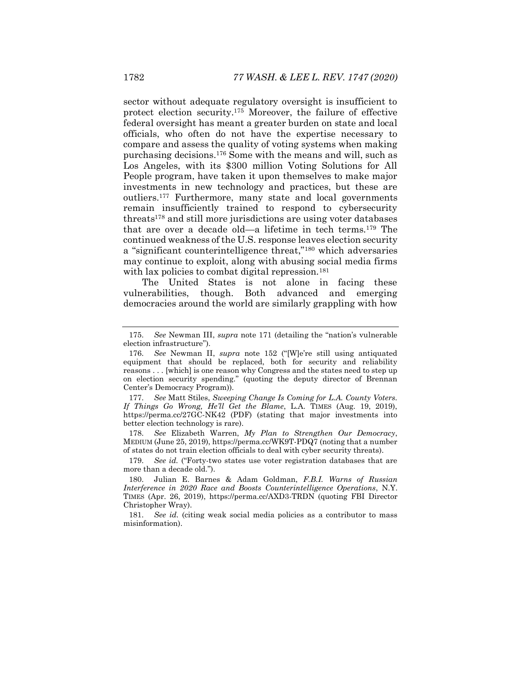sector without adequate regulatory oversight is insufficient to protect election security.<sup>175</sup> Moreover, the failure of effective federal oversight has meant a greater burden on state and local officials, who often do not have the expertise necessary to compare and assess the quality of voting systems when making purchasing decisions. <sup>176</sup> Some with the means and will, such as Los Angeles, with its \$300 million Voting Solutions for All People program, have taken it upon themselves to make major investments in new technology and practices, but these are outliers.<sup>177</sup> Furthermore, many state and local governments remain insufficiently trained to respond to cybersecurity threats<sup>178</sup> and still more jurisdictions are using voter databases that are over a decade old—a lifetime in tech terms.<sup>179</sup> The continued weakness of the U.S. response leaves election security a "significant counterintelligence threat,"<sup>180</sup> which adversaries may continue to exploit, along with abusing social media firms with lax policies to combat digital repression.<sup>181</sup>

The United States is not alone in facing these vulnerabilities, though. Both advanced and emerging democracies around the world are similarly grappling with how

177. *See* Matt Stiles, *Sweeping Change Is Coming for L.A. County Voters. If Things Go Wrong, He'll Get the Blame*, L.A. TIMES (Aug. 19, 2019), https://perma.cc/27GC-NK42 (PDF) (stating that major investments into better election technology is rare).

178. *See* Elizabeth Warren, *My Plan to Strengthen Our Democracy*, MEDIUM (June 25, 2019), https://perma.cc/WK9T-PDQ7 (noting that a number of states do not train election officials to deal with cyber security threats).

179. *See id.* ("Forty-two states use voter registration databases that are more than a decade old.").

<sup>175.</sup> *See* Newman III, *supra* note [171](#page-35-1) (detailing the "nation's vulnerable election infrastructure").

<sup>176.</sup> *See* Newman II, *supra* note [152](#page-32-0) ("[W]e're still using antiquated equipment that should be replaced, both for security and reliability reasons . . . [which] is one reason why Congress and the states need to step up on election security spending." (quoting the deputy director of Brennan Center's Democracy Program)).

<sup>180.</sup> Julian E. Barnes & Adam Goldman, *F.B.I. Warns of Russian Interference in 2020 Race and Boosts Counterintelligence Operations*, N.Y. TIMES (Apr. 26, 2019), https://perma.cc/AXD3-TRDN (quoting FBI Director Christopher Wray).

<sup>181.</sup> *See id.* (citing weak social media policies as a contributor to mass misinformation).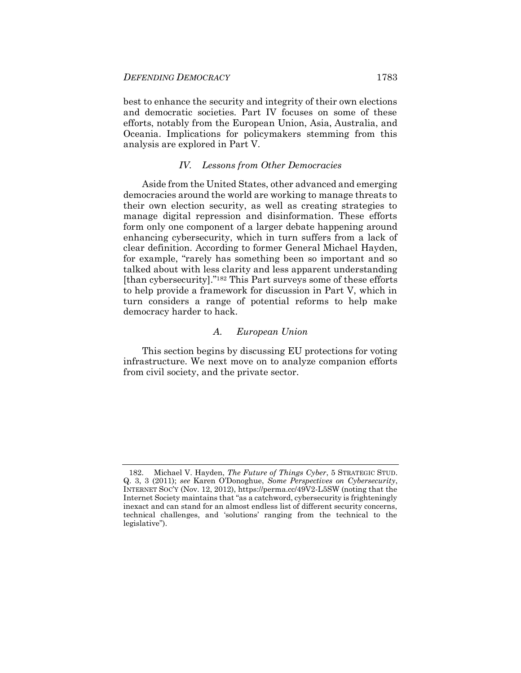best to enhance the security and integrity of their own elections and democratic societies. Part IV focuses on some of these efforts, notably from the European Union, Asia, Australia, and Oceania. Implications for policymakers stemming from this analysis are explored in Part V.

#### *IV. Lessons from Other Democracies*

Aside from the United States, other advanced and emerging democracies around the world are working to manage threats to their own election security, as well as creating strategies to manage digital repression and disinformation. These efforts form only one component of a larger debate happening around enhancing cybersecurity, which in turn suffers from a lack of clear definition. According to former General Michael Hayden, for example, "rarely has something been so important and so talked about with less clarity and less apparent understanding [than cybersecurity]."<sup>182</sup> This Part surveys some of these efforts to help provide a framework for discussion in Part V, which in turn considers a range of potential reforms to help make democracy harder to hack.

#### *A. European Union*

This section begins by discussing EU protections for voting infrastructure. We next move on to analyze companion efforts from civil society, and the private sector.

<sup>182.</sup> Michael V. Hayden, *The Future of Things Cyber*, 5 STRATEGIC STUD. Q. 3, 3 (2011); *see* Karen O'Donoghue, *Some Perspectives on Cybersecurity*, INTERNET SOC'Y (Nov. 12, 2012), https://perma.cc/49V2-L5SW (noting that the Internet Society maintains that "as a catchword, cybersecurity is frighteningly inexact and can stand for an almost endless list of different security concerns, technical challenges, and 'solutions' ranging from the technical to the legislative").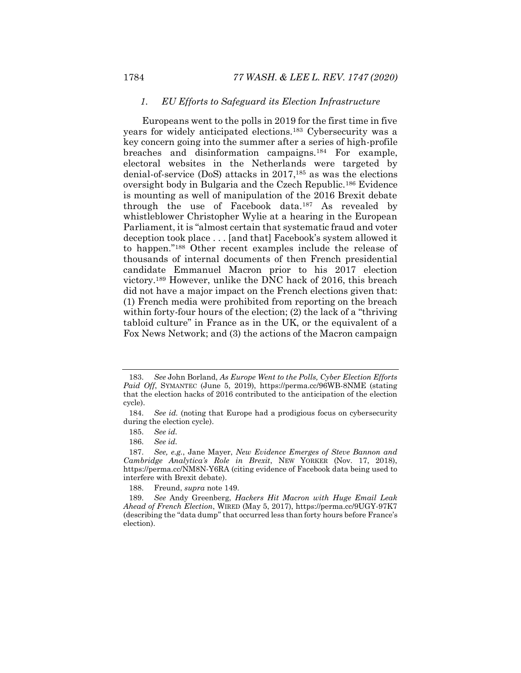#### <span id="page-38-0"></span>*1. EU Efforts to Safeguard its Election Infrastructure*

Europeans went to the polls in 2019 for the first time in five years for widely anticipated elections.<sup>183</sup> Cybersecurity was a key concern going into the summer after a series of high-profile breaches and disinformation campaigns.<sup>184</sup> For example, electoral websites in the Netherlands were targeted by denial-of-service (DoS) attacks in 2017,<sup>185</sup> as was the elections oversight body in Bulgaria and the Czech Republic.<sup>186</sup> Evidence is mounting as well of manipulation of the 2016 Brexit debate through the use of Facebook data.<sup>187</sup> As revealed by whistleblower Christopher Wylie at a hearing in the European Parliament, it is "almost certain that systematic fraud and voter deception took place . . . [and that] Facebook's system allowed it to happen."<sup>188</sup> Other recent examples include the release of thousands of internal documents of then French presidential candidate Emmanuel Macron prior to his 2017 election victory.<sup>189</sup> However, unlike the DNC hack of 2016, this breach did not have a major impact on the French elections given that: (1) French media were prohibited from reporting on the breach within forty-four hours of the election; (2) the lack of a "thriving" tabloid culture" in France as in the UK, or the equivalent of a Fox News Network; and (3) the actions of the Macron campaign

188. Freund, *supra* not[e 149.](#page-31-0)

<sup>183.</sup> *See* John Borland, *As Europe Went to the Polls, Cyber Election Efforts Paid Off*, SYMANTEC (June 5, 2019), https://perma.cc/96WB-8NME (stating that the election hacks of 2016 contributed to the anticipation of the election cycle).

<sup>184.</sup> *See id.* (noting that Europe had a prodigious focus on cybersecurity during the election cycle).

<sup>185.</sup> *See id.* 

<sup>186.</sup> *See id.*

<sup>187.</sup> *See, e.g.*, Jane Mayer, *New Evidence Emerges of Steve Bannon and Cambridge Analytica's Role in Brexit*, NEW YORKER (Nov. 17, 2018), https://perma.cc/NM8N-Y6RA (citing evidence of Facebook data being used to interfere with Brexit debate).

<sup>189.</sup> *See* Andy Greenberg, *Hackers Hit Macron with Huge Email Leak Ahead of French Election*, WIRED (May 5, 2017), https://perma.cc/9UGY-97K7 (describing the "data dump" that occurred less than forty hours before France's election).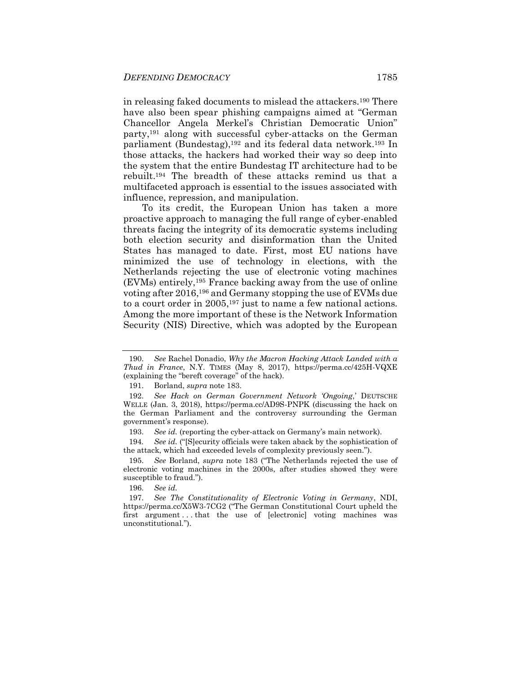in releasing faked documents to mislead the attackers.<sup>190</sup> There have also been spear phishing campaigns aimed at "German Chancellor Angela Merkel's Christian Democratic Union" party,<sup>191</sup> along with successful cyber-attacks on the German parliament (Bundestag),<sup>192</sup> and its federal data network.<sup>193</sup> In those attacks, the hackers had worked their way so deep into the system that the entire Bundestag IT architecture had to be rebuilt.<sup>194</sup> The breadth of these attacks remind us that a multifaceted approach is essential to the issues associated with influence, repression, and manipulation.

To its credit, the European Union has taken a more proactive approach to managing the full range of cyber-enabled threats facing the integrity of its democratic systems including both election security and disinformation than the United States has managed to date. First, most EU nations have minimized the use of technology in elections, with the Netherlands rejecting the use of electronic voting machines (EVMs) entirely,<sup>195</sup> France backing away from the use of online voting after 2016,<sup>196</sup> and Germany stopping the use of EVMs due to a court order in 2005,<sup>197</sup> just to name a few national actions. Among the more important of these is the Network Information Security (NIS) Directive, which was adopted by the European

194*. See id.* ("[S]ecurity officials were taken aback by the sophistication of the attack, which had exceeded levels of complexity previously seen.").

195. *See* Borland, *supra* note [183](#page-38-0) ("The Netherlands rejected the use of electronic voting machines in the 2000s, after studies showed they were susceptible to fraud.").

196. *See id.* 

<sup>190.</sup> *See* Rachel Donadio, *Why the Macron Hacking Attack Landed with a Thud in France*, N.Y. TIMES (May 8, 2017), https://perma.cc/425H-VQXE (explaining the "bereft coverage" of the hack).

<sup>191.</sup> Borland, *supra* note [183.](#page-38-0)

<sup>192.</sup> *See Hack on German Government Network 'Ongoing*,' DEUTSCHE WELLE (Jan. 3, 2018), https://perma.cc/AD9S-PNPK (discussing the hack on the German Parliament and the controversy surrounding the German government's response).

<sup>193.</sup> *See id.* (reporting the cyber-attack on Germany's main network).

<sup>197.</sup> *See The Constitutionality of Electronic Voting in Germany*, NDI, https://perma.cc/X5W3-7CG2 ("The German Constitutional Court upheld the first argument ... that the use of [electronic] voting machines was unconstitutional.").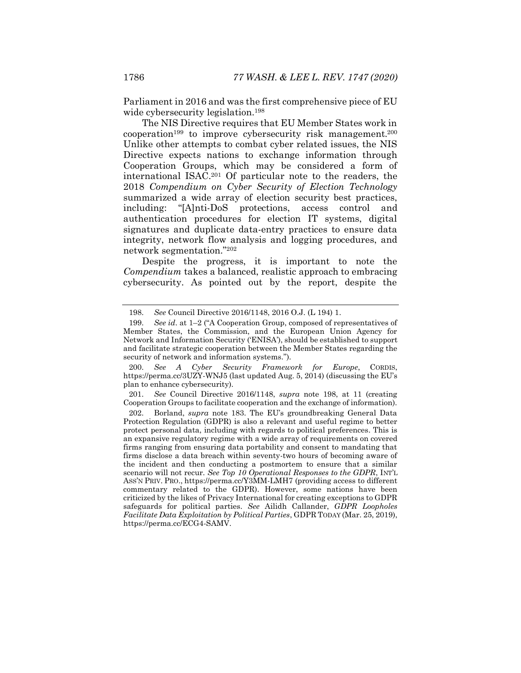<span id="page-40-0"></span>Parliament in 2016 and was the first comprehensive piece of EU wide cybersecurity legislation.<sup>198</sup>

<span id="page-40-1"></span>The NIS Directive requires that EU Member States work in  $cooperation<sup>199</sup>$  to improve cybersecurity risk management.<sup>200</sup> Unlike other attempts to combat cyber related issues, the NIS Directive expects nations to exchange information through Cooperation Groups, which may be considered a form of international ISAC.<sup>201</sup> Of particular note to the readers, the 2018 *Compendium on Cyber Security of Election Technology* summarized a wide array of election security best practices, including: "[A]nti-DoS protections, access control and authentication procedures for election IT systems, digital signatures and duplicate data-entry practices to ensure data integrity, network flow analysis and logging procedures, and network segmentation."<sup>202</sup>

<span id="page-40-2"></span>Despite the progress, it is important to note the *Compendium* takes a balanced, realistic approach to embracing cybersecurity. As pointed out by the report, despite the

201. *See* Council Directive 2016/1148, *supra* note [198,](#page-40-0) at 11 (creating Cooperation Groups to facilitate cooperation and the exchange of information).

<sup>198.</sup> *See* Council Directive 2016/1148, 2016 O.J. (L 194) 1.

<sup>199.</sup> *See id*. at 1–2 ("A Cooperation Group, composed of representatives of Member States, the Commission, and the European Union Agency for Network and Information Security ('ENISA'), should be established to support and facilitate strategic cooperation between the Member States regarding the security of network and information systems.").

<sup>200.</sup> *See A Cyber Security Framework for Europe*, CORDIS, https://perma.cc/3UZY-WNJ5 (last updated Aug. 5, 2014) (discussing the EU's plan to enhance cybersecurity).

<sup>202.</sup> Borland, *supra* note [183.](#page-38-0) The EU's groundbreaking General Data Protection Regulation (GDPR) is also a relevant and useful regime to better protect personal data, including with regards to political preferences. This is an expansive regulatory regime with a wide array of requirements on covered firms ranging from ensuring data portability and consent to mandating that firms disclose a data breach within seventy-two hours of becoming aware of the incident and then conducting a postmortem to ensure that a similar scenario will not recur. *See Top 10 Operational Responses to the GDPR*, INT'L ASS'N PRIV. PRO., https://perma.cc/Y3MM-LMH7 (providing access to different commentary related to the GDPR). However, some nations have been criticized by the likes of Privacy International for creating exceptions to GDPR safeguards for political parties. *See* Ailidh Callander, *GDPR Loopholes Facilitate Data Exploitation by Political Parties*, GDPR TODAY (Mar. 25, 2019), https://perma.cc/ECG4-SAMV.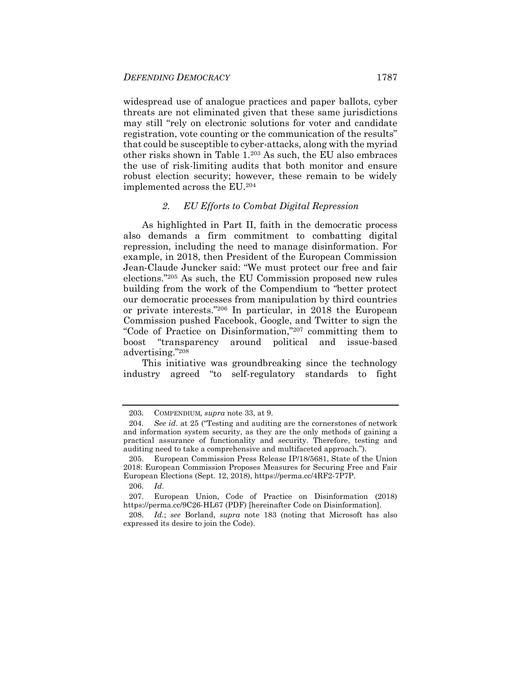widespread use of analogue practices and paper ballots, cyber threats are not eliminated given that these same jurisdictions may still "rely on electronic solutions for voter and candidate registration, vote counting or the communication of the results" that could be susceptible to cyber-attacks, along with the myriad other risks shown in Table 1.<sup>203</sup> As such, the EU also embraces the use of risk-limiting audits that both monitor and ensure robust election security; however, these remain to be widely implemented across the EU.<sup>204</sup>

#### <span id="page-41-2"></span>*2. EU Efforts to Combat Digital Repression*

<span id="page-41-1"></span>As highlighted in Part II, faith in the democratic process also demands a firm commitment to combatting digital repression, including the need to manage disinformation. For example, in 2018, then President of the European Commission Jean-Claude Juncker said: "We must protect our free and fair elections."<sup>205</sup> As such, the EU Commission proposed new rules building from the work of the Compendium to "better protect our democratic processes from manipulation by third countries or private interests."<sup>206</sup> In particular, in 2018 the European Commission pushed Facebook, Google, and Twitter to sign the "Code of Practice on Disinformation,"<sup>207</sup> committing them to boost "transparency around political and issue-based advertising."<sup>208</sup>

<span id="page-41-3"></span><span id="page-41-0"></span>This initiative was groundbreaking since the technology industry agreed "to self-regulatory standards to fight

<sup>203.</sup> COMPENDIUM*, supra* not[e 33,](#page-10-0) at 9.

<sup>204.</sup> *See id*. at 25 ("Testing and auditing are the cornerstones of network and information system security, as they are the only methods of gaining a practical assurance of functionality and security. Therefore, testing and auditing need to take a comprehensive and multifaceted approach.").

<sup>205.</sup> European Commission Press Release IP/18/5681, State of the Union 2018: European Commission Proposes Measures for Securing Free and Fair European Elections (Sept. 12, 2018), https://perma.cc/4RF2-7P7P.

<sup>206.</sup> *Id*.

<sup>207.</sup> European Union, Code of Practice on Disinformation (2018) https://perma.cc/9C26-HL67 (PDF) [hereinafter Code on Disinformation].

<sup>208.</sup> *Id.*; *see* Borland, *supra* note [183](#page-38-0) (noting that Microsoft has also expressed its desire to join the Code).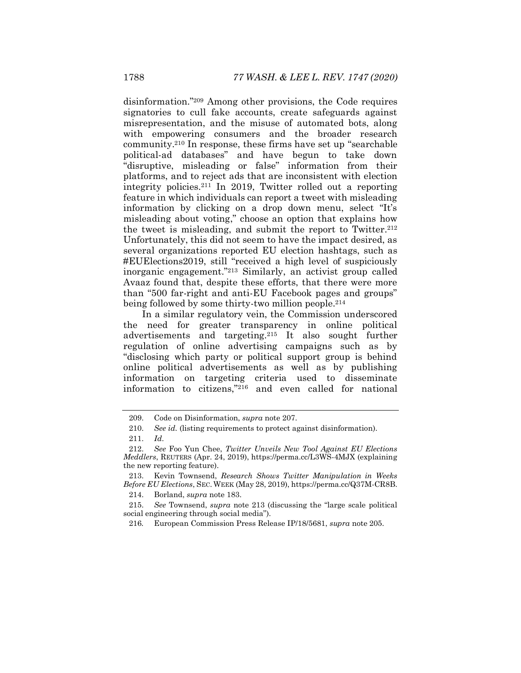<span id="page-42-1"></span>disinformation."<sup>209</sup> Among other provisions, the Code requires signatories to cull fake accounts, create safeguards against misrepresentation, and the misuse of automated bots, along with empowering consumers and the broader research community.<sup>210</sup> In response, these firms have set up "searchable political-ad databases" and have begun to take down "disruptive, misleading or false" information from their platforms, and to reject ads that are inconsistent with election integrity policies.<sup>211</sup> In 2019, Twitter rolled out a reporting feature in which individuals can report a tweet with misleading information by clicking on a drop down menu, select "It's misleading about voting," choose an option that explains how the tweet is misleading, and submit the report to Twitter.<sup>212</sup> Unfortunately, this did not seem to have the impact desired, as several organizations reported EU election hashtags, such as #EUElections2019, still "received a high level of suspiciously inorganic engagement."<sup>213</sup> Similarly, an activist group called Avaaz found that, despite these efforts, that there were more than "500 far-right and anti-EU Facebook pages and groups" being followed by some thirty-two million people.<sup>214</sup>

<span id="page-42-0"></span>In a similar regulatory vein, the Commission underscored the need for greater transparency in online political advertisements and targeting.<sup>215</sup> It also sought further regulation of online advertising campaigns such as by "disclosing which party or political support group is behind online political advertisements as well as by publishing information on targeting criteria used to disseminate information to citizens,"<sup>216</sup> and even called for national

214. Borland, *supra* not[e 183.](#page-38-0)

<sup>209.</sup> Code on Disinformation, *supra* not[e 207.](#page-41-0)

<sup>210.</sup> *See id.* (listing requirements to protect against disinformation).

<sup>211.</sup> *Id*.

<sup>212.</sup> *See* Foo Yun Chee, *Twitter Unveils New Tool Against EU Elections Meddlers*, REUTERS (Apr. 24, 2019), https://perma.cc/L3WS-4MJX (explaining the new reporting feature).

<sup>213.</sup> Kevin Townsend, *Research Shows Twitter Manipulation in Weeks Before EU Elections*, SEC. WEEK (May 28, 2019), https://perma.cc/Q37M-CR8B.

<sup>215.</sup> *See* Townsend, *supra* note [213](#page-42-0) (discussing the "large scale political social engineering through social media").

<sup>216</sup>*.* European Commission Press Release IP/18/5681, *supra* note [205.](#page-41-1)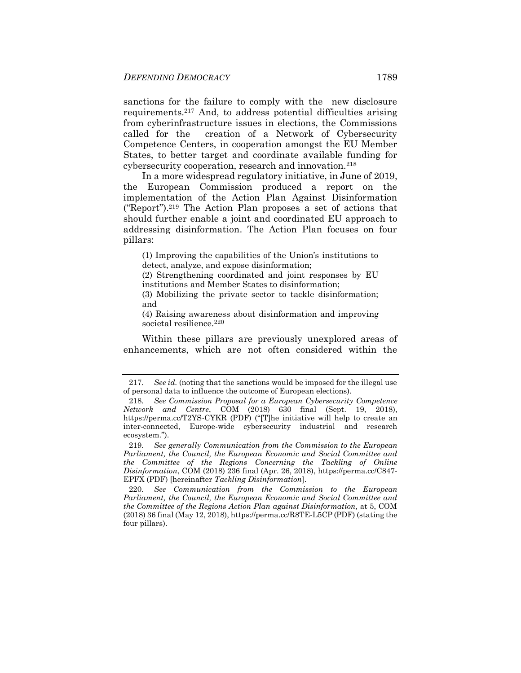sanctions for the failure to comply with the new disclosure requirements.<sup>217</sup> And, to address potential difficulties arising from cyberinfrastructure issues in elections, the Commissions called for the creation of a Network of Cybersecurity Competence Centers, in cooperation amongst the EU Member States, to better target and coordinate available funding for cybersecurity cooperation, research and innovation.<sup>218</sup>

<span id="page-43-0"></span>In a more widespread regulatory initiative, in June of 2019, the European Commission produced a report on the implementation of the Action Plan Against Disinformation ("Report").<sup>219</sup> The Action Plan proposes a set of actions that should further enable a joint and coordinated EU approach to addressing disinformation. The Action Plan focuses on four pillars:

(1) Improving the capabilities of the Union's institutions to detect, analyze, and expose disinformation;

(2) Strengthening coordinated and joint responses by EU institutions and Member States to disinformation;

(3) Mobilizing the private sector to tackle disinformation; and

(4) Raising awareness about disinformation and improving societal resilience.<sup>220</sup>

Within these pillars are previously unexplored areas of enhancements, which are not often considered within the

219. *See generally Communication from the Commission to the European Parliament, the Council, the European Economic and Social Committee and the Committee of the Regions Concerning the Tackling of Online Disinformation*, COM (2018) 236 final (Apr. 26, 2018), https://perma.cc/C847- EPFX (PDF) [hereinafter *Tackling Disinformation*].

220. *See Communication from the Commission to the European Parliament, the Council, the European Economic and Social Committee and the Committee of the Regions Action Plan against Disinformation,* at 5, COM (2018) 36 final (May 12, 2018), https://perma.cc/R8TE-L5CP (PDF) (stating the four pillars).

<sup>217.</sup> *See id.* (noting that the sanctions would be imposed for the illegal use of personal data to influence the outcome of European elections).

<sup>218.</sup> *See Commission Proposal for a European Cybersecurity Competence Network and Centre*, COM (2018) 630 final (Sept. 19, 2018), https://perma.cc/T2YS-CYKR (PDF) ("[T]he initiative will help to create an inter-connected, Europe-wide cybersecurity industrial and research ecosystem.").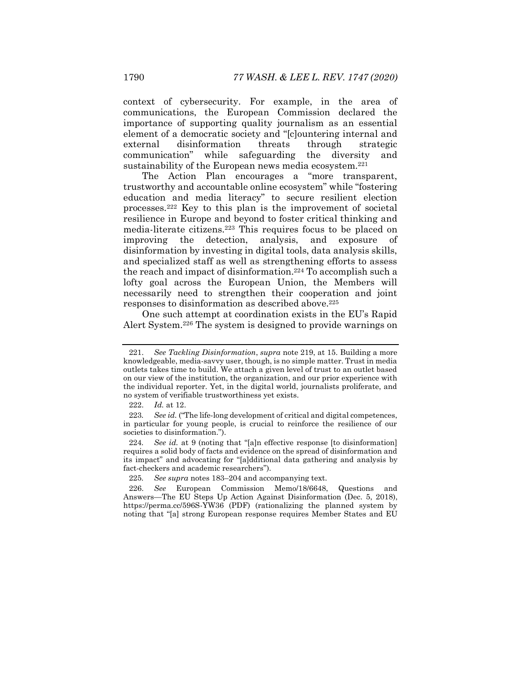context of cybersecurity. For example, in the area of communications, the European Commission declared the importance of supporting quality journalism as an essential element of a democratic society and "[c]ountering internal and external disinformation threats through strategic communication" while safeguarding the diversity and sustainability of the European news media ecosystem. $221$ 

The Action Plan encourages a "more transparent, trustworthy and accountable online ecosystem" while "fostering education and media literacy" to secure resilient election processes.<sup>222</sup> Key to this plan is the improvement of societal resilience in Europe and beyond to foster critical thinking and media-literate citizens.<sup>223</sup> This requires focus to be placed on improving the detection, analysis, and exposure of disinformation by investing in digital tools, data analysis skills, and specialized staff as well as strengthening efforts to assess the reach and impact of disinformation.<sup>224</sup> To accomplish such a lofty goal across the European Union, the Members will necessarily need to strengthen their cooperation and joint responses to disinformation as described above.<sup>225</sup>

<span id="page-44-0"></span>One such attempt at coordination exists in the EU's Rapid Alert System.<sup>226</sup> The system is designed to provide warnings on

<sup>221.</sup> *See Tackling Disinformation*, *supra* note [219,](#page-43-0) at 15. Building a more knowledgeable, media-savvy user, though, is no simple matter. Trust in media outlets takes time to build. We attach a given level of trust to an outlet based on our view of the institution, the organization, and our prior experience with the individual reporter. Yet, in the digital world, journalists proliferate, and no system of verifiable trustworthiness yet exists.

<sup>222.</sup> *Id.* at 12.

<sup>223</sup>*. See id.* ("The life-long development of critical and digital competences, in particular for young people, is crucial to reinforce the resilience of our societies to disinformation.").

<sup>224</sup>*. See id.* at 9 (noting that "[a]n effective response [to disinformation] requires a solid body of facts and evidence on the spread of disinformation and its impact" and advocating for "[a]dditional data gathering and analysis by fact-checkers and academic researchers").

<sup>225</sup>*. See supra* note[s 183](#page-38-0)–[204](#page-41-2) and accompanying text.

<sup>226.</sup> *See* European Commission Memo/18/6648, Questions and Answers—The EU Steps Up Action Against Disinformation (Dec. 5, 2018), https://perma.cc/596S-YW36 (PDF) (rationalizing the planned system by noting that "[a] strong European response requires Member States and EU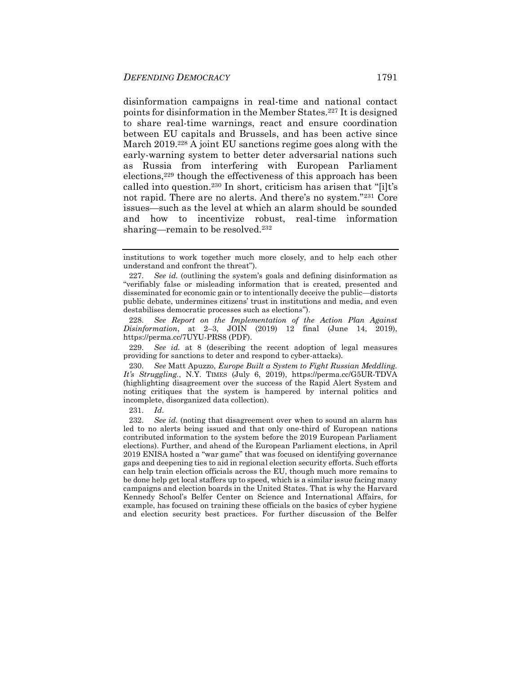disinformation campaigns in real-time and national contact points for disinformation in the Member States.<sup>227</sup> It is designed to share real-time warnings, react and ensure coordination between EU capitals and Brussels, and has been active since March 2019.<sup>228</sup> A joint EU sanctions regime goes along with the early-warning system to better deter adversarial nations such as Russia from interfering with European Parliament elections,<sup>229</sup> though the effectiveness of this approach has been called into question.<sup>230</sup> In short, criticism has arisen that "[i]t's not rapid. There are no alerts. And there's no system."231 Core issues—such as the level at which an alarm should be sounded and how to incentivize robust, real-time information sharing—remain to be resolved.<sup>232</sup>

231. *Id*.

<span id="page-45-0"></span>institutions to work together much more closely, and to help each other understand and confront the threat").

<sup>227.</sup> *See id.* (outlining the system's goals and defining disinformation as "verifiably false or misleading information that is created, presented and disseminated for economic gain or to intentionally deceive the public—distorts public debate, undermines citizens' trust in institutions and media, and even destabilises democratic processes such as elections").

<sup>228.</sup> *See Report on the Implementation of the Action Plan Against Disinformation*, at 2–3, JOIN (2019) 12 final (June 14, 2019), https://perma.cc/7UYU-PRS8 (PDF).

<sup>229.</sup> *See id.* at 8 (describing the recent adoption of legal measures providing for sanctions to deter and respond to cyber-attacks).

<sup>230.</sup> *See* Matt Apuzzo, *Europe Built a System to Fight Russian Meddling. It's Struggling.*, N.Y. TIMES (July 6, 2019), https://perma.cc/G5UR-TDVA (highlighting disagreement over the success of the Rapid Alert System and noting critiques that the system is hampered by internal politics and incomplete, disorganized data collection).

<sup>232.</sup> *See id.* (noting that disagreement over when to sound an alarm has led to no alerts being issued and that only one-third of European nations contributed information to the system before the 2019 European Parliament elections). Further, and ahead of the European Parliament elections, in April 2019 ENISA hosted a "war game" that was focused on identifying governance gaps and deepening ties to aid in regional election security efforts. Such efforts can help train election officials across the EU, though much more remains to be done help get local staffers up to speed, which is a similar issue facing many campaigns and election boards in the United States. That is why the Harvard Kennedy School's Belfer Center on Science and International Affairs, for example, has focused on training these officials on the basics of cyber hygiene and election security best practices. For further discussion of the Belfer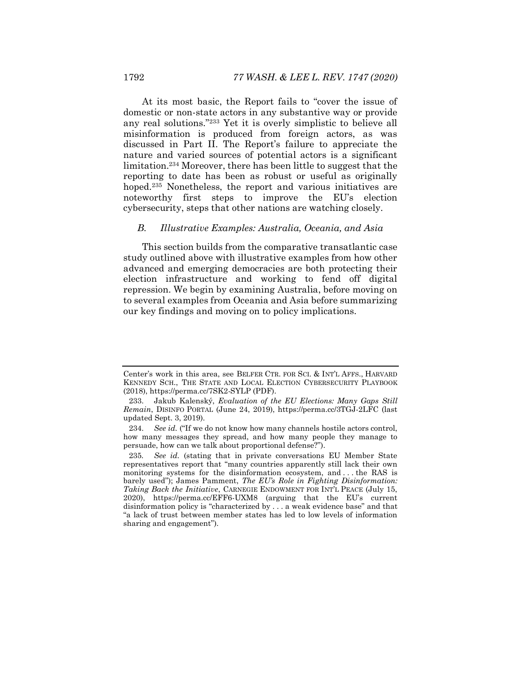At its most basic, the Report fails to "cover the issue of domestic or non-state actors in any substantive way or provide any real solutions."<sup>233</sup> Yet it is overly simplistic to believe all misinformation is produced from foreign actors, as was discussed in Part II. The Report's failure to appreciate the nature and varied sources of potential actors is a significant limitation.<sup>234</sup> Moreover, there has been little to suggest that the reporting to date has been as robust or useful as originally hoped.<sup>235</sup> Nonetheless, the report and various initiatives are noteworthy first steps to improve the EU's election cybersecurity, steps that other nations are watching closely.

#### *B. Illustrative Examples: Australia, Oceania, and Asia*

This section builds from the comparative transatlantic case study outlined above with illustrative examples from how other advanced and emerging democracies are both protecting their election infrastructure and working to fend off digital repression. We begin by examining Australia, before moving on to several examples from Oceania and Asia before summarizing our key findings and moving on to policy implications.

Center's work in this area, see BELFER CTR. FOR SCI. & INT'L AFFS., HARVARD KENNEDY SCH., THE STATE AND LOCAL ELECTION CYBERSECURITY PLAYBOOK (2018), https://perma.cc/7SK2-SYLP (PDF).

<sup>233.</sup> Jakub Kalenský, *Evaluation of the EU Elections: Many Gaps Still Remain*, DISINFO PORTAL (June 24, 2019), https://perma.cc/3TGJ-2LFC (last updated Sept. 3, 2019).

<sup>234.</sup> *See id.* ("If we do not know how many channels hostile actors control, how many messages they spread, and how many people they manage to persuade, how can we talk about proportional defense?").

<sup>235</sup>*. See id.* (stating that in private conversations EU Member State representatives report that "many countries apparently still lack their own monitoring systems for the disinformation ecosystem, and . . . the RAS is barely used"); James Pamment, *The EU's Role in Fighting Disinformation: Taking Back the Initiative*, CARNEGIE ENDOWMENT FOR INT'L PEACE (July 15, 2020), https://perma.cc/EFF6-UXM8 (arguing that the EU's current disinformation policy is "characterized by . . . a weak evidence base" and that "a lack of trust between member states has led to low levels of information sharing and engagement").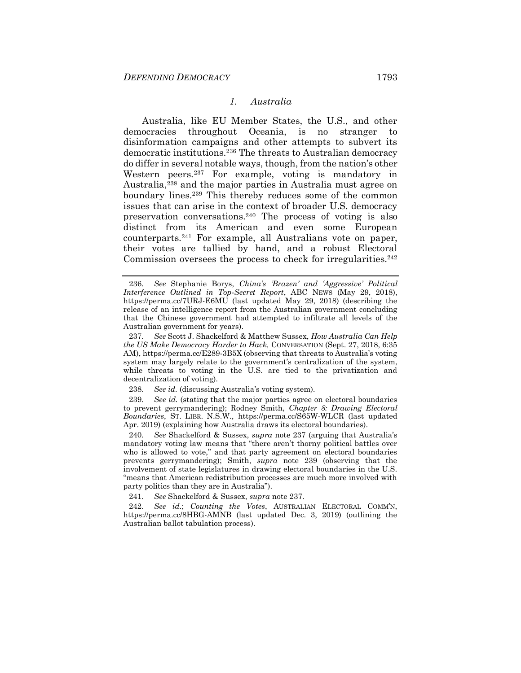#### <span id="page-47-0"></span>*1. Australia*

<span id="page-47-1"></span>Australia, like EU Member States, the U.S., and other democracies throughout Oceania, is no stranger to disinformation campaigns and other attempts to subvert its democratic institutions.<sup>236</sup> The threats to Australian democracy do differ in several notable ways, though, from the nation's other Western peers.<sup>237</sup> For example, voting is mandatory in Australia,<sup>238</sup> and the major parties in Australia must agree on boundary lines.<sup>239</sup> This thereby reduces some of the common issues that can arise in the context of broader U.S. democracy preservation conversations.<sup>240</sup> The process of voting is also distinct from its American and even some European counterparts.<sup>241</sup> For example, all Australians vote on paper, their votes are tallied by hand, and a robust Electoral Commission oversees the process to check for irregularities.<sup>242</sup>

239. *See id.* (stating that the major parties agree on electoral boundaries to prevent gerrymandering); Rodney Smith, *Chapter 8: Drawing Electoral Boundaries*, ST. LIBR. N.S.W., https://perma.cc/S65W-WLCR (last updated Apr. 2019) (explaining how Australia draws its electoral boundaries).

240. *See* Shackelford & Sussex, *supra* note [237](#page-47-0) (arguing that Australia's mandatory voting law means that "there aren't thorny political battles over who is allowed to vote," and that party agreement on electoral boundaries prevents gerrymandering); Smith, *supra* note [239](#page-47-1) (observing that the involvement of state legislatures in drawing electoral boundaries in the U.S. "means that American redistribution processes are much more involved with party politics than they are in Australia").

241. *See* Shackelford & Sussex, *supra* note [237.](#page-47-0)

242. *See id.*; *Counting the Votes*, AUSTRALIAN ELECTORAL COMM'N, https://perma.cc/8HBG-AMNB (last updated Dec. 3, 2019) (outlining the Australian ballot tabulation process).

<sup>236.</sup> *See* Stephanie Borys, *China's 'Brazen' and 'Aggressive' Political Interference Outlined in Top-Secret Report*, ABC NEWS (May 29, 2018), https://perma.cc/7URJ-E6MU (last updated May 29, 2018) (describing the release of an intelligence report from the Australian government concluding that the Chinese government had attempted to infiltrate all levels of the Australian government for years).

<sup>237.</sup> *See* Scott J. Shackelford & Matthew Sussex, *How Australia Can Help the US Make Democracy Harder to Hack,* CONVERSATION (Sept. 27, 2018, 6:35 AM), https://perma.cc/E289-3B5X (observing that threats to Australia's voting system may largely relate to the government's centralization of the system, while threats to voting in the U.S. are tied to the privatization and decentralization of voting)*.*

<sup>238.</sup> *See id.* (discussing Australia's voting system)*.*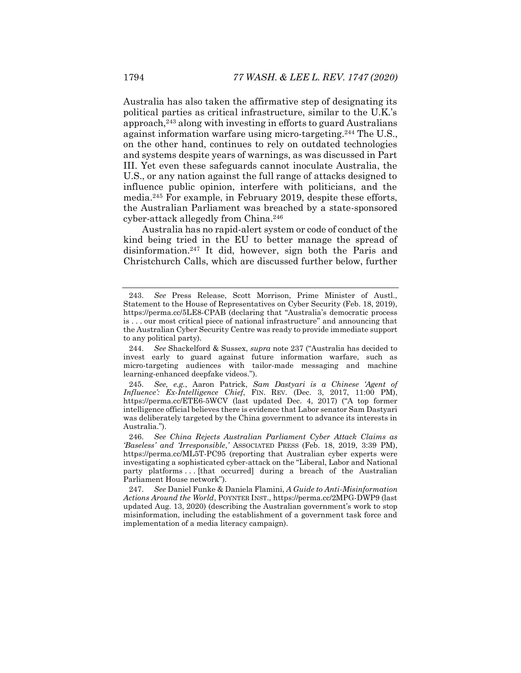Australia has also taken the affirmative step of designating its political parties as critical infrastructure, similar to the U.K.'s  $a$ pproach,<sup>243</sup> along with investing in efforts to guard Australians against information warfare using micro-targeting.<sup>244</sup> The U.S., on the other hand, continues to rely on outdated technologies and systems despite years of warnings, as was discussed in Part III. Yet even these safeguards cannot inoculate Australia, the U.S., or any nation against the full range of attacks designed to influence public opinion, interfere with politicians, and the media.<sup>245</sup> For example, in February 2019, despite these efforts, the Australian Parliament was breached by a state-sponsored cyber-attack allegedly from China.<sup>246</sup>

Australia has no rapid-alert system or code of conduct of the kind being tried in the EU to better manage the spread of disinformation.<sup>247</sup> It did, however, sign both the Paris and Christchurch Calls, which are discussed further below, further

<sup>243.</sup> *See* Press Release, Scott Morrison, Prime Minister of Austl., Statement to the House of Representatives on Cyber Security (Feb. 18, 2019), https://perma.cc/5LE8-CPAB (declaring that "Australia's democratic process is . . . our most critical piece of national infrastructure" and announcing that the Australian Cyber Security Centre was ready to provide immediate support to any political party).

<sup>244.</sup> *See* Shackelford & Sussex, *supra* note [237](#page-47-0) ("Australia has decided to invest early to guard against future information warfare, such as micro-targeting audiences with tailor-made messaging and machine learning-enhanced deepfake videos.").

<sup>245.</sup> *See, e.g.*, Aaron Patrick, *Sam Dastyari is a Chinese 'Agent of Influence': Ex-Intelligence Chief*, FIN. REV. (Dec. 3, 2017, 11:00 PM), https://perma.cc/ETE6-5WCV (last updated Dec. 4, 2017) ("A top former intelligence official believes there is evidence that Labor senator Sam Dastyari was deliberately targeted by the China government to advance its interests in Australia.").

<sup>246.</sup> *See China Rejects Australian Parliament Cyber Attack Claims as 'Baseless' and 'Irresponsible*,*'* ASSOCIATED PRESS (Feb. 18, 2019, 3:39 PM), https://perma.cc/ML5T-PC95 (reporting that Australian cyber experts were investigating a sophisticated cyber-attack on the "Liberal, Labor and National party platforms ... [that occurred] during a breach of the Australian Parliament House network").

<sup>247.</sup> *See* Daniel Funke & Daniela Flamini, *A Guide to Anti-Misinformation Actions Around the World*, POYNTER INST., https://perma.cc/2MPG-DWP9 (last updated Aug. 13, 2020) (describing the Australian government's work to stop misinformation, including the establishment of a government task force and implementation of a media literacy campaign).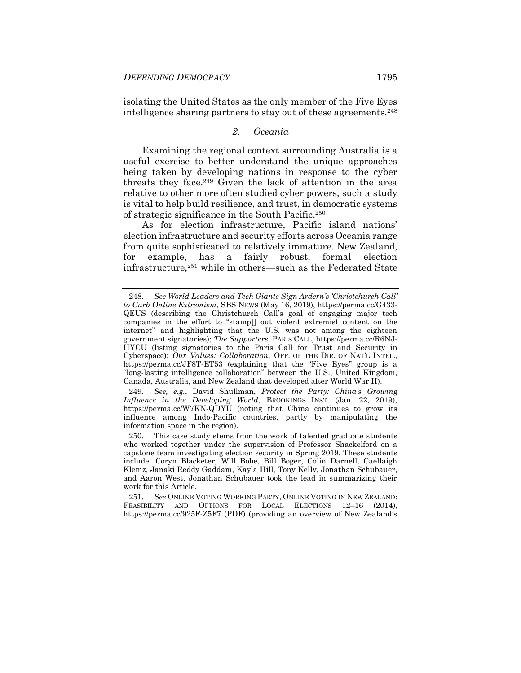isolating the United States as the only member of the Five Eyes intelligence sharing partners to stay out of these agreements.<sup>248</sup>

#### <span id="page-49-0"></span>*2. Oceania*

Examining the regional context surrounding Australia is a useful exercise to better understand the unique approaches being taken by developing nations in response to the cyber threats they face.<sup>249</sup> Given the lack of attention in the area relative to other more often studied cyber powers, such a study is vital to help build resilience, and trust, in democratic systems of strategic significance in the South Pacific.<sup>250</sup>

As for election infrastructure, Pacific island nations' election infrastructure and security efforts across Oceania range from quite sophisticated to relatively immature. New Zealand, for example, has a fairly robust, formal election infrastructure,<sup>251</sup> while in others—such as the Federated State

249. *See, e.g.*, David Shullman, *Protect the Party: China's Growing Influence in the Developing World*, BROOKINGS INST. (Jan. 22, 2019), https://perma.cc/W7KN-QDYU (noting that China continues to grow its influence among Indo-Pacific countries, partly by manipulating the information space in the region).

250. This case study stems from the work of talented graduate students who worked together under the supervision of Professor Shackelford on a capstone team investigating election security in Spring 2019. These students include: Coryn Blacketer, Will Bobe, Bill Boger, Colin Darnell, Caellaigh Klemz, Janaki Reddy Gaddam, Kayla Hill, Tony Kelly, Jonathan Schubauer, and Aaron West. Jonathan Schubauer took the lead in summarizing their work for this Article.

251. *See* ONLINE VOTING WORKING PARTY, ONLINE VOTING IN NEW ZEALAND: FEASIBILITY AND OPTIONS FOR LOCAL ELECTIONS 12-16 (2014), https://perma.cc/925F-Z5F7 (PDF) (providing an overview of New Zealand's

<sup>248.</sup> *See World Leaders and Tech Giants Sign Ardern's 'Christchurch Call' to Curb Online Extremism*, SBS NEWS (May 16, 2019), https://perma.cc/G433- QEUS (describing the Christchurch Call's goal of engaging major tech companies in the effort to "stamp[] out violent extremist content on the internet" and highlighting that the U.S. was not among the eighteen government signatories); *The Supporters*, PARIS CALL, https://perma.cc/R6NJ-HYCU (listing signatories to the Paris Call for Trust and Security in Cyberspace); *Our Values: Collaboration*, OFF. OF THE DIR. OF NAT'L INTEL., https://perma.cc/JF8T-ET53 (explaining that the "Five Eyes" group is a "long-lasting intelligence collaboration" between the U.S., United Kingdom, Canada, Australia, and New Zealand that developed after World War II).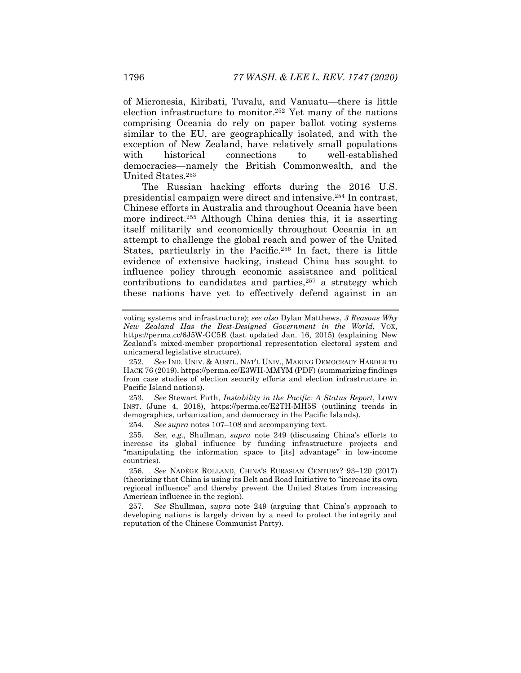<span id="page-50-0"></span>of Micronesia, Kiribati, Tuvalu, and Vanuatu—there is little election infrastructure to monitor.<sup>252</sup> Yet many of the nations comprising Oceania do rely on paper ballot voting systems similar to the EU, are geographically isolated, and with the exception of New Zealand, have relatively small populations with historical connections to well-established democracies—namely the British Commonwealth, and the United States.<sup>253</sup>

The Russian hacking efforts during the 2016 U.S. presidential campaign were direct and intensive.<sup>254</sup> In contrast, Chinese efforts in Australia and throughout Oceania have been more indirect. <sup>255</sup> Although China denies this, it is asserting itself militarily and economically throughout Oceania in an attempt to challenge the global reach and power of the United States, particularly in the Pacific.<sup>256</sup> In fact, there is little evidence of extensive hacking, instead China has sought to influence policy through economic assistance and political contributions to candidates and parties, $257$  a strategy which these nations have yet to effectively defend against in an

253. *See* Stewart Firth, *Instability in the Pacific: A Status Report*, LOWY INST. (June 4, 2018), https://perma.cc/E2TH-MH5S (outlining trends in demographics, urbanization, and democracy in the Pacific Islands).

254. *See supra* note[s 107](#page-24-0)–[108](#page-24-1) and accompanying text.

255. *See, e.g.*, Shullman, *supra* note [249](#page-49-0) (discussing China's efforts to increase its global influence by funding infrastructure projects and "manipulating the information space to [its] advantage" in low-income countries).

256*. See* NADÈGE ROLLAND, CHINA'S EURASIAN CENTURY? 93–120 (2017) (theorizing that China is using its Belt and Road Initiative to "increase its own regional influence" and thereby prevent the United States from increasing American influence in the region).

257. *See* Shullman, *supra* note [249](#page-49-0) (arguing that China's approach to developing nations is largely driven by a need to protect the integrity and reputation of the Chinese Communist Party).

voting systems and infrastructure); *see also* Dylan Matthews, *3 Reasons Why New Zealand Has the Best-Designed Government in the World*, VOX, https://perma.cc/6J5W-GC5E (last updated Jan. 16, 2015) (explaining New Zealand's mixed-member proportional representation electoral system and unicameral legislative structure).

<sup>252.</sup> *See* IND. UNIV. & AUSTL. NAT'L UNIV., MAKING DEMOCRACY HARDER TO HACK 76 (2019), https://perma.cc/E3WH-MMYM (PDF) (summarizing findings from case studies of election security efforts and election infrastructure in Pacific Island nations).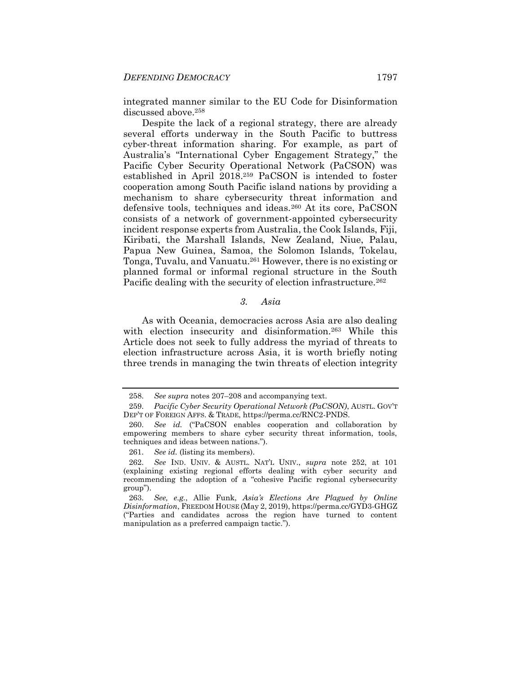integrated manner similar to the EU Code for Disinformation discussed above.<sup>258</sup>

Despite the lack of a regional strategy, there are already several efforts underway in the South Pacific to buttress cyber-threat information sharing. For example, as part of Australia's "International Cyber Engagement Strategy," the Pacific Cyber Security Operational Network (PaCSON) was established in April 2018.<sup>259</sup> PaCSON is intended to foster cooperation among South Pacific island nations by providing a mechanism to share cybersecurity threat information and defensive tools, techniques and ideas.<sup>260</sup> At its core, PaCSON consists of a network of government-appointed cybersecurity incident response experts from Australia, the Cook Islands, Fiji, Kiribati, the Marshall Islands, New Zealand, Niue, Palau, Papua New Guinea, Samoa, the Solomon Islands, Tokelau, Tonga, Tuvalu, and Vanuatu.<sup>261</sup> However, there is no existing or planned formal or informal regional structure in the South Pacific dealing with the security of election infrastructure.<sup>262</sup>

#### *3. Asia*

As with Oceania, democracies across Asia are also dealing with election insecurity and disinformation.<sup>263</sup> While this Article does not seek to fully address the myriad of threats to election infrastructure across Asia, it is worth briefly noting three trends in managing the twin threats of election integrity

<sup>258.</sup> *See supra* note[s 207](#page-41-0)–[208](#page-41-3) and accompanying text.

<sup>259.</sup> *Pacific Cyber Security Operational Network (PaCSON)*, AUSTL. GOV'T DEP'T OF FOREIGN AFFS. & TRADE, https://perma.cc/RNC2-PNDS.

<sup>260.</sup> *See id.* ("PaCSON enables cooperation and collaboration by empowering members to share cyber security threat information, tools, techniques and ideas between nations.").

<sup>261.</sup> *See id.* (listing its members).

<sup>262.</sup> *See* IND. UNIV. & AUSTL. NAT'L UNIV., *supra* note [252,](#page-50-0) at 101 (explaining existing regional efforts dealing with cyber security and recommending the adoption of a "cohesive Pacific regional cybersecurity group").

<sup>263.</sup> *See, e.g.*, Allie Funk, *Asia's Elections Are Plagued by Online Disinformation*, FREEDOM HOUSE (May 2, 2019), https://perma.cc/GYD3-GHGZ ("Parties and candidates across the region have turned to content manipulation as a preferred campaign tactic.").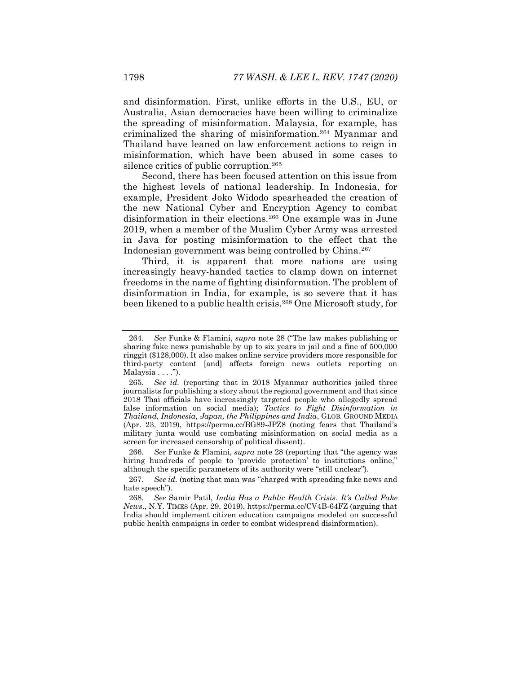and disinformation. First, unlike efforts in the U.S., EU, or Australia, Asian democracies have been willing to criminalize the spreading of misinformation. Malaysia, for example, has criminalized the sharing of misinformation.<sup>264</sup> Myanmar and Thailand have leaned on law enforcement actions to reign in misinformation, which have been abused in some cases to silence critics of public corruption.<sup>265</sup>

Second, there has been focused attention on this issue from the highest levels of national leadership. In Indonesia, for example, President Joko Widodo spearheaded the creation of the new National Cyber and Encryption Agency to combat disinformation in their elections.<sup>266</sup> One example was in June 2019, when a member of the Muslim Cyber Army was arrested in Java for posting misinformation to the effect that the Indonesian government was being controlled by China.<sup>267</sup>

Third, it is apparent that more nations are using increasingly heavy-handed tactics to clamp down on internet freedoms in the name of fighting disinformation. The problem of disinformation in India, for example, is so severe that it has been likened to a public health crisis.<sup>268</sup> One Microsoft study, for

266. *See* Funke & Flamini, *supra* not[e 28](#page-8-1) (reporting that "the agency was hiring hundreds of people to 'provide protection' to institutions online," although the specific parameters of its authority were "still unclear").

<span id="page-52-0"></span><sup>264.</sup> *See* Funke & Flamini, *supra* note [28](#page-8-1) ("The law makes publishing or sharing fake news punishable by up to six years in jail and a fine of 500,000 ringgit (\$128,000). It also makes online service providers more responsible for third-party content [and] affects foreign news outlets reporting on Malaysia . . . .").

<sup>265.</sup> *See id.* (reporting that in 2018 Myanmar authorities jailed three journalists for publishing a story about the regional government and that since 2018 Thai officials have increasingly targeted people who allegedly spread false information on social media); *Tactics to Fight Disinformation in Thailand, Indonesia, Japan, the Philippines and India*, GLOB. GROUND MEDIA (Apr. 23, 2019), https://perma.cc/BG89-JPZ8 (noting fears that Thailand's military junta would use combating misinformation on social media as a screen for increased censorship of political dissent).

<sup>267.</sup> *See id.* (noting that man was "charged with spreading fake news and hate speech").

<sup>268.</sup> *See* Samir Patil, *India Has a Public Health Crisis. It's Called Fake News*., N.Y. TIMES (Apr. 29, 2019), https://perma.cc/CV4B-64FZ (arguing that India should implement citizen education campaigns modeled on successful public health campaigns in order to combat widespread disinformation).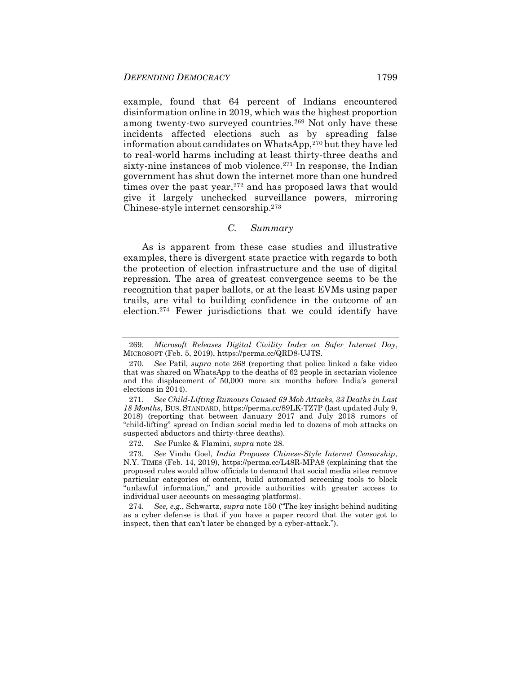example, found that 64 percent of Indians encountered disinformation online in 2019, which was the highest proportion among twenty-two surveyed countries.<sup>269</sup> Not only have these incidents affected elections such as by spreading false information about candidates on WhatsApp,<sup>270</sup> but they have led to real-world harms including at least thirty-three deaths and sixty-nine instances of mob violence.<sup>271</sup> In response, the Indian government has shut down the internet more than one hundred times over the past year, $272$  and has proposed laws that would give it largely unchecked surveillance powers, mirroring Chinese-style internet censorship.<sup>273</sup>

#### *C. Summary*

As is apparent from these case studies and illustrative examples, there is divergent state practice with regards to both the protection of election infrastructure and the use of digital repression. The area of greatest convergence seems to be the recognition that paper ballots, or at the least EVMs using paper trails, are vital to building confidence in the outcome of an election.<sup>274</sup> Fewer jurisdictions that we could identify have

272. *See* Funke & Flamini, *supra* not[e 28.](#page-8-1)

273. *See* Vindu Goel, *India Proposes Chinese-Style Internet Censorship*, N.Y. TIMES (Feb. 14, 2019), https://perma.cc/L48R-MPA8 (explaining that the proposed rules would allow officials to demand that social media sites remove particular categories of content, build automated screening tools to block "unlawful information," and provide authorities with greater access to individual user accounts on messaging platforms).

274. *See, e.g.*, Schwartz, *supra* not[e 150](#page-31-1) ("The key insight behind auditing as a cyber defense is that if you have a paper record that the voter got to inspect, then that can't later be changed by a cyber-attack.").

<sup>269.</sup> *Microsoft Releases Digital Civility Index on Safer Internet Day*, MICROSOFT (Feb. 5, 2019), https://perma.cc/QRD8-UJTS.

<sup>270.</sup> *See* Patil, *supra* note [268](#page-52-0) (reporting that police linked a fake video that was shared on WhatsApp to the deaths of 62 people in sectarian violence and the displacement of 50,000 more six months before India's general elections in 2014).

<sup>271.</sup> *See Child-Lifting Rumours Caused 69 Mob Attacks, 33 Deaths in Last 18 Months*, BUS. STANDARD, https://perma.cc/89LK-TZ7P (last updated July 9, 2018) (reporting that between January 2017 and July 2018 rumors of "child-lifting" spread on Indian social media led to dozens of mob attacks on suspected abductors and thirty-three deaths).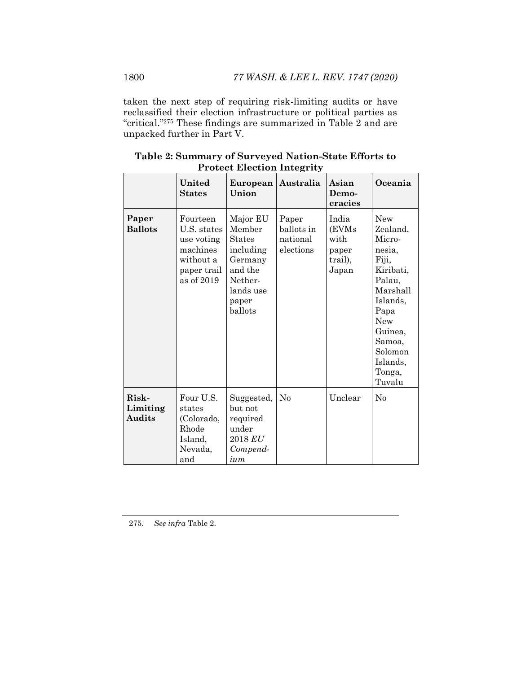taken the next step of requiring risk-limiting audits or have reclassified their election infrastructure or political parties as "critical."<sup>275</sup> These findings are summarized in Table 2 and are unpacked further in Part V.

|                                    | United<br><b>States</b>                                                                     | European<br>Union                                                                                                  | Australia                                    | Asian<br>Demo-<br>cracies                           | Oceania                                                                                                                                                                                  |
|------------------------------------|---------------------------------------------------------------------------------------------|--------------------------------------------------------------------------------------------------------------------|----------------------------------------------|-----------------------------------------------------|------------------------------------------------------------------------------------------------------------------------------------------------------------------------------------------|
| Paper<br><b>Ballots</b>            | Fourteen<br>U.S. states<br>use voting<br>machines<br>without a<br>paper trail<br>as of 2019 | Major EU<br>Member<br><b>States</b><br>including<br>Germany<br>and the<br>Nether-<br>lands use<br>paper<br>ballots | Paper<br>ballots in<br>national<br>elections | India<br>(EVMs<br>with<br>paper<br>trail),<br>Japan | <b>New</b><br>Zealand,<br>Micro-<br>nesia.<br>Fiji,<br>Kiribati,<br>Palau,<br>Marshall<br>Islands,<br>Papa<br><b>New</b><br>Guinea,<br>Samoa,<br>Solomon<br>Islands,<br>Tonga,<br>Tuvalu |
| Risk-<br>Limiting<br><b>Audits</b> | Four U.S.<br>states<br>(Colorado,<br>Rhode<br>Island,<br>Nevada,<br>and                     | Suggested,<br>but not<br>required<br>under<br>$2018\,EU$<br>Compend-<br>ium                                        | No                                           | Unclear                                             | No                                                                                                                                                                                       |

**Table 2: Summary of Surveyed Nation-State Efforts to Protect Election Integrity**

275. *See infra* Table 2.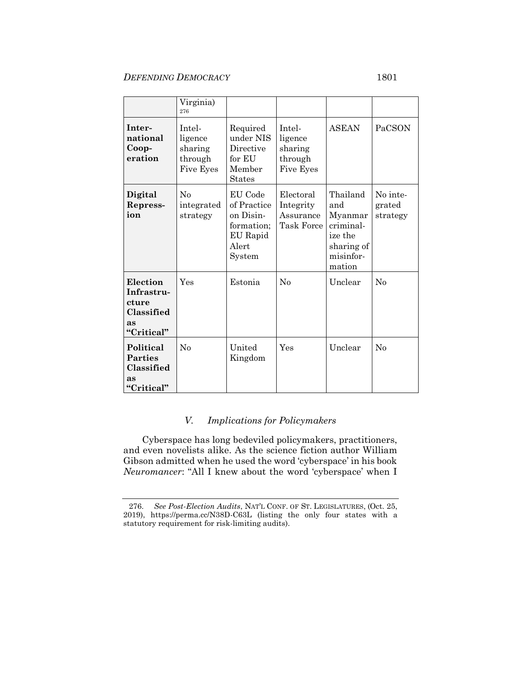#### *DEFENDING DEMOCRACY* 1801

#### Virginia) 276 **International Cooperation** Intelligence sharing through Five Eyes Required under NIS Directive for EU Member States Intelligence sharing through Five Eyes ASEAN PaCSON **Digital Repression** No integrated strategy EU Code of Practice on Disinformation; EU Rapid Alert System Electoral Integrity Assurance Task Force Thailand and Myanmar criminalize the sharing of misinformation No integrated strategy **Election Infrastructure Classified as "Critical"** Yes Estonia No Unclear No **Political Parties Classified as "Critical"** No United Kingdom Yes Unclear No

### *V. Implications for Policymakers*

Cyberspace has long bedeviled policymakers, practitioners, and even novelists alike. As the science fiction author William Gibson admitted when he used the word 'cyberspace' in his book *Neuromancer*: "All I knew about the word 'cyberspace' when I

<sup>276.</sup> *See Post-Election Audits*, NAT'L CONF. OF ST. LEGISLATURES, (Oct. 25, 2019), https://perma.cc/N38D-C63L (listing the only four states with a statutory requirement for risk-limiting audits).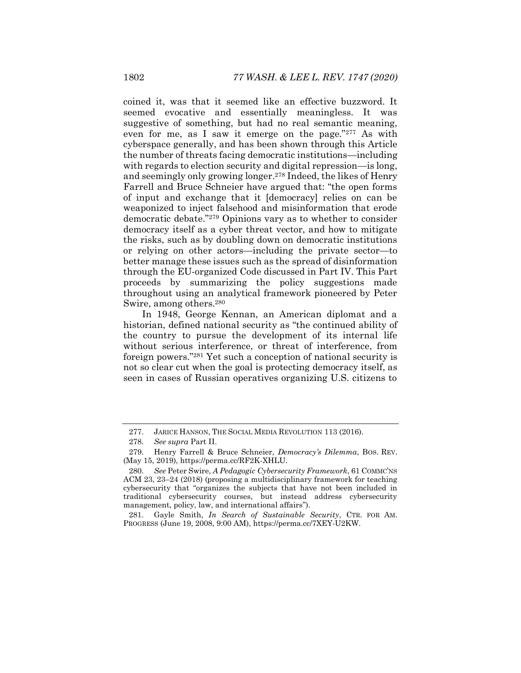coined it, was that it seemed like an effective buzzword. It seemed evocative and essentially meaningless. It was suggestive of something, but had no real semantic meaning, even for me, as I saw it emerge on the page."<sup>277</sup> As with cyberspace generally, and has been shown through this Article the number of threats facing democratic institutions—including with regards to election security and digital repression—is long. and seemingly only growing longer.<sup>278</sup> Indeed, the likes of Henry Farrell and Bruce Schneier have argued that: "the open forms of input and exchange that it [democracy] relies on can be weaponized to inject falsehood and misinformation that erode democratic debate."<sup>279</sup> Opinions vary as to whether to consider democracy itself as a cyber threat vector, and how to mitigate the risks, such as by doubling down on democratic institutions or relying on other actors—including the private sector—to better manage these issues such as the spread of disinformation through the EU-organized Code discussed in Part IV. This Part proceeds by summarizing the policy suggestions made throughout using an analytical framework pioneered by Peter Swire, among others.<sup>280</sup>

<span id="page-56-0"></span>In 1948, George Kennan, an American diplomat and a historian, defined national security as "the continued ability of the country to pursue the development of its internal life without serious interference, or threat of interference, from foreign powers."<sup>281</sup> Yet such a conception of national security is not so clear cut when the goal is protecting democracy itself, as seen in cases of Russian operatives organizing U.S. citizens to

<sup>277.</sup> JARICE HANSON, THE SOCIAL MEDIA REVOLUTION 113 (2016).

<sup>278.</sup> *See supra* Part II.

<sup>279.</sup> Henry Farrell & Bruce Schneier, *Democracy's Dilemma*, BOS. REV. (May 15, 2019), https://perma.cc/RF2K-XHLU.

<sup>280.</sup> *See* Peter Swire, *A Pedagogic Cybersecurity Framework*, 61 COMMC'NS ACM 23, 23–24 (2018) (proposing a multidisciplinary framework for teaching cybersecurity that "organizes the subjects that have not been included in traditional cybersecurity courses, but instead address cybersecurity management, policy, law, and international affairs").

<sup>281.</sup> Gayle Smith, *In Search of Sustainable Security*, CTR. FOR AM. PROGRESS (June 19, 2008, 9:00 AM), https://perma.cc/7XEY-U2KW.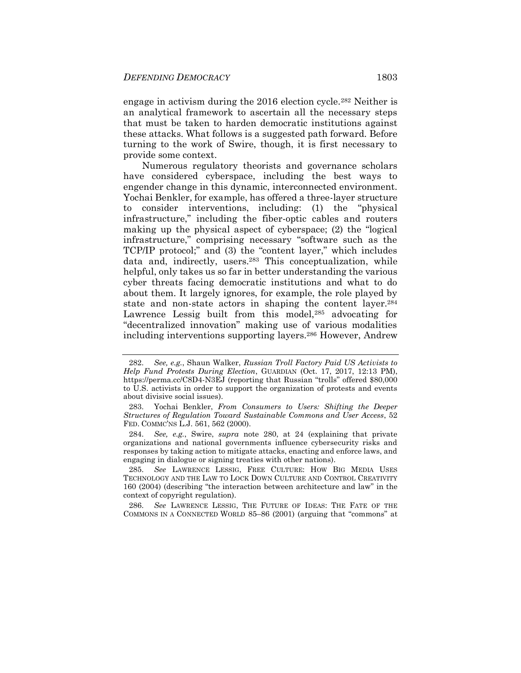engage in activism during the 2016 election cycle.<sup>282</sup> Neither is an analytical framework to ascertain all the necessary steps that must be taken to harden democratic institutions against these attacks. What follows is a suggested path forward. Before turning to the work of Swire, though, it is first necessary to provide some context.

Numerous regulatory theorists and governance scholars have considered cyberspace, including the best ways to engender change in this dynamic, interconnected environment. Yochai Benkler, for example, has offered a three-layer structure to consider interventions, including: (1) the "physical infrastructure," including the fiber-optic cables and routers making up the physical aspect of cyberspace; (2) the "logical infrastructure," comprising necessary "software such as the TCP/IP protocol;" and (3) the "content layer," which includes data and, indirectly, users.<sup>283</sup> This conceptualization, while helpful, only takes us so far in better understanding the various cyber threats facing democratic institutions and what to do about them. It largely ignores, for example, the role played by state and non-state actors in shaping the content layer.<sup>284</sup> Lawrence Lessig built from this model,<sup>285</sup> advocating for "decentralized innovation" making use of various modalities including interventions supporting layers.<sup>286</sup> However, Andrew

286. *See* LAWRENCE LESSIG, THE FUTURE OF IDEAS: THE FATE OF THE COMMONS IN A CONNECTED WORLD 85–86 (2001) (arguing that "commons" at

<sup>282.</sup> *See, e.g.*, Shaun Walker, *Russian Troll Factory Paid US Activists to Help Fund Protests During Election*, GUARDIAN (Oct. 17, 2017, 12:13 PM), https://perma.cc/C8D4-N3EJ (reporting that Russian "trolls" offered \$80,000 to U.S. activists in order to support the organization of protests and events about divisive social issues).

<sup>283.</sup> Yochai Benkler, *From Consumers to Users: Shifting the Deeper Structures of Regulation Toward Sustainable Commons and User Access*, 52 FED. COMMC'NS L.J. 561, 562 (2000).

<sup>284.</sup> *See, e.g.*, Swire, *supra* note [280,](#page-56-0) at 24 (explaining that private organizations and national governments influence cybersecurity risks and responses by taking action to mitigate attacks, enacting and enforce laws, and engaging in dialogue or signing treaties with other nations).

<sup>285.</sup> *See* LAWRENCE LESSIG, FREE CULTURE: HOW BIG MEDIA USES TECHNOLOGY AND THE LAW TO LOCK DOWN CULTURE AND CONTROL CREATIVITY 160 (2004) (describing "the interaction between architecture and law" in the context of copyright regulation).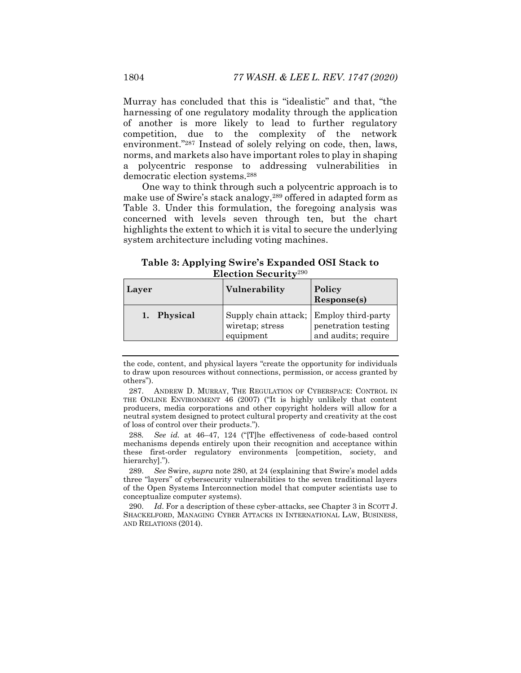Murray has concluded that this is "idealistic" and that, "the harnessing of one regulatory modality through the application of another is more likely to lead to further regulatory competition, due to the complexity of the network environment."<sup>287</sup> Instead of solely relying on code, then, laws, norms, and markets also have important roles to play in shaping a polycentric response to addressing vulnerabilities in democratic election systems.<sup>288</sup>

One way to think through such a polycentric approach is to make use of Swire's stack analogy,<sup>289</sup> offered in adapted form as Table 3. Under this formulation, the foregoing analysis was concerned with levels seven through ten, but the chart highlights the extent to which it is vital to secure the underlying system architecture including voting machines.

**Table 3: Applying Swire's Expanded OSI Stack to Election Security**<sup>290</sup>

| Layer       | Vulnerability                                                           | Policy<br>Response(s)                      |
|-------------|-------------------------------------------------------------------------|--------------------------------------------|
| 1. Physical | Supply chain attack; Employ third-party<br>wiretap; stress<br>equipment | penetration testing<br>and audits; require |

the code, content, and physical layers "create the opportunity for individuals to draw upon resources without connections, permission, or access granted by others").

287. ANDREW D. MURRAY, THE REGULATION OF CYBERSPACE: CONTROL IN THE ONLINE ENVIRONMENT 46 (2007) ("It is highly unlikely that content producers, media corporations and other copyright holders will allow for a neutral system designed to protect cultural property and creativity at the cost of loss of control over their products.").

288*. See id.* at 46–47, 124 ("[T]he effectiveness of code-based control mechanisms depends entirely upon their recognition and acceptance within these first-order regulatory environments [competition, society, and hierarchyl.").

289. *See* Swire, *supra* note [280,](#page-56-0) at 24 (explaining that Swire's model adds three "layers" of cybersecurity vulnerabilities to the seven traditional layers of the Open Systems Interconnection model that computer scientists use to conceptualize computer systems).

290. *Id.* For a description of these cyber-attacks, see Chapter 3 in SCOTT J. SHACKELFORD, MANAGING CYBER ATTACKS IN INTERNATIONAL LAW, BUSINESS, AND RELATIONS (2014).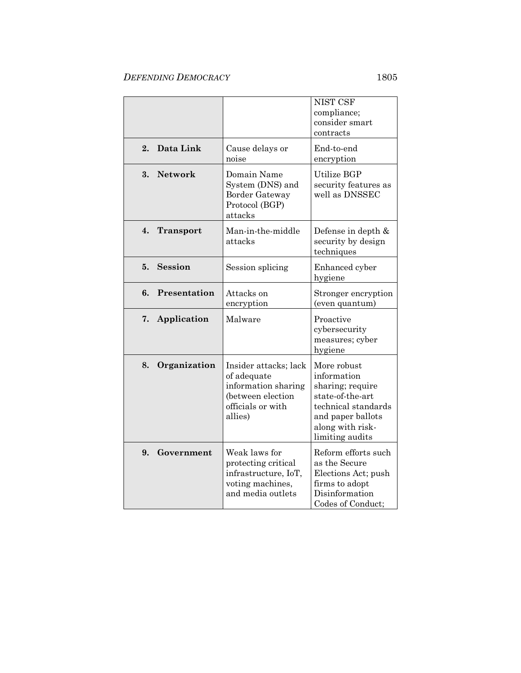|                        |                                                                                                                  | NIST CSF<br>compliance;<br>consider smart<br>contracts                                                                                                |
|------------------------|------------------------------------------------------------------------------------------------------------------|-------------------------------------------------------------------------------------------------------------------------------------------------------|
| Data Link<br>2.        | Cause delays or<br>noise                                                                                         | End-to-end<br>encryption                                                                                                                              |
| Network<br>3.          | Domain Name<br>System (DNS) and<br>Border Gateway<br>Protocol (BGP)<br>attacks                                   | Utilize BGP<br>security features as<br>well as DNSSEC                                                                                                 |
| 4.<br><b>Transport</b> | Man-in-the-middle<br>attacks                                                                                     | Defense in depth &<br>security by design<br>techniques                                                                                                |
| <b>Session</b><br>5.   | Session splicing                                                                                                 | Enhanced cyber<br>hygiene                                                                                                                             |
| Presentation<br>6.     | Attacks on<br>encryption                                                                                         | Stronger encryption<br>(even quantum)                                                                                                                 |
| 7.<br>Application      | Malware                                                                                                          | Proactive<br>cybersecurity<br>measures; cyber<br>hygiene                                                                                              |
| 8.<br>Organization     | Insider attacks; lack<br>of adequate<br>information sharing<br>(between election<br>officials or with<br>allies) | More robust<br>information<br>sharing; require<br>state-of-the-art<br>technical standards<br>and paper ballots<br>along with risk-<br>limiting audits |
| 9.<br>Government       | Weak laws for<br>protecting critical<br>infrastructure, IoT,<br>voting machines,<br>and media outlets            | Reform efforts such<br>as the Secure<br>Elections Act; push<br>firms to adopt<br>Disinformation<br>Codes of Conduct;                                  |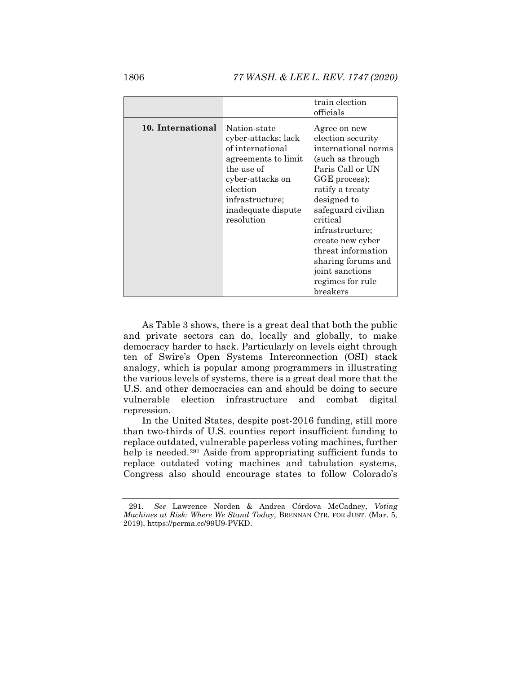1806 *77 WASH. & LEE L. REV. 1747 (2020)*

|                   |                                                                                                                  | train election                                                                                                    |  |
|-------------------|------------------------------------------------------------------------------------------------------------------|-------------------------------------------------------------------------------------------------------------------|--|
|                   |                                                                                                                  | officials                                                                                                         |  |
| 10. International | Nation-state<br>cyber-attacks; lack<br>of international<br>agreements to limit<br>the use of<br>cyber-attacks on | Agree on new<br>election security<br>international norms<br>(such as through<br>Paris Call or UN<br>GGE process); |  |
|                   | election                                                                                                         | ratify a treaty                                                                                                   |  |
|                   | infrastructure;                                                                                                  | designed to                                                                                                       |  |
|                   | inadequate dispute                                                                                               | safeguard civilian                                                                                                |  |
|                   | resolution                                                                                                       | critical                                                                                                          |  |
|                   |                                                                                                                  | infrastructure;                                                                                                   |  |
|                   |                                                                                                                  | create new cyber                                                                                                  |  |
|                   |                                                                                                                  | threat information                                                                                                |  |
|                   |                                                                                                                  | sharing forums and                                                                                                |  |
|                   |                                                                                                                  | joint sanctions                                                                                                   |  |
|                   |                                                                                                                  | regimes for rule                                                                                                  |  |
|                   |                                                                                                                  | breakers                                                                                                          |  |

As Table 3 shows, there is a great deal that both the public and private sectors can do, locally and globally, to make democracy harder to hack. Particularly on levels eight through ten of Swire's Open Systems Interconnection (OSI) stack analogy, which is popular among programmers in illustrating the various levels of systems, there is a great deal more that the U.S. and other democracies can and should be doing to secure vulnerable election infrastructure and combat digital repression.

In the United States, despite post-2016 funding, still more than two-thirds of U.S. counties report insufficient funding to replace outdated, vulnerable paperless voting machines, further help is needed.<sup>291</sup> Aside from appropriating sufficient funds to replace outdated voting machines and tabulation systems, Congress also should encourage states to follow Colorado's

<sup>291.</sup> *See* Lawrence Norden & Andrea Córdova McCadney, *Voting Machines at Risk: Where We Stand Today*, BRENNAN CTR. FOR JUST. (Mar. 5, 2019), https://perma.cc/99U9-PVKD.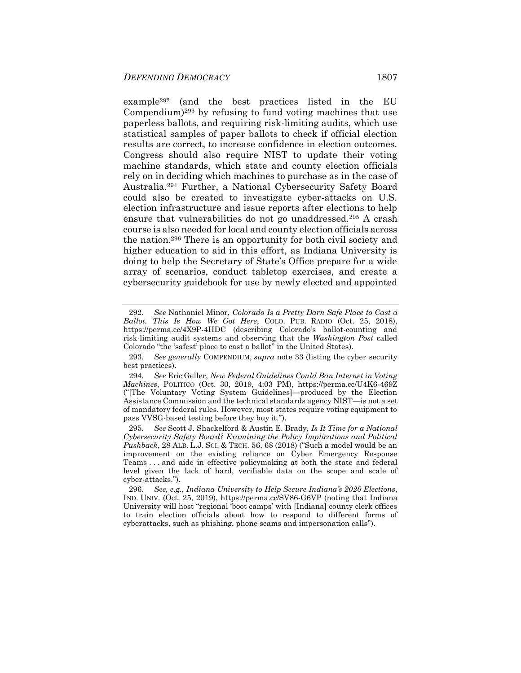example<sup>292</sup> (and the best practices listed in the EU Compendium) <sup>293</sup> by refusing to fund voting machines that use paperless ballots, and requiring risk-limiting audits, which use statistical samples of paper ballots to check if official election results are correct, to increase confidence in election outcomes. Congress should also require NIST to update their voting machine standards, which state and county election officials rely on in deciding which machines to purchase as in the case of Australia.<sup>294</sup> Further, a National Cybersecurity Safety Board could also be created to investigate cyber-attacks on U.S. election infrastructure and issue reports after elections to help ensure that vulnerabilities do not go unaddressed.<sup>295</sup> A crash course is also needed for local and county election officials across the nation.<sup>296</sup> There is an opportunity for both civil society and higher education to aid in this effort, as Indiana University is doing to help the Secretary of State's Office prepare for a wide array of scenarios, conduct tabletop exercises, and create a cybersecurity guidebook for use by newly elected and appointed

<sup>292.</sup> *See* Nathaniel Minor, *Colorado Is a Pretty Darn Safe Place to Cast a Ballot. This Is How We Got Here*, COLO. PUB. RADIO (Oct. 25, 2018), https://perma.cc/4X9P-4HDC (describing Colorado's ballot-counting and risk-limiting audit systems and observing that the *Washington Post* called Colorado "the 'safest' place to cast a ballot" in the United States).

<sup>293.</sup> *See generally* COMPENDIUM, *supra* note [33](#page-10-0) (listing the cyber security best practices).

<sup>294.</sup> *See* Eric Geller, *New Federal Guidelines Could Ban Internet in Voting Machines*, POLITICO (Oct. 30, 2019, 4:03 PM), https://perma.cc/U4K6-469Z ("[The Voluntary Voting System Guidelines]—produced by the Election Assistance Commission and the technical standards agency NIST—is not a set of mandatory federal rules. However, most states require voting equipment to pass VVSG-based testing before they buy it.").

<sup>295.</sup> *See* Scott J. Shackelford & Austin E. Brady, *Is It Time for a National Cybersecurity Safety Board? Examining the Policy Implications and Political Pushback*, 28 ALB. L.J. SCI. & TECH. 56, 68 (2018) ("Such a model would be an improvement on the existing reliance on Cyber Emergency Response Teams . . . and aide in effective policymaking at both the state and federal level given the lack of hard, verifiable data on the scope and scale of cyber-attacks.").

<sup>296.</sup> *See, e.g.*, *Indiana University to Help Secure Indiana's 2020 Elections*, IND. UNIV. (Oct. 25, 2019), https://perma.cc/SV86-G6VP (noting that Indiana University will host "regional 'boot camps' with [Indiana] county clerk offices to train election officials about how to respond to different forms of cyberattacks, such as phishing, phone scams and impersonation calls").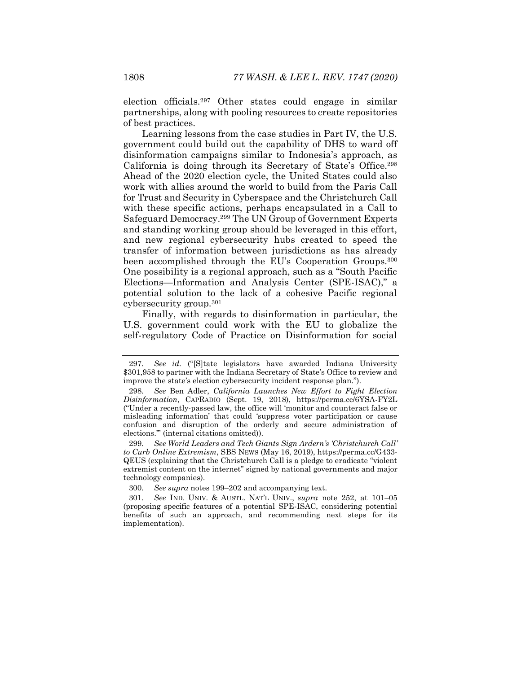election officials.<sup>297</sup> Other states could engage in similar partnerships, along with pooling resources to create repositories of best practices.

Learning lessons from the case studies in Part IV, the U.S. government could build out the capability of DHS to ward off disinformation campaigns similar to Indonesia's approach, as California is doing through its Secretary of State's Office.<sup>298</sup> Ahead of the 2020 election cycle, the United States could also work with allies around the world to build from the Paris Call for Trust and Security in Cyberspace and the Christchurch Call with these specific actions, perhaps encapsulated in a Call to Safeguard Democracy.<sup>299</sup> The UN Group of Government Experts and standing working group should be leveraged in this effort, and new regional cybersecurity hubs created to speed the transfer of information between jurisdictions as has already been accomplished through the EU's Cooperation Groups.<sup>300</sup> One possibility is a regional approach, such as a "South Pacific Elections—Information and Analysis Center (SPE-ISAC)," a potential solution to the lack of a cohesive Pacific regional cybersecurity group.<sup>301</sup>

Finally, with regards to disinformation in particular, the U.S. government could work with the EU to globalize the self-regulatory Code of Practice on Disinformation for social

<sup>297.</sup> *See id.* ("[S]tate legislators have awarded Indiana University \$301,958 to partner with the Indiana Secretary of State's Office to review and improve the state's election cybersecurity incident response plan.").

<sup>298.</sup> *See* Ben Adler, *California Launches New Effort to Fight Election Disinformation*, CAPRADIO (Sept. 19, 2018), https://perma.cc/6YSA-FY2L ("Under a recently-passed law, the office will 'monitor and counteract false or misleading information' that could 'suppress voter participation or cause confusion and disruption of the orderly and secure administration of elections.'" (internal citations omitted)).

<sup>299.</sup> *See World Leaders and Tech Giants Sign Ardern's 'Christchurch Call' to Curb Online Extremism*, SBS NEWS (May 16, 2019), https://perma.cc/G433- QEUS (explaining that the Christchurch Call is a pledge to eradicate "violent extremist content on the internet" signed by national governments and major technology companies).

<sup>300.</sup> *See supra* note[s 199](#page-40-1)–[202](#page-40-2) and accompanying text.

<sup>301.</sup> *See* IND. UNIV. & AUSTL. NAT'L UNIV., *supra* note [252,](#page-50-0) at 101–05 (proposing specific features of a potential SPE-ISAC, considering potential benefits of such an approach, and recommending next steps for its implementation).